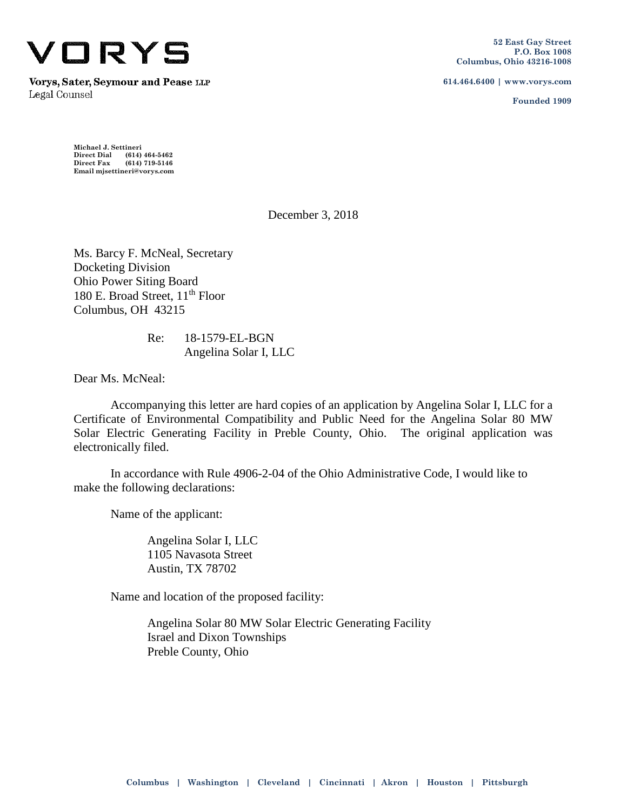

Vorys, Sater, Seymour and Pease LIP Legal Counsel

**614.464.6400 | www.vorys.com**

**Founded 1909**

**Michael J. Settineri Direct Dial (614) 464-5462 Direct Fax (614) 719-5146 Email mjsettineri@vorys.com** 

December 3, 2018

Ms. Barcy F. McNeal, Secretary Docketing Division Ohio Power Siting Board 180 E. Broad Street, 11<sup>th</sup> Floor Columbus, OH 43215

> Re: 18-1579-EL-BGN Angelina Solar I, LLC

Dear Ms. McNeal:

Accompanying this letter are hard copies of an application by Angelina Solar I, LLC for a Certificate of Environmental Compatibility and Public Need for the Angelina Solar 80 MW Solar Electric Generating Facility in Preble County, Ohio. The original application was electronically filed.

In accordance with Rule 4906-2-04 of the Ohio Administrative Code, I would like to make the following declarations:

Name of the applicant:

Angelina Solar I, LLC 1105 Navasota Street Austin, TX 78702

Name and location of the proposed facility:

Angelina Solar 80 MW Solar Electric Generating Facility Israel and Dixon Townships Preble County, Ohio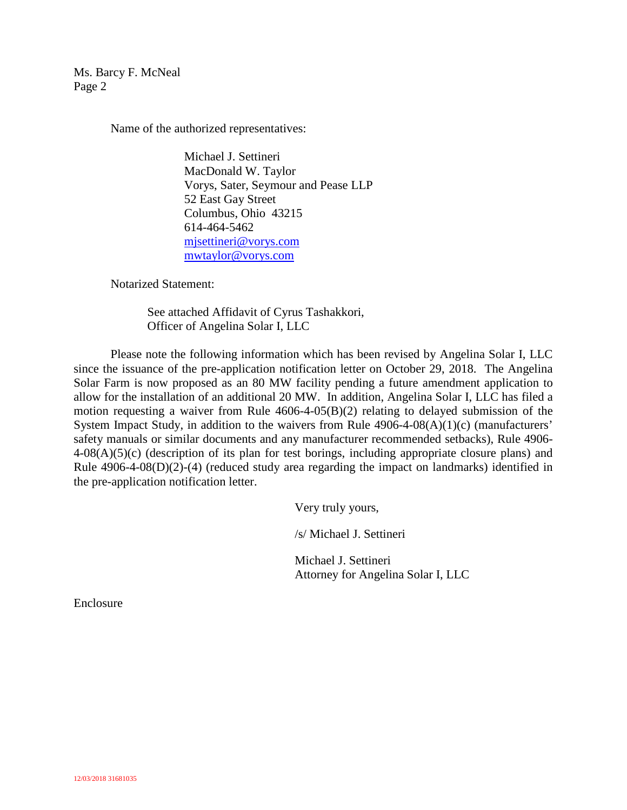Ms. Barcy F. McNeal Page 2

Name of the authorized representatives:

Michael J. Settineri MacDonald W. Taylor Vorys, Sater, Seymour and Pease LLP 52 East Gay Street Columbus, Ohio 43215 614-464-5462 mjsettineri@vorys.com mwtaylor@vorys.com

Notarized Statement:

See attached Affidavit of Cyrus Tashakkori, Officer of Angelina Solar I, LLC

Please note the following information which has been revised by Angelina Solar I, LLC since the issuance of the pre-application notification letter on October 29, 2018. The Angelina Solar Farm is now proposed as an 80 MW facility pending a future amendment application to allow for the installation of an additional 20 MW. In addition, Angelina Solar I, LLC has filed a motion requesting a waiver from Rule 4606-4-05(B)(2) relating to delayed submission of the System Impact Study, in addition to the waivers from Rule 4906-4-08(A)(1)(c) (manufacturers' safety manuals or similar documents and any manufacturer recommended setbacks), Rule 4906-  $4-08(A)(5)(c)$  (description of its plan for test borings, including appropriate closure plans) and Rule 4906-4-08(D)(2)-(4) (reduced study area regarding the impact on landmarks) identified in the pre-application notification letter.

Very truly yours,

/s/ Michael J. Settineri

Michael J. Settineri Attorney for Angelina Solar I, LLC

Enclosure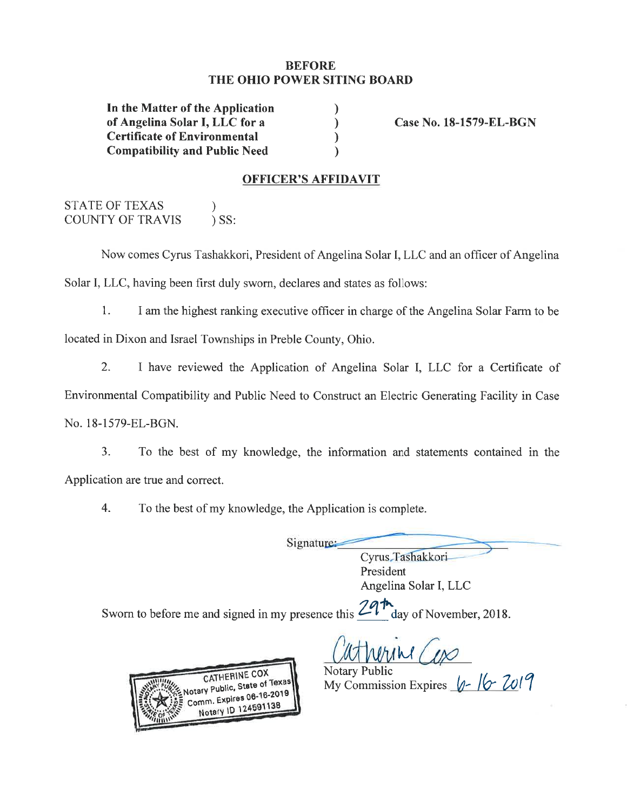#### **BEFORE** THE OHIO POWER SITING BOARD

 $\mathcal{L}$ 

 $\mathcal{E}$ 

 $\mathcal{E}$ 

 $\lambda$ 

In the Matter of the Application of Angelina Solar I, LLC for a **Certificate of Environmental Compatibility and Public Need** 

Case No. 18-1579-EL-BGN

#### **OFFICER'S AFFIDAVIT**

**STATE OF TEXAS**  $\mathcal{E}$ **COUNTY OF TRAVIS**  $)$  SS:

Now comes Cyrus Tashakkori, President of Angelina Solar I, LLC and an officer of Angelina Solar I, LLC, having been first duly sworn, declares and states as follows:

 $1<sub>1</sub>$ I am the highest ranking executive officer in charge of the Angelina Solar Farm to be located in Dixon and Israel Townships in Preble County, Ohio.

 $2.$ I have reviewed the Application of Angelina Solar I, LLC for a Certificate of Environmental Compatibility and Public Need to Construct an Electric Generating Facility in Case

No. 18-1579-EL-BGN.

 $3<sub>1</sub>$ To the best of my knowledge, the information and statements contained in the Application are true and correct.

 $\overline{4}$ . To the best of my knowledge, the Application is complete.

Signature:

Cyrus Tashakkori President Angelina Solar I, LLC

day of November, 2018. Sworn to before me and signed in my presence this  $\angle$ 

CATHERINE COX **Votary Public, State of Texas** Comm. Expires 06-16-2019 Notary ID 124591138

**Notary Public** 

My Commission Expires 4-16-2019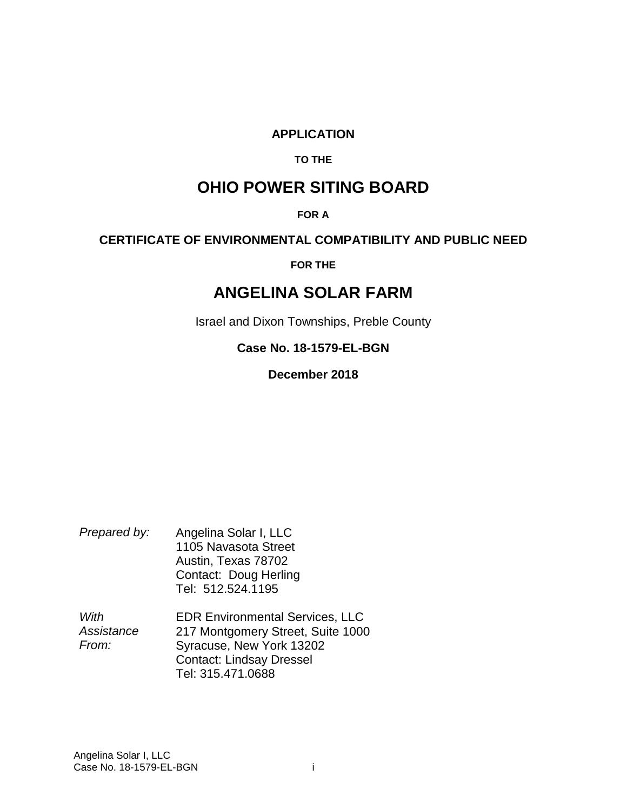#### **APPLICATION**

#### **TO THE**

# **OHIO POWER SITING BOARD**

#### **FOR A**

#### **CERTIFICATE OF ENVIRONMENTAL COMPATIBILITY AND PUBLIC NEED**

**FOR THE** 

# **ANGELINA SOLAR FARM**

Israel and Dixon Townships, Preble County

### **Case No. 18-1579-EL-BGN**

**December 2018** 

| Prepared by: | Angelina Solar I, LLC |
|--------------|-----------------------|
|              | 1105 Navasota Street  |
|              | Austin, Texas 78702   |
|              | Contact: Doug Herling |
|              | Tel: 512.524.1195     |

*With Assistance From:*  EDR Environmental Services, LLC 217 Montgomery Street, Suite 1000 Syracuse, New York 13202 Contact: Lindsay Dressel Tel: 315.471.0688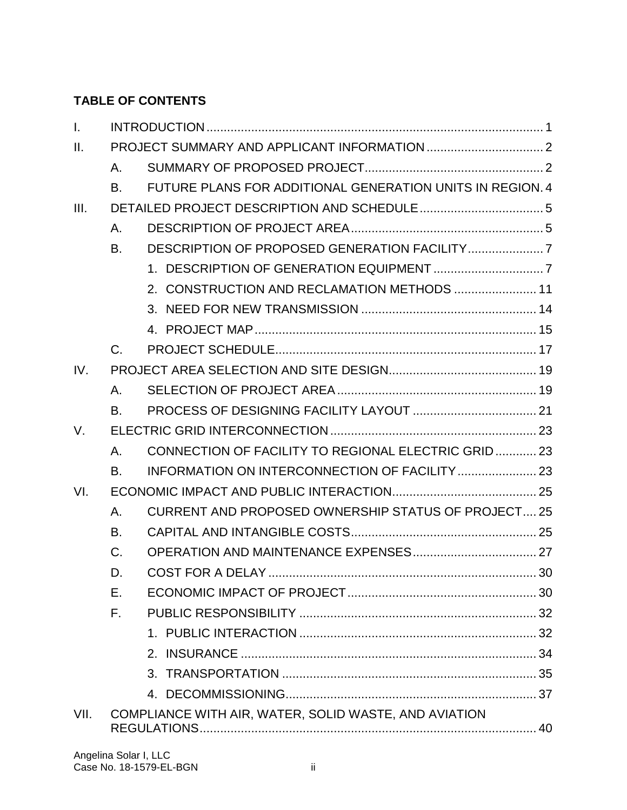# **TABLE OF CONTENTS**

| $\mathbf{L}$ |             |                                                           |  |
|--------------|-------------|-----------------------------------------------------------|--|
| $\Pi$ .      |             |                                                           |  |
|              | Α.          |                                                           |  |
|              | В.          | FUTURE PLANS FOR ADDITIONAL GENERATION UNITS IN REGION, 4 |  |
| III.         |             |                                                           |  |
|              | Α.          |                                                           |  |
|              | B.          |                                                           |  |
|              |             |                                                           |  |
|              |             | 2. CONSTRUCTION AND RECLAMATION METHODS  11               |  |
|              |             |                                                           |  |
|              |             |                                                           |  |
|              | $C_{\cdot}$ |                                                           |  |
| IV.          |             |                                                           |  |
|              | Α.          |                                                           |  |
|              | <b>B.</b>   |                                                           |  |
| V.           |             |                                                           |  |
|              | Α.          | CONNECTION OF FACILITY TO REGIONAL ELECTRIC GRID23        |  |
|              | <b>B.</b>   |                                                           |  |
| VI.          |             |                                                           |  |
|              | Α.          | <b>CURRENT AND PROPOSED OWNERSHIP STATUS OF PROJECT25</b> |  |
|              | В.          |                                                           |  |
|              | $C_{\cdot}$ |                                                           |  |
|              | D.          |                                                           |  |
|              | Е.          |                                                           |  |
|              | $F_{\perp}$ |                                                           |  |
|              |             |                                                           |  |
|              |             |                                                           |  |
|              |             |                                                           |  |
|              |             |                                                           |  |
| VII.         |             | COMPLIANCE WITH AIR, WATER, SOLID WASTE, AND AVIATION     |  |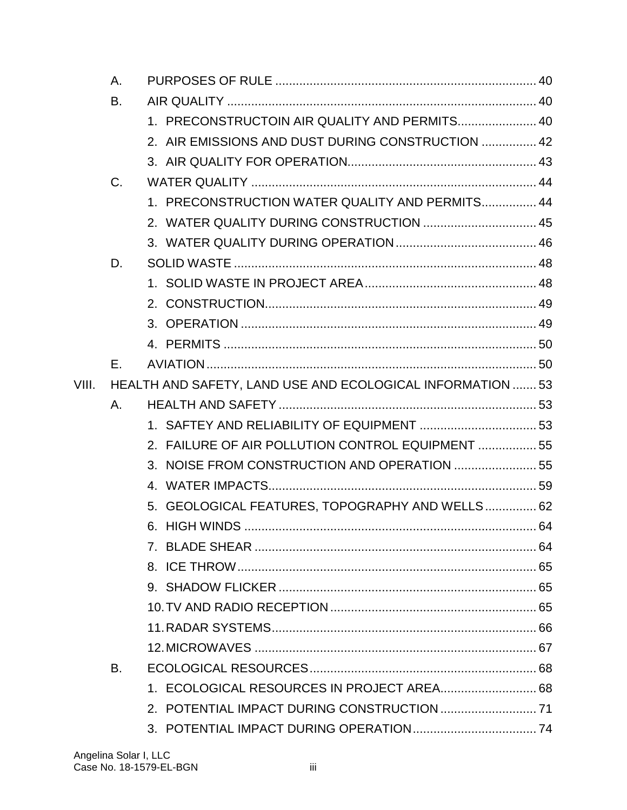|       | A.          |                                                            |  |
|-------|-------------|------------------------------------------------------------|--|
|       | B.          |                                                            |  |
|       |             | 1. PRECONSTRUCTOIN AIR QUALITY AND PERMITS 40              |  |
|       |             | 2. AIR EMISSIONS AND DUST DURING CONSTRUCTION  42          |  |
|       |             |                                                            |  |
|       | $C_{\cdot}$ |                                                            |  |
|       |             | 1. PRECONSTRUCTION WATER QUALITY AND PERMITS 44            |  |
|       |             | 2. WATER QUALITY DURING CONSTRUCTION  45                   |  |
|       |             |                                                            |  |
|       | D.          |                                                            |  |
|       |             |                                                            |  |
|       |             |                                                            |  |
|       |             |                                                            |  |
|       |             |                                                            |  |
|       | Е.          |                                                            |  |
| VIII. |             | HEALTH AND SAFETY, LAND USE AND ECOLOGICAL INFORMATION  53 |  |
|       | Α.          |                                                            |  |
|       |             |                                                            |  |
|       |             | 2. FAILURE OF AIR POLLUTION CONTROL EQUIPMENT  55          |  |
|       |             | 3. NOISE FROM CONSTRUCTION AND OPERATION  55               |  |
|       |             |                                                            |  |
|       |             | 5. GEOLOGICAL FEATURES, TOPOGRAPHY AND WELLS 62            |  |
|       |             |                                                            |  |
|       |             |                                                            |  |
|       |             |                                                            |  |
|       |             |                                                            |  |
|       |             |                                                            |  |
|       |             |                                                            |  |
|       |             |                                                            |  |
|       | В.          |                                                            |  |
|       |             | 1. ECOLOGICAL RESOURCES IN PROJECT AREA 68                 |  |
|       |             |                                                            |  |
|       |             |                                                            |  |
|       |             |                                                            |  |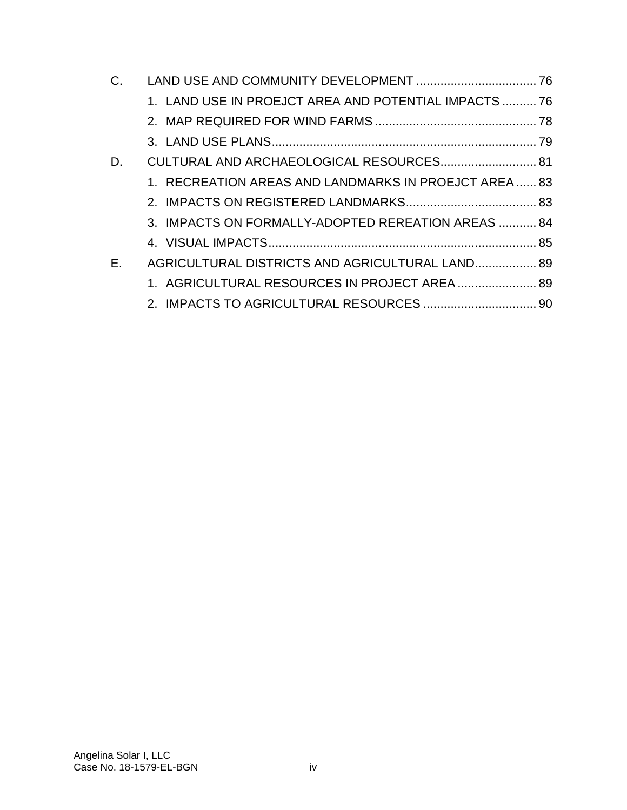| C. |                                                       |  |
|----|-------------------------------------------------------|--|
|    | 1. LAND USE IN PROEJCT AREA AND POTENTIAL IMPACTS  76 |  |
|    |                                                       |  |
|    |                                                       |  |
| D. | CULTURAL AND ARCHAEOLOGICAL RESOURCES 81              |  |
|    | 1. RECREATION AREAS AND LANDMARKS IN PROEJCT AREA 83  |  |
|    |                                                       |  |
|    | 3. IMPACTS ON FORMALLY-ADOPTED REREATION AREAS  84    |  |
|    |                                                       |  |
| Е. | AGRICULTURAL DISTRICTS AND AGRICULTURAL LAND 89       |  |
|    | 1. AGRICULTURAL RESOURCES IN PROJECT AREA  89         |  |
|    |                                                       |  |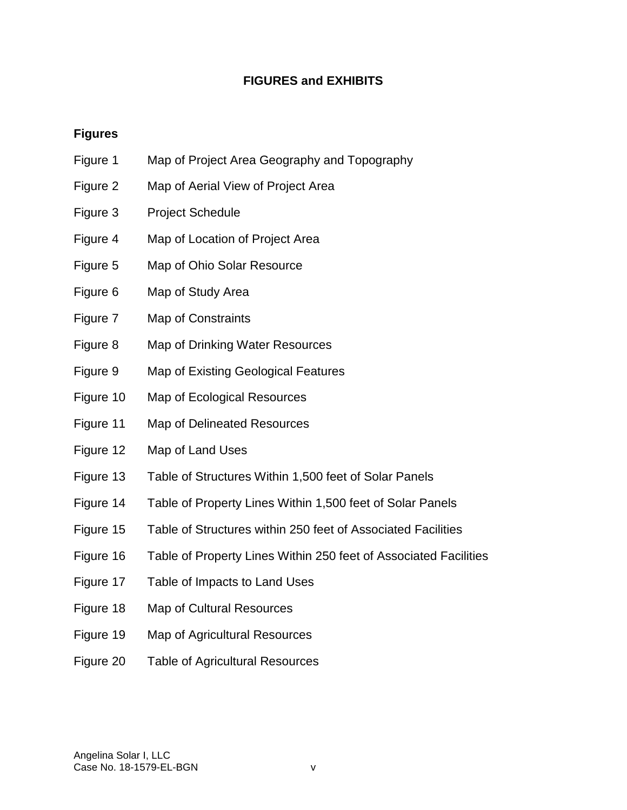# **FIGURES and EXHIBITS**

### **Figures**

- Figure 1 Map of Project Area Geography and Topography
- Figure 2 Map of Aerial View of Project Area
- Figure 3 Project Schedule
- Figure 4 Map of Location of Project Area
- Figure 5 Map of Ohio Solar Resource
- Figure 6 Map of Study Area
- Figure 7 Map of Constraints
- Figure 8 Map of Drinking Water Resources
- Figure 9 Map of Existing Geological Features
- Figure 10 Map of Ecological Resources
- Figure 11 Map of Delineated Resources
- Figure 12 Map of Land Uses
- Figure 13 Table of Structures Within 1,500 feet of Solar Panels
- Figure 14 Table of Property Lines Within 1,500 feet of Solar Panels
- Figure 15 Table of Structures within 250 feet of Associated Facilities
- Figure 16 Table of Property Lines Within 250 feet of Associated Facilities
- Figure 17 Table of Impacts to Land Uses
- Figure 18 Map of Cultural Resources
- Figure 19 Map of Agricultural Resources
- Figure 20 Table of Agricultural Resources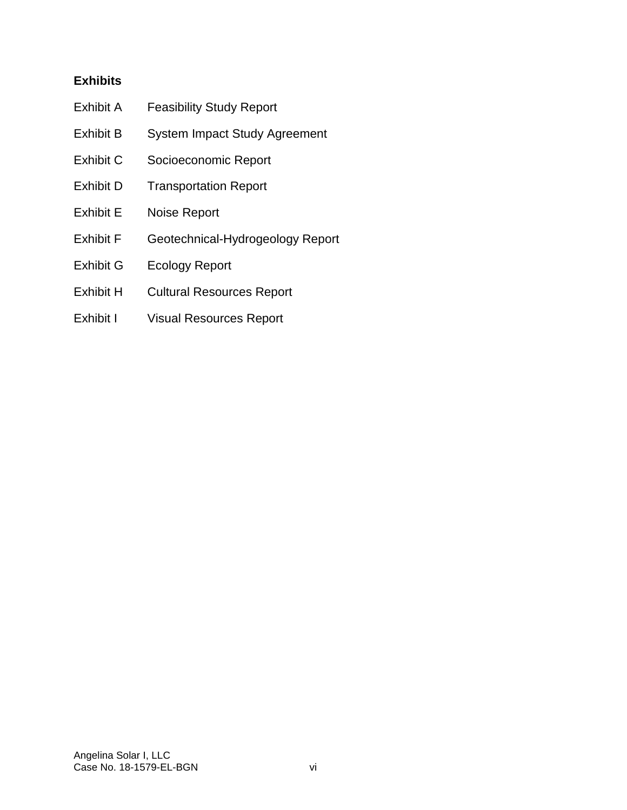## **Exhibits**

- Exhibit A Feasibility Study Report
- Exhibit B System Impact Study Agreement
- Exhibit C Socioeconomic Report
- Exhibit D Transportation Report
- Exhibit E Noise Report
- Exhibit F Geotechnical-Hydrogeology Report
- Exhibit G Ecology Report
- Exhibit H Cultural Resources Report
- Exhibit I Visual Resources Report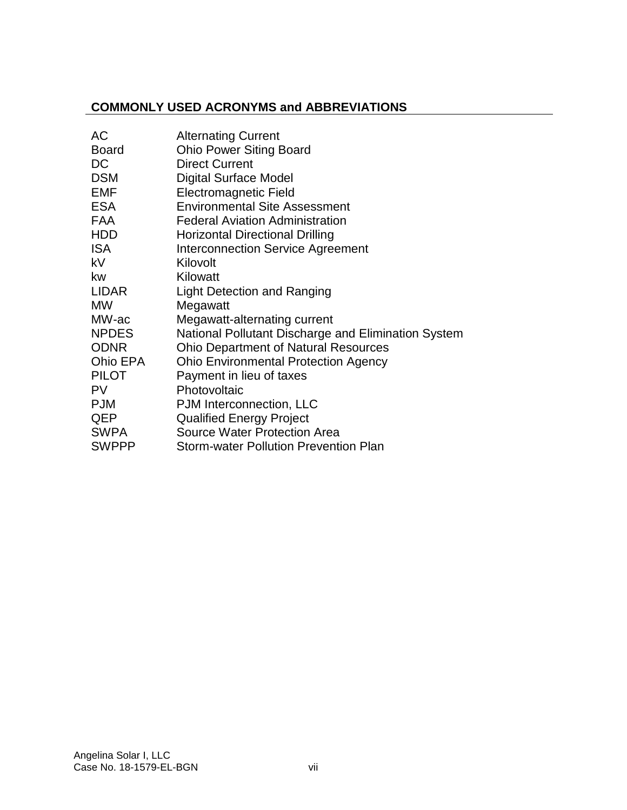### **COMMONLY USED ACRONYMS and ABBREVIATIONS**

| АC           | <b>Alternating Current</b>                          |
|--------------|-----------------------------------------------------|
| <b>Board</b> | <b>Ohio Power Siting Board</b>                      |
| <b>DC</b>    | <b>Direct Current</b>                               |
| <b>DSM</b>   | <b>Digital Surface Model</b>                        |
| <b>EMF</b>   | <b>Electromagnetic Field</b>                        |
| <b>ESA</b>   | <b>Environmental Site Assessment</b>                |
| <b>FAA</b>   | <b>Federal Aviation Administration</b>              |
| <b>HDD</b>   | <b>Horizontal Directional Drilling</b>              |
| <b>ISA</b>   | <b>Interconnection Service Agreement</b>            |
| <b>kV</b>    | Kilovolt                                            |
| <b>kw</b>    | Kilowatt                                            |
| LIDAR        | <b>Light Detection and Ranging</b>                  |
| <b>MW</b>    | Megawatt                                            |
| MW-ac        | Megawatt-alternating current                        |
| <b>NPDES</b> | National Pollutant Discharge and Elimination System |
| <b>ODNR</b>  | <b>Ohio Department of Natural Resources</b>         |
| Ohio EPA     | <b>Ohio Environmental Protection Agency</b>         |
| <b>PILOT</b> | Payment in lieu of taxes                            |
| <b>PV</b>    | Photovoltaic                                        |
| <b>PJM</b>   | PJM Interconnection, LLC                            |
| QEP          | <b>Qualified Energy Project</b>                     |
| <b>SWPA</b>  | <b>Source Water Protection Area</b>                 |
| <b>SWPPP</b> | <b>Storm-water Pollution Prevention Plan</b>        |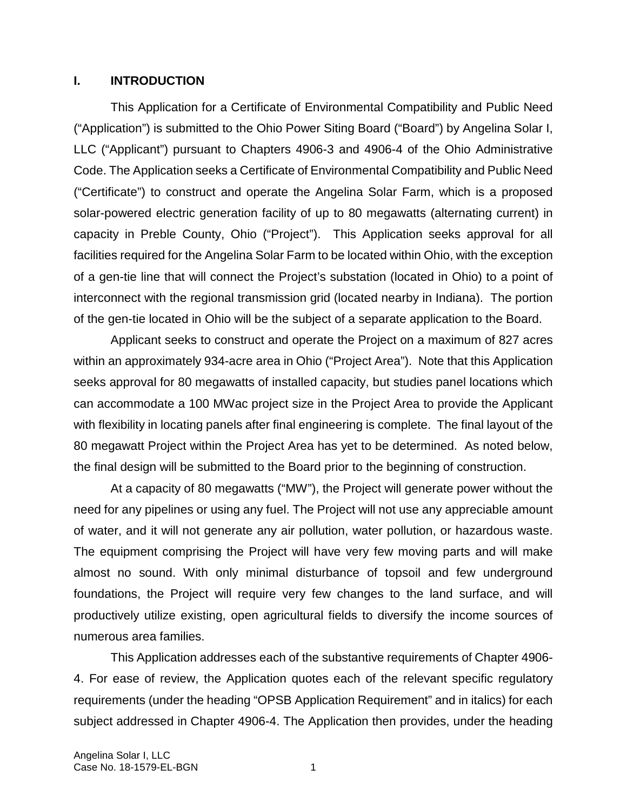#### **I. INTRODUCTION**

This Application for a Certificate of Environmental Compatibility and Public Need ("Application") is submitted to the Ohio Power Siting Board ("Board") by Angelina Solar I, LLC ("Applicant") pursuant to Chapters 4906-3 and 4906-4 of the Ohio Administrative Code. The Application seeks a Certificate of Environmental Compatibility and Public Need ("Certificate") to construct and operate the Angelina Solar Farm, which is a proposed solar-powered electric generation facility of up to 80 megawatts (alternating current) in capacity in Preble County, Ohio ("Project"). This Application seeks approval for all facilities required for the Angelina Solar Farm to be located within Ohio, with the exception of a gen-tie line that will connect the Project's substation (located in Ohio) to a point of interconnect with the regional transmission grid (located nearby in Indiana). The portion of the gen-tie located in Ohio will be the subject of a separate application to the Board.

Applicant seeks to construct and operate the Project on a maximum of 827 acres within an approximately 934-acre area in Ohio ("Project Area"). Note that this Application seeks approval for 80 megawatts of installed capacity, but studies panel locations which can accommodate a 100 MWac project size in the Project Area to provide the Applicant with flexibility in locating panels after final engineering is complete. The final layout of the 80 megawatt Project within the Project Area has yet to be determined. As noted below, the final design will be submitted to the Board prior to the beginning of construction.

At a capacity of 80 megawatts ("MW"), the Project will generate power without the need for any pipelines or using any fuel. The Project will not use any appreciable amount of water, and it will not generate any air pollution, water pollution, or hazardous waste. The equipment comprising the Project will have very few moving parts and will make almost no sound. With only minimal disturbance of topsoil and few underground foundations, the Project will require very few changes to the land surface, and will productively utilize existing, open agricultural fields to diversify the income sources of numerous area families.

This Application addresses each of the substantive requirements of Chapter 4906- 4. For ease of review, the Application quotes each of the relevant specific regulatory requirements (under the heading "OPSB Application Requirement" and in italics) for each subject addressed in Chapter 4906-4. The Application then provides, under the heading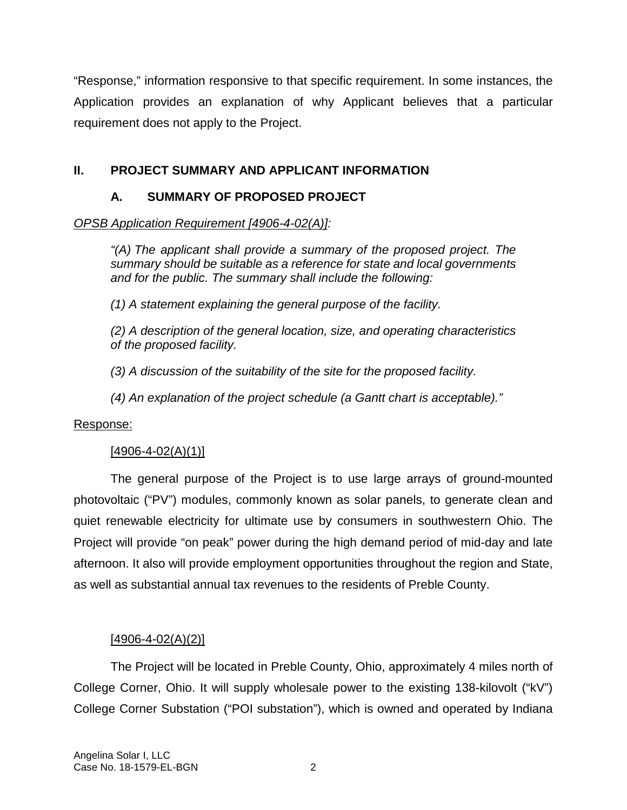"Response," information responsive to that specific requirement. In some instances, the Application provides an explanation of why Applicant believes that a particular requirement does not apply to the Project.

## **II. PROJECT SUMMARY AND APPLICANT INFORMATION**

## **A. SUMMARY OF PROPOSED PROJECT**

## *OPSB Application Requirement [4906-4-02(A)]:*

*"(A) The applicant shall provide a summary of the proposed project. The summary should be suitable as a reference for state and local governments and for the public. The summary shall include the following:* 

*(1) A statement explaining the general purpose of the facility.* 

*(2) A description of the general location, size, and operating characteristics of the proposed facility.* 

*(3) A discussion of the suitability of the site for the proposed facility.* 

*(4) An explanation of the project schedule (a Gantt chart is acceptable)."* 

### Response:

## $[4906 - 4 - 02(A)(1)]$

The general purpose of the Project is to use large arrays of ground-mounted photovoltaic ("PV") modules, commonly known as solar panels, to generate clean and quiet renewable electricity for ultimate use by consumers in southwestern Ohio. The Project will provide "on peak" power during the high demand period of mid-day and late afternoon. It also will provide employment opportunities throughout the region and State, as well as substantial annual tax revenues to the residents of Preble County.

## $[4906 - 4 - 02(A)(2)]$

The Project will be located in Preble County, Ohio, approximately 4 miles north of College Corner, Ohio. It will supply wholesale power to the existing 138-kilovolt ("kV") College Corner Substation ("POI substation"), which is owned and operated by Indiana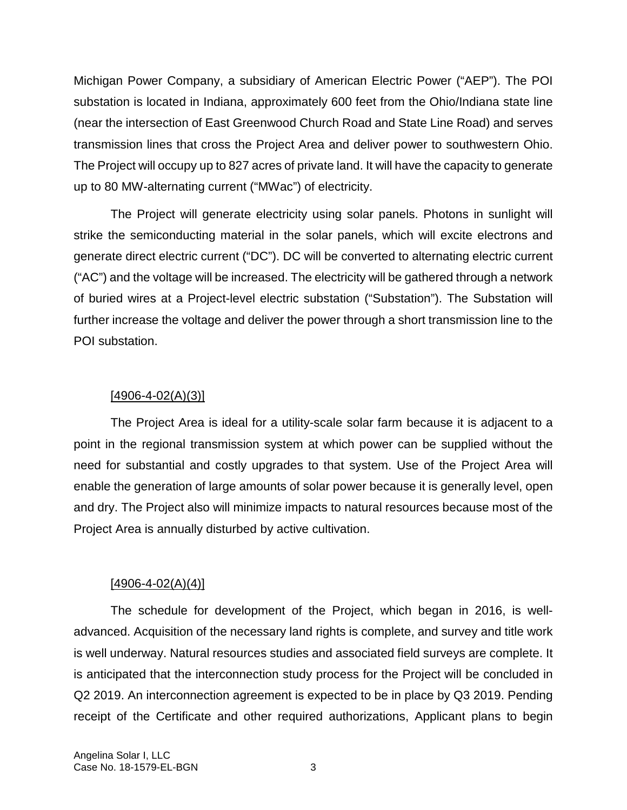Michigan Power Company, a subsidiary of American Electric Power ("AEP"). The POI substation is located in Indiana, approximately 600 feet from the Ohio/Indiana state line (near the intersection of East Greenwood Church Road and State Line Road) and serves transmission lines that cross the Project Area and deliver power to southwestern Ohio. The Project will occupy up to 827 acres of private land. It will have the capacity to generate up to 80 MW-alternating current ("MWac") of electricity.

The Project will generate electricity using solar panels. Photons in sunlight will strike the semiconducting material in the solar panels, which will excite electrons and generate direct electric current ("DC"). DC will be converted to alternating electric current ("AC") and the voltage will be increased. The electricity will be gathered through a network of buried wires at a Project-level electric substation ("Substation"). The Substation will further increase the voltage and deliver the power through a short transmission line to the POI substation.

## $[4906 - 4 - 02(A)(3)]$

The Project Area is ideal for a utility-scale solar farm because it is adjacent to a point in the regional transmission system at which power can be supplied without the need for substantial and costly upgrades to that system. Use of the Project Area will enable the generation of large amounts of solar power because it is generally level, open and dry. The Project also will minimize impacts to natural resources because most of the Project Area is annually disturbed by active cultivation.

## $[4906 - 4 - 02(A)(4)]$

The schedule for development of the Project, which began in 2016, is welladvanced. Acquisition of the necessary land rights is complete, and survey and title work is well underway. Natural resources studies and associated field surveys are complete. It is anticipated that the interconnection study process for the Project will be concluded in Q2 2019. An interconnection agreement is expected to be in place by Q3 2019. Pending receipt of the Certificate and other required authorizations, Applicant plans to begin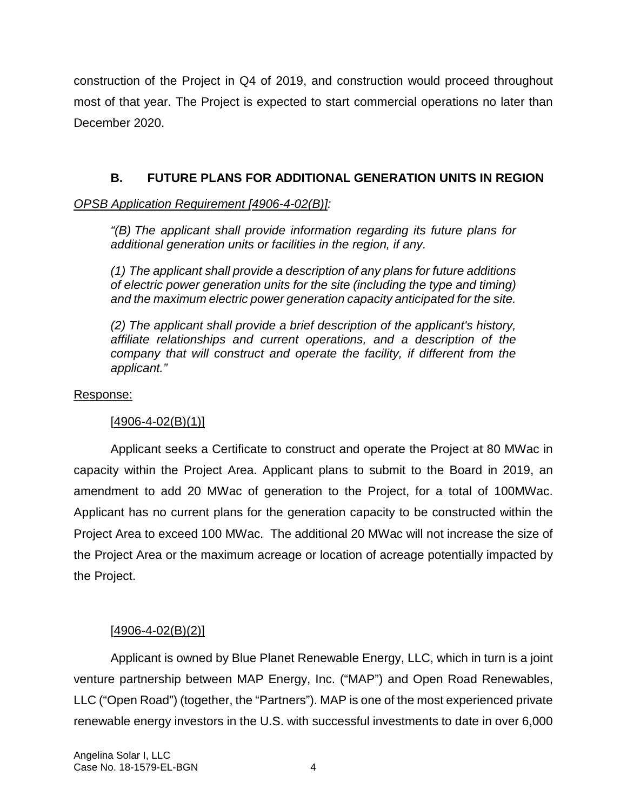construction of the Project in Q4 of 2019, and construction would proceed throughout most of that year. The Project is expected to start commercial operations no later than December 2020.

## **B. FUTURE PLANS FOR ADDITIONAL GENERATION UNITS IN REGION**

## *OPSB Application Requirement [4906-4-02(B)]:*

*"(B) The applicant shall provide information regarding its future plans for additional generation units or facilities in the region, if any.* 

*(1) The applicant shall provide a description of any plans for future additions of electric power generation units for the site (including the type and timing) and the maximum electric power generation capacity anticipated for the site.* 

*(2) The applicant shall provide a brief description of the applicant's history, affiliate relationships and current operations, and a description of the company that will construct and operate the facility, if different from the applicant."*

### Response:

## $[4906 - 4 - 02(B)(1)]$

Applicant seeks a Certificate to construct and operate the Project at 80 MWac in capacity within the Project Area. Applicant plans to submit to the Board in 2019, an amendment to add 20 MWac of generation to the Project, for a total of 100MWac. Applicant has no current plans for the generation capacity to be constructed within the Project Area to exceed 100 MWac. The additional 20 MWac will not increase the size of the Project Area or the maximum acreage or location of acreage potentially impacted by the Project.

## $[4906 - 4 - 02(B)(2)]$

Applicant is owned by Blue Planet Renewable Energy, LLC, which in turn is a joint venture partnership between MAP Energy, Inc. ("MAP") and Open Road Renewables, LLC ("Open Road") (together, the "Partners"). MAP is one of the most experienced private renewable energy investors in the U.S. with successful investments to date in over 6,000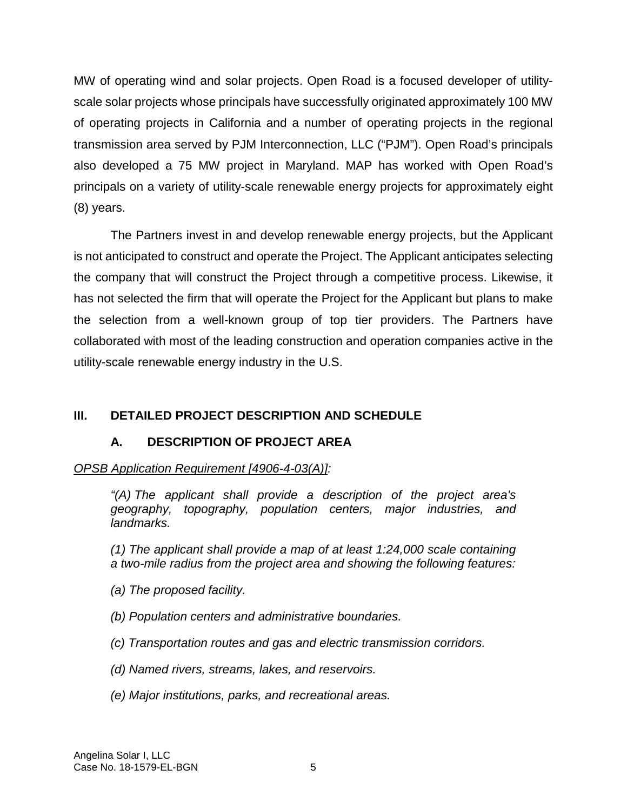MW of operating wind and solar projects. Open Road is a focused developer of utilityscale solar projects whose principals have successfully originated approximately 100 MW of operating projects in California and a number of operating projects in the regional transmission area served by PJM Interconnection, LLC ("PJM"). Open Road's principals also developed a 75 MW project in Maryland. MAP has worked with Open Road's principals on a variety of utility-scale renewable energy projects for approximately eight (8) years.

The Partners invest in and develop renewable energy projects, but the Applicant is not anticipated to construct and operate the Project. The Applicant anticipates selecting the company that will construct the Project through a competitive process. Likewise, it has not selected the firm that will operate the Project for the Applicant but plans to make the selection from a well-known group of top tier providers. The Partners have collaborated with most of the leading construction and operation companies active in the utility-scale renewable energy industry in the U.S.

## **III. DETAILED PROJECT DESCRIPTION AND SCHEDULE**

### **A. DESCRIPTION OF PROJECT AREA**

### *OPSB Application Requirement [4906-4-03(A)]:*

*"(A) The applicant shall provide a description of the project area's geography, topography, population centers, major industries, and landmarks.* 

*(1) The applicant shall provide a map of at least 1:24,000 scale containing a two-mile radius from the project area and showing the following features:* 

- *(a) The proposed facility.*
- *(b) Population centers and administrative boundaries.*
- *(c) Transportation routes and gas and electric transmission corridors.*
- *(d) Named rivers, streams, lakes, and reservoirs.*
- *(e) Major institutions, parks, and recreational areas.*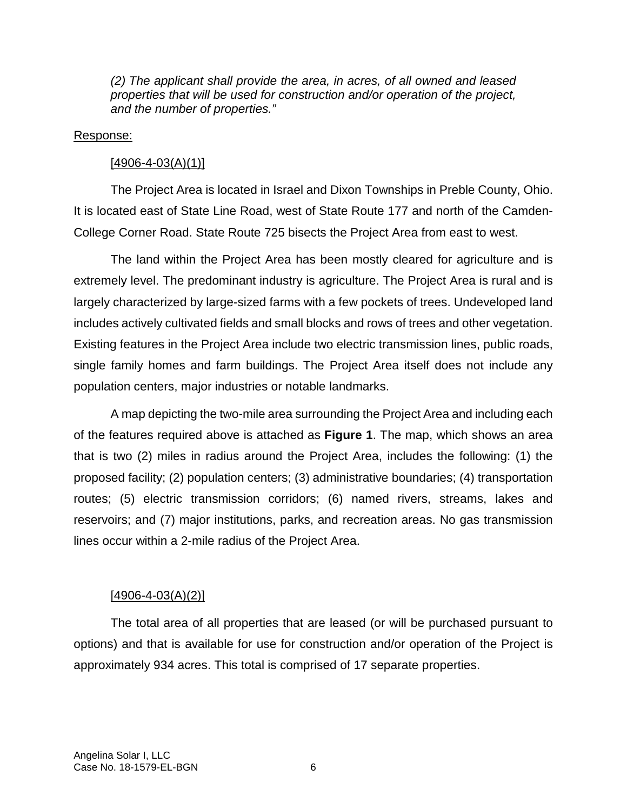*(2) The applicant shall provide the area, in acres, of all owned and leased properties that will be used for construction and/or operation of the project, and the number of properties."* 

#### Response:

### $[4906 - 4 - 03(A)(1)]$

The Project Area is located in Israel and Dixon Townships in Preble County, Ohio. It is located east of State Line Road, west of State Route 177 and north of the Camden-College Corner Road. State Route 725 bisects the Project Area from east to west.

The land within the Project Area has been mostly cleared for agriculture and is extremely level. The predominant industry is agriculture. The Project Area is rural and is largely characterized by large-sized farms with a few pockets of trees. Undeveloped land includes actively cultivated fields and small blocks and rows of trees and other vegetation. Existing features in the Project Area include two electric transmission lines, public roads, single family homes and farm buildings. The Project Area itself does not include any population centers, major industries or notable landmarks.

A map depicting the two-mile area surrounding the Project Area and including each of the features required above is attached as **Figure 1**. The map, which shows an area that is two (2) miles in radius around the Project Area, includes the following: (1) the proposed facility; (2) population centers; (3) administrative boundaries; (4) transportation routes; (5) electric transmission corridors; (6) named rivers, streams, lakes and reservoirs; and (7) major institutions, parks, and recreation areas. No gas transmission lines occur within a 2-mile radius of the Project Area.

### $[4906 - 4 - 03(A)(2)]$

The total area of all properties that are leased (or will be purchased pursuant to options) and that is available for use for construction and/or operation of the Project is approximately 934 acres. This total is comprised of 17 separate properties.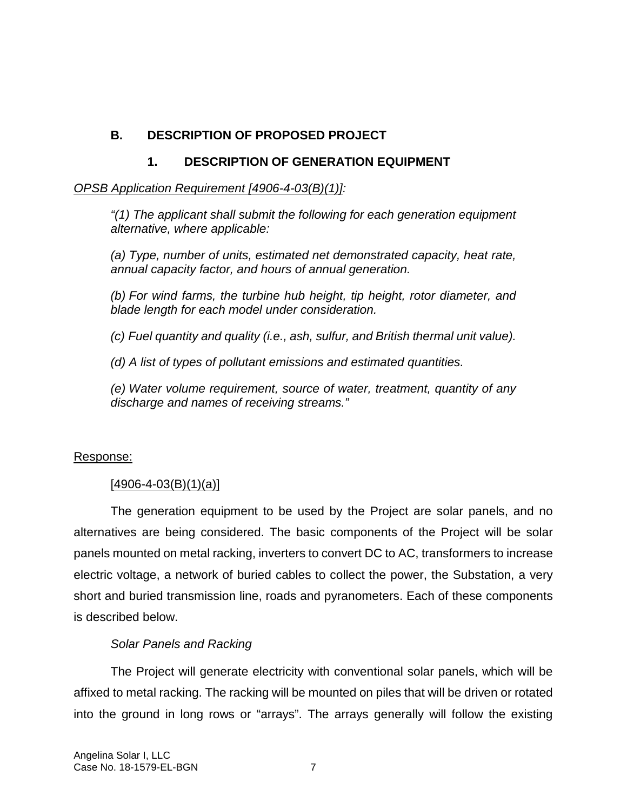# **B. DESCRIPTION OF PROPOSED PROJECT**

## **1. DESCRIPTION OF GENERATION EQUIPMENT**

### *OPSB Application Requirement [4906-4-03(B)(1)]:*

*"(1) The applicant shall submit the following for each generation equipment alternative, where applicable:* 

*(a) Type, number of units, estimated net demonstrated capacity, heat rate, annual capacity factor, and hours of annual generation.* 

*(b) For wind farms, the turbine hub height, tip height, rotor diameter, and blade length for each model under consideration.* 

*(c) Fuel quantity and quality (i.e., ash, sulfur, and British thermal unit value).* 

*(d) A list of types of pollutant emissions and estimated quantities.* 

*(e) Water volume requirement, source of water, treatment, quantity of any discharge and names of receiving streams."* 

### Response:

## $[4906 - 4 - 03(B)(1)(a)]$

The generation equipment to be used by the Project are solar panels, and no alternatives are being considered. The basic components of the Project will be solar panels mounted on metal racking, inverters to convert DC to AC, transformers to increase electric voltage, a network of buried cables to collect the power, the Substation, a very short and buried transmission line, roads and pyranometers. Each of these components is described below.

## *Solar Panels and Racking*

The Project will generate electricity with conventional solar panels, which will be affixed to metal racking. The racking will be mounted on piles that will be driven or rotated into the ground in long rows or "arrays". The arrays generally will follow the existing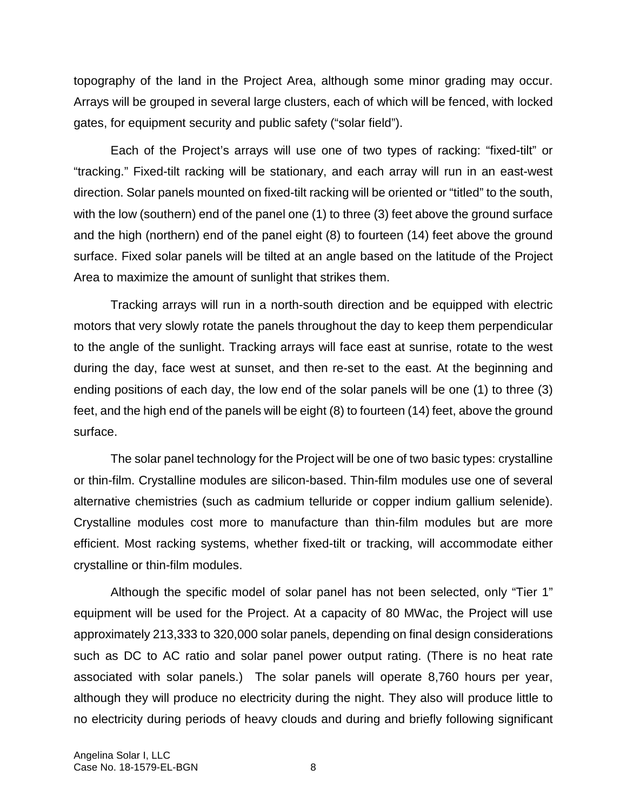topography of the land in the Project Area, although some minor grading may occur. Arrays will be grouped in several large clusters, each of which will be fenced, with locked gates, for equipment security and public safety ("solar field").

Each of the Project's arrays will use one of two types of racking: "fixed-tilt" or "tracking." Fixed-tilt racking will be stationary, and each array will run in an east-west direction. Solar panels mounted on fixed-tilt racking will be oriented or "titled" to the south, with the low (southern) end of the panel one (1) to three (3) feet above the ground surface and the high (northern) end of the panel eight (8) to fourteen (14) feet above the ground surface. Fixed solar panels will be tilted at an angle based on the latitude of the Project Area to maximize the amount of sunlight that strikes them.

Tracking arrays will run in a north-south direction and be equipped with electric motors that very slowly rotate the panels throughout the day to keep them perpendicular to the angle of the sunlight. Tracking arrays will face east at sunrise, rotate to the west during the day, face west at sunset, and then re-set to the east. At the beginning and ending positions of each day, the low end of the solar panels will be one (1) to three (3) feet, and the high end of the panels will be eight (8) to fourteen (14) feet, above the ground surface.

The solar panel technology for the Project will be one of two basic types: crystalline or thin-film. Crystalline modules are silicon-based. Thin-film modules use one of several alternative chemistries (such as cadmium telluride or copper indium gallium selenide). Crystalline modules cost more to manufacture than thin-film modules but are more efficient. Most racking systems, whether fixed-tilt or tracking, will accommodate either crystalline or thin-film modules.

Although the specific model of solar panel has not been selected, only "Tier 1" equipment will be used for the Project. At a capacity of 80 MWac, the Project will use approximately 213,333 to 320,000 solar panels, depending on final design considerations such as DC to AC ratio and solar panel power output rating. (There is no heat rate associated with solar panels.) The solar panels will operate 8,760 hours per year, although they will produce no electricity during the night. They also will produce little to no electricity during periods of heavy clouds and during and briefly following significant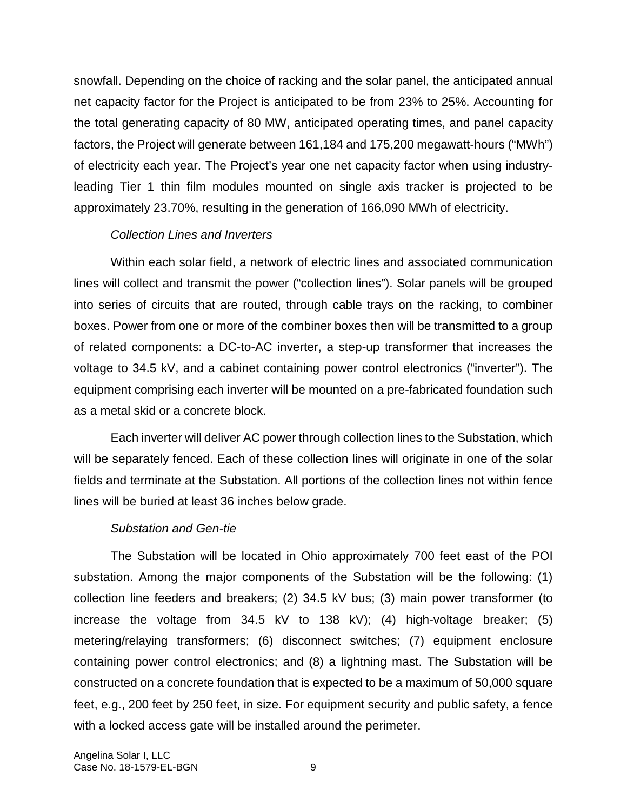snowfall. Depending on the choice of racking and the solar panel, the anticipated annual net capacity factor for the Project is anticipated to be from 23% to 25%. Accounting for the total generating capacity of 80 MW, anticipated operating times, and panel capacity factors, the Project will generate between 161,184 and 175,200 megawatt-hours ("MWh") of electricity each year. The Project's year one net capacity factor when using industryleading Tier 1 thin film modules mounted on single axis tracker is projected to be approximately 23.70%, resulting in the generation of 166,090 MWh of electricity.

### *Collection Lines and Inverters*

Within each solar field, a network of electric lines and associated communication lines will collect and transmit the power ("collection lines"). Solar panels will be grouped into series of circuits that are routed, through cable trays on the racking, to combiner boxes. Power from one or more of the combiner boxes then will be transmitted to a group of related components: a DC-to-AC inverter, a step-up transformer that increases the voltage to 34.5 kV, and a cabinet containing power control electronics ("inverter"). The equipment comprising each inverter will be mounted on a pre-fabricated foundation such as a metal skid or a concrete block.

Each inverter will deliver AC power through collection lines to the Substation, which will be separately fenced. Each of these collection lines will originate in one of the solar fields and terminate at the Substation. All portions of the collection lines not within fence lines will be buried at least 36 inches below grade.

### *Substation and Gen-tie*

The Substation will be located in Ohio approximately 700 feet east of the POI substation. Among the major components of the Substation will be the following: (1) collection line feeders and breakers; (2) 34.5 kV bus; (3) main power transformer (to increase the voltage from 34.5 kV to 138 kV); (4) high-voltage breaker; (5) metering/relaying transformers; (6) disconnect switches; (7) equipment enclosure containing power control electronics; and (8) a lightning mast. The Substation will be constructed on a concrete foundation that is expected to be a maximum of 50,000 square feet, e.g., 200 feet by 250 feet, in size. For equipment security and public safety, a fence with a locked access gate will be installed around the perimeter.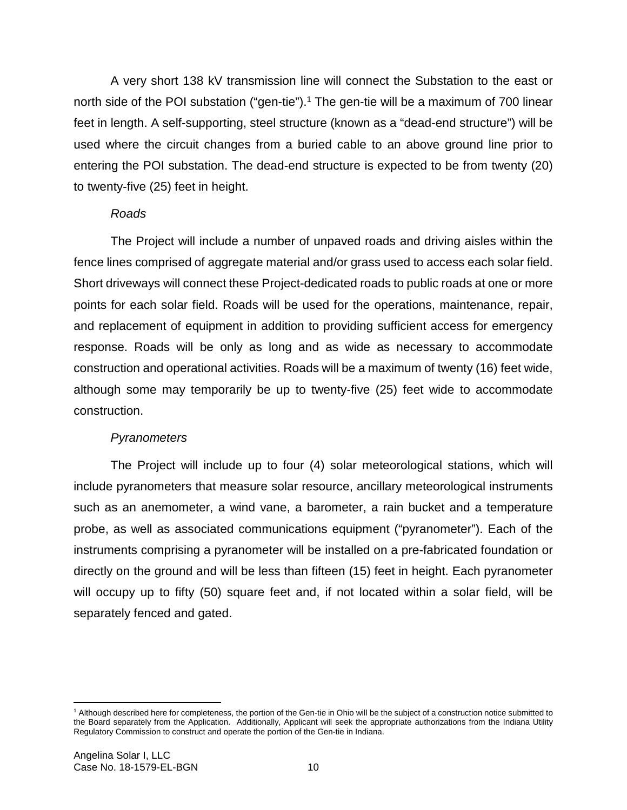A very short 138 kV transmission line will connect the Substation to the east or north side of the POI substation ("gen-tie").<sup>1</sup> The gen-tie will be a maximum of 700 linear feet in length. A self-supporting, steel structure (known as a "dead-end structure") will be used where the circuit changes from a buried cable to an above ground line prior to entering the POI substation. The dead-end structure is expected to be from twenty (20) to twenty-five (25) feet in height.

### *Roads*

The Project will include a number of unpaved roads and driving aisles within the fence lines comprised of aggregate material and/or grass used to access each solar field. Short driveways will connect these Project-dedicated roads to public roads at one or more points for each solar field. Roads will be used for the operations, maintenance, repair, and replacement of equipment in addition to providing sufficient access for emergency response. Roads will be only as long and as wide as necessary to accommodate construction and operational activities. Roads will be a maximum of twenty (16) feet wide, although some may temporarily be up to twenty-five (25) feet wide to accommodate construction.

### *Pyranometers*

The Project will include up to four (4) solar meteorological stations, which will include pyranometers that measure solar resource, ancillary meteorological instruments such as an anemometer, a wind vane, a barometer, a rain bucket and a temperature probe, as well as associated communications equipment ("pyranometer"). Each of the instruments comprising a pyranometer will be installed on a pre-fabricated foundation or directly on the ground and will be less than fifteen (15) feet in height. Each pyranometer will occupy up to fifty (50) square feet and, if not located within a solar field, will be separately fenced and gated.

<sup>&</sup>lt;sup>1</sup> Although described here for completeness, the portion of the Gen-tie in Ohio will be the subject of a construction notice submitted to the Board separately from the Application. Additionally, Applicant will seek the appropriate authorizations from the Indiana Utility Regulatory Commission to construct and operate the portion of the Gen-tie in Indiana.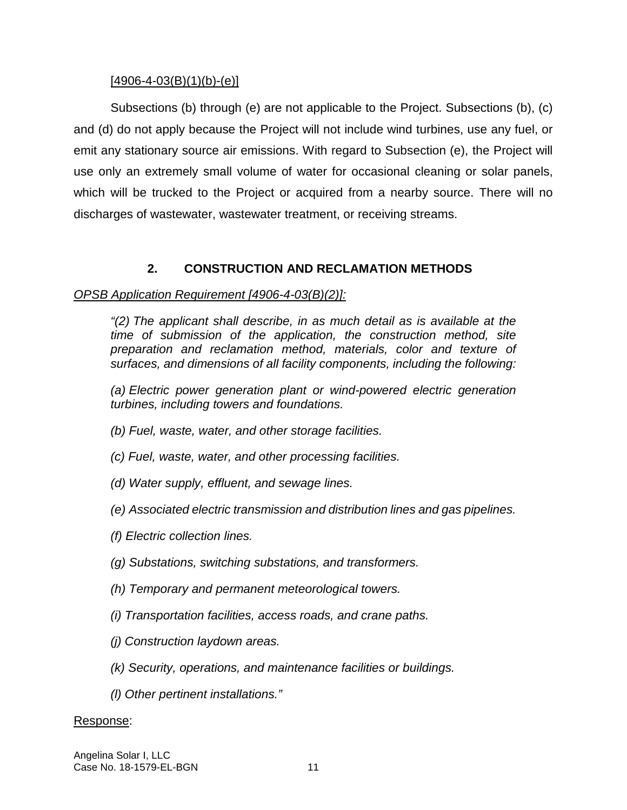### $[4906 - 4 - 03(B)(1)(b) - (e)]$

Subsections (b) through (e) are not applicable to the Project. Subsections (b), (c) and (d) do not apply because the Project will not include wind turbines, use any fuel, or emit any stationary source air emissions. With regard to Subsection (e), the Project will use only an extremely small volume of water for occasional cleaning or solar panels, which will be trucked to the Project or acquired from a nearby source. There will no discharges of wastewater, wastewater treatment, or receiving streams.

## **2. CONSTRUCTION AND RECLAMATION METHODS**

## *OPSB Application Requirement [4906-4-03(B)(2)]:*

*"(2) The applicant shall describe, in as much detail as is available at the time of submission of the application, the construction method, site preparation and reclamation method, materials, color and texture of surfaces, and dimensions of all facility components, including the following:* 

*(a) Electric power generation plant or wind-powered electric generation turbines, including towers and foundations.* 

- *(b) Fuel, waste, water, and other storage facilities.*
- *(c) Fuel, waste, water, and other processing facilities.*
- *(d) Water supply, effluent, and sewage lines.*
- *(e) Associated electric transmission and distribution lines and gas pipelines.*
- *(f) Electric collection lines.*
- *(g) Substations, switching substations, and transformers.*
- *(h) Temporary and permanent meteorological towers.*
- *(i) Transportation facilities, access roads, and crane paths.*
- *(j) Construction laydown areas.*
- *(k) Security, operations, and maintenance facilities or buildings.*
- *(l) Other pertinent installations."*

### Response: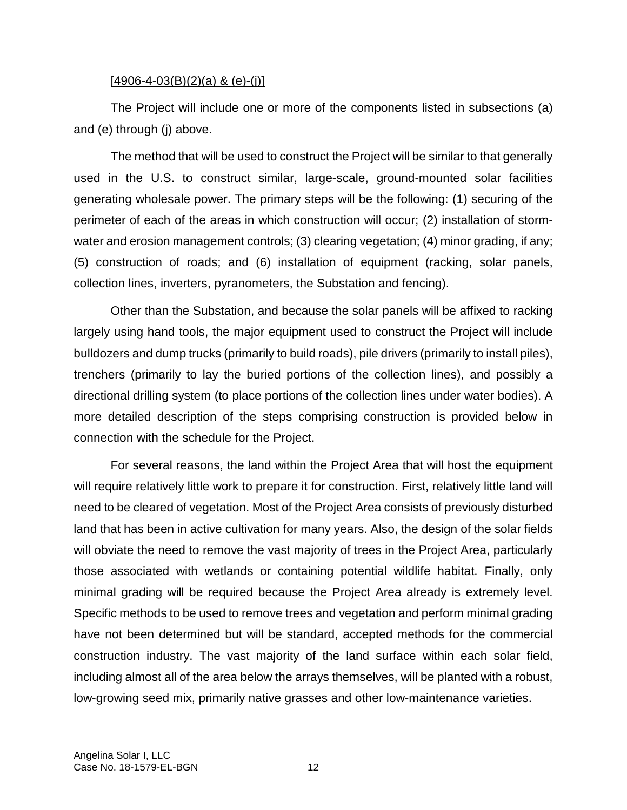#### $[4906 - 4 - 03(B)(2)(a)$  & (e)-(j)]

The Project will include one or more of the components listed in subsections (a) and (e) through (j) above.

The method that will be used to construct the Project will be similar to that generally used in the U.S. to construct similar, large-scale, ground-mounted solar facilities generating wholesale power. The primary steps will be the following: (1) securing of the perimeter of each of the areas in which construction will occur; (2) installation of stormwater and erosion management controls; (3) clearing vegetation; (4) minor grading, if any; (5) construction of roads; and (6) installation of equipment (racking, solar panels, collection lines, inverters, pyranometers, the Substation and fencing).

Other than the Substation, and because the solar panels will be affixed to racking largely using hand tools, the major equipment used to construct the Project will include bulldozers and dump trucks (primarily to build roads), pile drivers (primarily to install piles), trenchers (primarily to lay the buried portions of the collection lines), and possibly a directional drilling system (to place portions of the collection lines under water bodies). A more detailed description of the steps comprising construction is provided below in connection with the schedule for the Project.

For several reasons, the land within the Project Area that will host the equipment will require relatively little work to prepare it for construction. First, relatively little land will need to be cleared of vegetation. Most of the Project Area consists of previously disturbed land that has been in active cultivation for many years. Also, the design of the solar fields will obviate the need to remove the vast majority of trees in the Project Area, particularly those associated with wetlands or containing potential wildlife habitat. Finally, only minimal grading will be required because the Project Area already is extremely level. Specific methods to be used to remove trees and vegetation and perform minimal grading have not been determined but will be standard, accepted methods for the commercial construction industry. The vast majority of the land surface within each solar field, including almost all of the area below the arrays themselves, will be planted with a robust, low-growing seed mix, primarily native grasses and other low-maintenance varieties.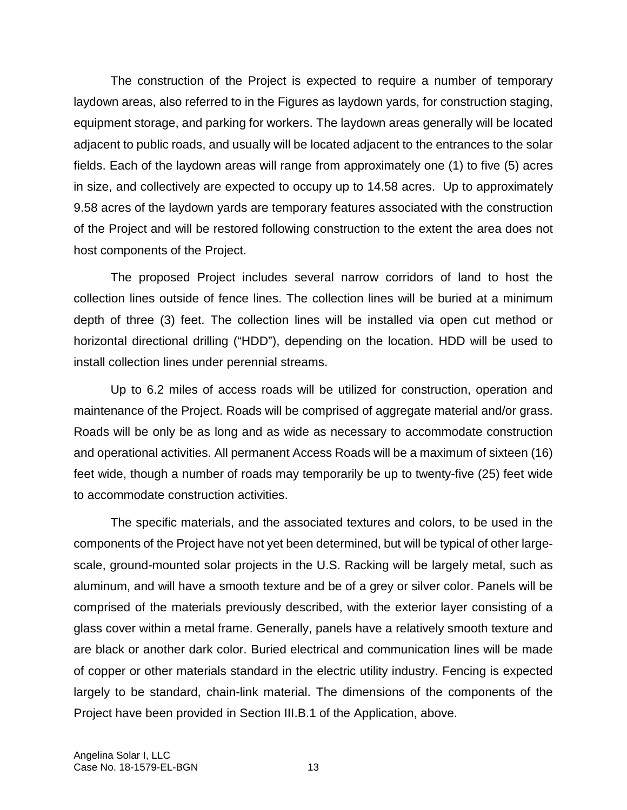The construction of the Project is expected to require a number of temporary laydown areas, also referred to in the Figures as laydown yards, for construction staging, equipment storage, and parking for workers. The laydown areas generally will be located adjacent to public roads, and usually will be located adjacent to the entrances to the solar fields. Each of the laydown areas will range from approximately one (1) to five (5) acres in size, and collectively are expected to occupy up to 14.58 acres. Up to approximately 9.58 acres of the laydown yards are temporary features associated with the construction of the Project and will be restored following construction to the extent the area does not host components of the Project.

The proposed Project includes several narrow corridors of land to host the collection lines outside of fence lines. The collection lines will be buried at a minimum depth of three (3) feet. The collection lines will be installed via open cut method or horizontal directional drilling ("HDD"), depending on the location. HDD will be used to install collection lines under perennial streams.

Up to 6.2 miles of access roads will be utilized for construction, operation and maintenance of the Project. Roads will be comprised of aggregate material and/or grass. Roads will be only be as long and as wide as necessary to accommodate construction and operational activities. All permanent Access Roads will be a maximum of sixteen (16) feet wide, though a number of roads may temporarily be up to twenty-five (25) feet wide to accommodate construction activities.

The specific materials, and the associated textures and colors, to be used in the components of the Project have not yet been determined, but will be typical of other largescale, ground-mounted solar projects in the U.S. Racking will be largely metal, such as aluminum, and will have a smooth texture and be of a grey or silver color. Panels will be comprised of the materials previously described, with the exterior layer consisting of a glass cover within a metal frame. Generally, panels have a relatively smooth texture and are black or another dark color. Buried electrical and communication lines will be made of copper or other materials standard in the electric utility industry. Fencing is expected largely to be standard, chain-link material. The dimensions of the components of the Project have been provided in Section III.B.1 of the Application, above.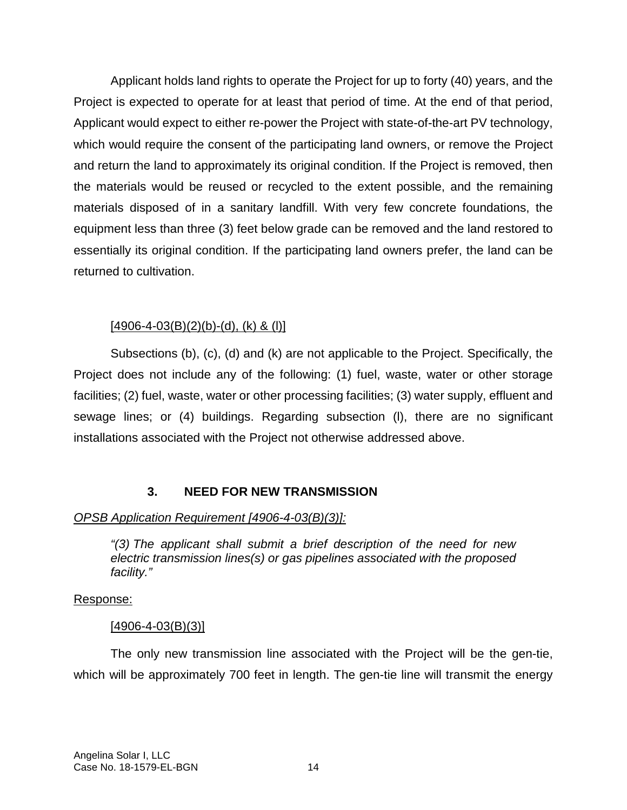Applicant holds land rights to operate the Project for up to forty (40) years, and the Project is expected to operate for at least that period of time. At the end of that period, Applicant would expect to either re-power the Project with state-of-the-art PV technology, which would require the consent of the participating land owners, or remove the Project and return the land to approximately its original condition. If the Project is removed, then the materials would be reused or recycled to the extent possible, and the remaining materials disposed of in a sanitary landfill. With very few concrete foundations, the equipment less than three (3) feet below grade can be removed and the land restored to essentially its original condition. If the participating land owners prefer, the land can be returned to cultivation.

## $[4906 - 4 - 03(B)(2)(b) - (d), (k)$  & (l)]

Subsections (b), (c), (d) and (k) are not applicable to the Project. Specifically, the Project does not include any of the following: (1) fuel, waste, water or other storage facilities; (2) fuel, waste, water or other processing facilities; (3) water supply, effluent and sewage lines; or (4) buildings. Regarding subsection (l), there are no significant installations associated with the Project not otherwise addressed above.

# **3. NEED FOR NEW TRANSMISSION**

# *OPSB Application Requirement [4906-4-03(B)(3)]:*

*"(3) The applicant shall submit a brief description of the need for new electric transmission lines(s) or gas pipelines associated with the proposed facility."*

## Response:

## $[4906 - 4 - 03(B)(3)]$

The only new transmission line associated with the Project will be the gen-tie, which will be approximately 700 feet in length. The gen-tie line will transmit the energy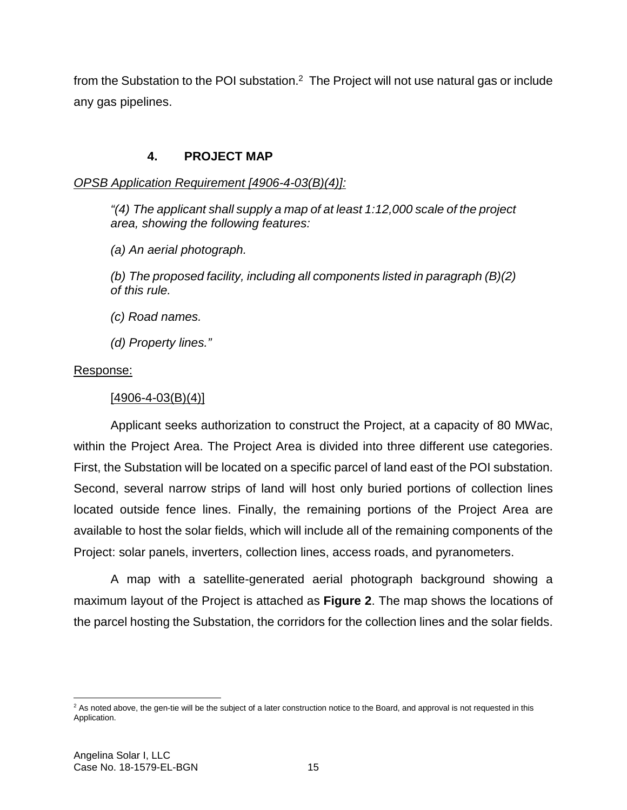from the Substation to the POI substation. $2$  The Project will not use natural gas or include any gas pipelines.

### **4. PROJECT MAP**

*OPSB Application Requirement [4906-4-03(B)(4)]:*

*"(4) The applicant shall supply a map of at least 1:12,000 scale of the project area, showing the following features:* 

*(a) An aerial photograph.* 

*(b) The proposed facility, including all components listed in paragraph (B)(2) of this rule.* 

*(c) Road names.* 

*(d) Property lines."*

### Response:

### $[4906 - 4 - 03(B)(4)]$

Applicant seeks authorization to construct the Project, at a capacity of 80 MWac, within the Project Area. The Project Area is divided into three different use categories. First, the Substation will be located on a specific parcel of land east of the POI substation. Second, several narrow strips of land will host only buried portions of collection lines located outside fence lines. Finally, the remaining portions of the Project Area are available to host the solar fields, which will include all of the remaining components of the Project: solar panels, inverters, collection lines, access roads, and pyranometers.

A map with a satellite-generated aerial photograph background showing a maximum layout of the Project is attached as **Figure 2**. The map shows the locations of the parcel hosting the Substation, the corridors for the collection lines and the solar fields.

 $2$  As noted above, the gen-tie will be the subject of a later construction notice to the Board, and approval is not requested in this Application.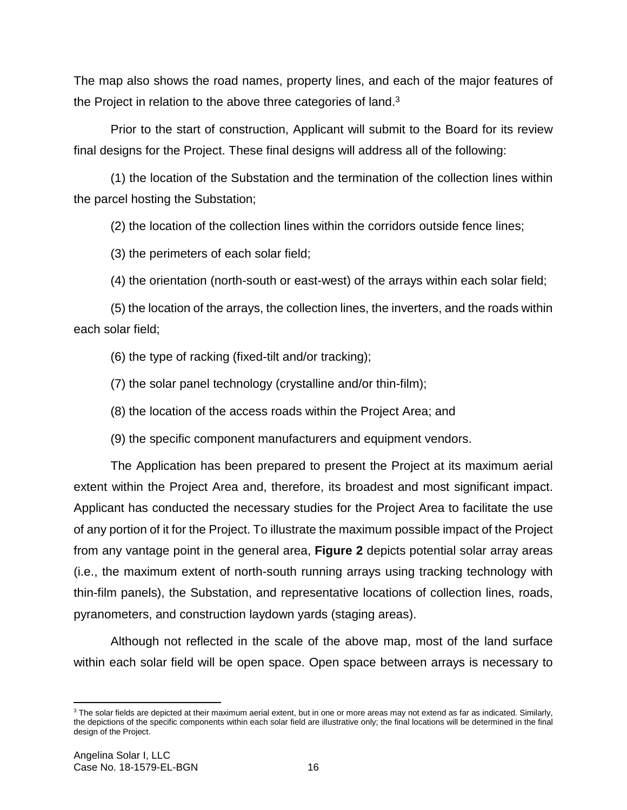The map also shows the road names, property lines, and each of the major features of the Project in relation to the above three categories of land.<sup>3</sup>

Prior to the start of construction, Applicant will submit to the Board for its review final designs for the Project. These final designs will address all of the following:

(1) the location of the Substation and the termination of the collection lines within the parcel hosting the Substation;

(2) the location of the collection lines within the corridors outside fence lines;

(3) the perimeters of each solar field;

(4) the orientation (north-south or east-west) of the arrays within each solar field;

(5) the location of the arrays, the collection lines, the inverters, and the roads within each solar field;

(6) the type of racking (fixed-tilt and/or tracking);

(7) the solar panel technology (crystalline and/or thin-film);

(8) the location of the access roads within the Project Area; and

(9) the specific component manufacturers and equipment vendors.

The Application has been prepared to present the Project at its maximum aerial extent within the Project Area and, therefore, its broadest and most significant impact. Applicant has conducted the necessary studies for the Project Area to facilitate the use of any portion of it for the Project. To illustrate the maximum possible impact of the Project from any vantage point in the general area, **Figure 2** depicts potential solar array areas (i.e., the maximum extent of north-south running arrays using tracking technology with thin-film panels), the Substation, and representative locations of collection lines, roads, pyranometers, and construction laydown yards (staging areas).

Although not reflected in the scale of the above map, most of the land surface within each solar field will be open space. Open space between arrays is necessary to

 $3$  The solar fields are depicted at their maximum aerial extent, but in one or more areas may not extend as far as indicated. Similarly, the depictions of the specific components within each solar field are illustrative only; the final locations will be determined in the final design of the Project.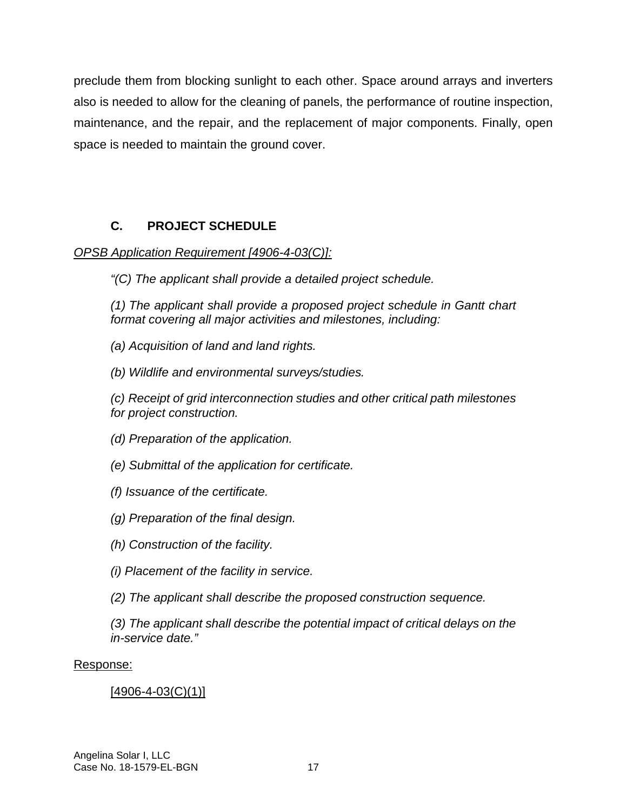preclude them from blocking sunlight to each other. Space around arrays and inverters also is needed to allow for the cleaning of panels, the performance of routine inspection, maintenance, and the repair, and the replacement of major components. Finally, open space is needed to maintain the ground cover.

# **C. PROJECT SCHEDULE**

## *OPSB Application Requirement [4906-4-03(C)]:*

*"(C) The applicant shall provide a detailed project schedule.* 

*(1) The applicant shall provide a proposed project schedule in Gantt chart format covering all major activities and milestones, including:* 

*(a) Acquisition of land and land rights.* 

*(b) Wildlife and environmental surveys/studies.* 

*(c) Receipt of grid interconnection studies and other critical path milestones for project construction.* 

*(d) Preparation of the application.* 

*(e) Submittal of the application for certificate.* 

*(f) Issuance of the certificate.* 

*(g) Preparation of the final design.* 

*(h) Construction of the facility.* 

*(i) Placement of the facility in service.* 

*(2) The applicant shall describe the proposed construction sequence.* 

*(3) The applicant shall describe the potential impact of critical delays on the in-service date."* 

## Response:

# $[4906 - 4 - 03(C)(1)]$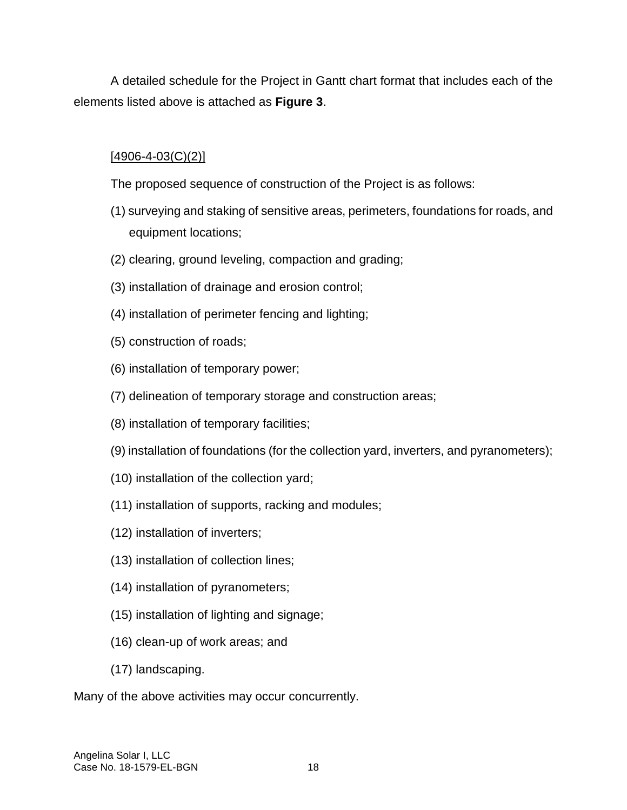A detailed schedule for the Project in Gantt chart format that includes each of the elements listed above is attached as **Figure 3**.

## $[4906 - 4 - 03(C)(2)]$

The proposed sequence of construction of the Project is as follows:

- (1) surveying and staking of sensitive areas, perimeters, foundations for roads, and equipment locations;
- (2) clearing, ground leveling, compaction and grading;
- (3) installation of drainage and erosion control;
- (4) installation of perimeter fencing and lighting;
- (5) construction of roads;
- (6) installation of temporary power;
- (7) delineation of temporary storage and construction areas;
- (8) installation of temporary facilities;
- (9) installation of foundations (for the collection yard, inverters, and pyranometers);
- (10) installation of the collection yard;
- (11) installation of supports, racking and modules;
- (12) installation of inverters;
- (13) installation of collection lines;
- (14) installation of pyranometers;
- (15) installation of lighting and signage;
- (16) clean-up of work areas; and
- (17) landscaping.

Many of the above activities may occur concurrently.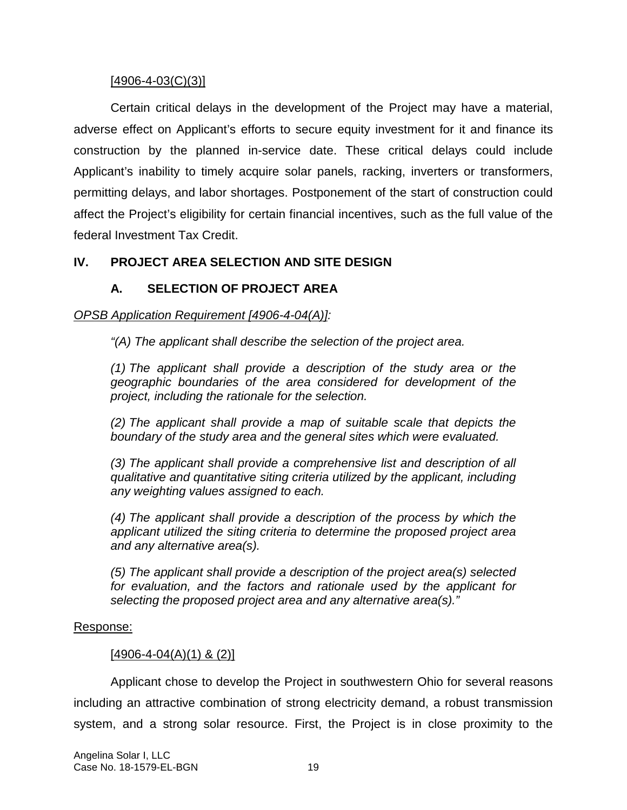#### $[4906 - 4 - 03(C)(3)]$

Certain critical delays in the development of the Project may have a material, adverse effect on Applicant's efforts to secure equity investment for it and finance its construction by the planned in-service date. These critical delays could include Applicant's inability to timely acquire solar panels, racking, inverters or transformers, permitting delays, and labor shortages. Postponement of the start of construction could affect the Project's eligibility for certain financial incentives, such as the full value of the federal Investment Tax Credit.

### **IV. PROJECT AREA SELECTION AND SITE DESIGN**

## **A. SELECTION OF PROJECT AREA**

### *OPSB Application Requirement [4906-4-04(A)]:*

*"(A) The applicant shall describe the selection of the project area.* 

*(1) The applicant shall provide a description of the study area or the geographic boundaries of the area considered for development of the project, including the rationale for the selection.* 

*(2) The applicant shall provide a map of suitable scale that depicts the boundary of the study area and the general sites which were evaluated.* 

*(3) The applicant shall provide a comprehensive list and description of all qualitative and quantitative siting criteria utilized by the applicant, including any weighting values assigned to each.* 

*(4) The applicant shall provide a description of the process by which the applicant utilized the siting criteria to determine the proposed project area and any alternative area(s).* 

*(5) The applicant shall provide a description of the project area(s) selected for evaluation, and the factors and rationale used by the applicant for selecting the proposed project area and any alternative area(s)."* 

#### Response:

### $[4906 - 4 - 04(A)(1)$  & (2)]

Applicant chose to develop the Project in southwestern Ohio for several reasons including an attractive combination of strong electricity demand, a robust transmission system, and a strong solar resource. First, the Project is in close proximity to the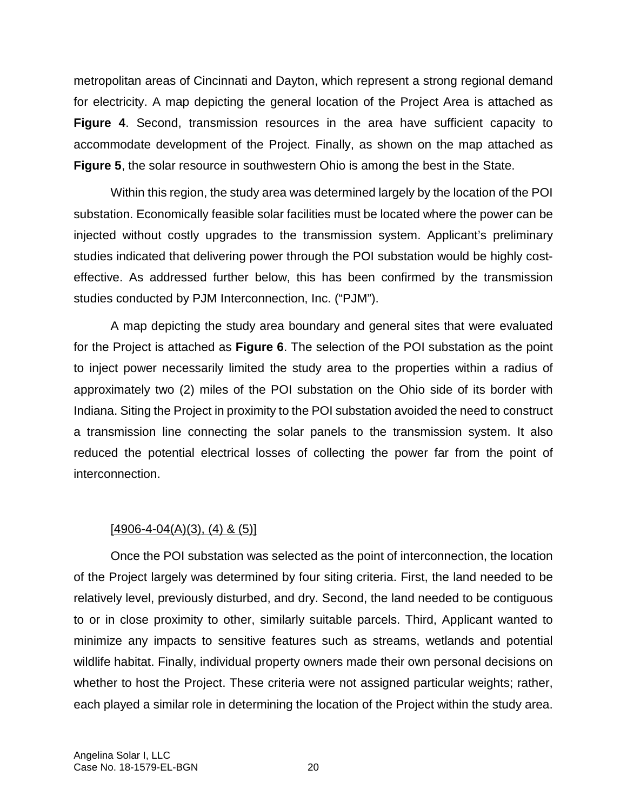metropolitan areas of Cincinnati and Dayton, which represent a strong regional demand for electricity. A map depicting the general location of the Project Area is attached as **Figure 4**. Second, transmission resources in the area have sufficient capacity to accommodate development of the Project. Finally, as shown on the map attached as **Figure 5**, the solar resource in southwestern Ohio is among the best in the State.

Within this region, the study area was determined largely by the location of the POI substation. Economically feasible solar facilities must be located where the power can be injected without costly upgrades to the transmission system. Applicant's preliminary studies indicated that delivering power through the POI substation would be highly costeffective. As addressed further below, this has been confirmed by the transmission studies conducted by PJM Interconnection, Inc. ("PJM").

A map depicting the study area boundary and general sites that were evaluated for the Project is attached as **Figure 6**. The selection of the POI substation as the point to inject power necessarily limited the study area to the properties within a radius of approximately two (2) miles of the POI substation on the Ohio side of its border with Indiana. Siting the Project in proximity to the POI substation avoided the need to construct a transmission line connecting the solar panels to the transmission system. It also reduced the potential electrical losses of collecting the power far from the point of interconnection.

### $[4906-4-04(A)(3), (4)$  &  $(5)]$

Once the POI substation was selected as the point of interconnection, the location of the Project largely was determined by four siting criteria. First, the land needed to be relatively level, previously disturbed, and dry. Second, the land needed to be contiguous to or in close proximity to other, similarly suitable parcels. Third, Applicant wanted to minimize any impacts to sensitive features such as streams, wetlands and potential wildlife habitat. Finally, individual property owners made their own personal decisions on whether to host the Project. These criteria were not assigned particular weights; rather, each played a similar role in determining the location of the Project within the study area.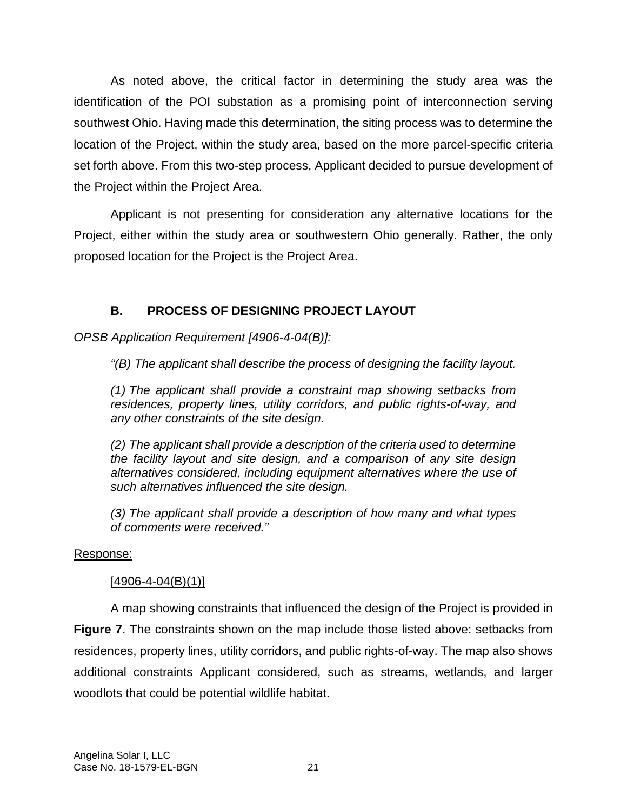As noted above, the critical factor in determining the study area was the identification of the POI substation as a promising point of interconnection serving southwest Ohio. Having made this determination, the siting process was to determine the location of the Project, within the study area, based on the more parcel-specific criteria set forth above. From this two-step process, Applicant decided to pursue development of the Project within the Project Area.

Applicant is not presenting for consideration any alternative locations for the Project, either within the study area or southwestern Ohio generally. Rather, the only proposed location for the Project is the Project Area.

## **B. PROCESS OF DESIGNING PROJECT LAYOUT**

## *OPSB Application Requirement [4906-4-04(B)]:*

*"(B) The applicant shall describe the process of designing the facility layout.* 

*(1) The applicant shall provide a constraint map showing setbacks from residences, property lines, utility corridors, and public rights-of-way, and any other constraints of the site design.* 

*(2) The applicant shall provide a description of the criteria used to determine the facility layout and site design, and a comparison of any site design alternatives considered, including equipment alternatives where the use of such alternatives influenced the site design.* 

*(3) The applicant shall provide a description of how many and what types of comments were received."* 

## Response:

## $[4906 - 4 - 04(B)(1)]$

A map showing constraints that influenced the design of the Project is provided in **Figure 7**. The constraints shown on the map include those listed above: setbacks from residences, property lines, utility corridors, and public rights-of-way. The map also shows additional constraints Applicant considered, such as streams, wetlands, and larger woodlots that could be potential wildlife habitat.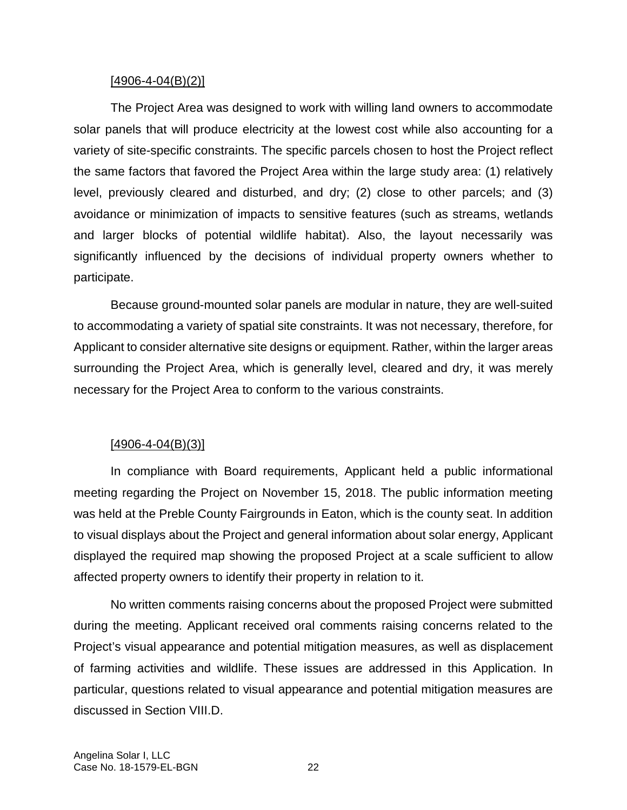#### $[4906 - 4 - 04(B)(2)]$

The Project Area was designed to work with willing land owners to accommodate solar panels that will produce electricity at the lowest cost while also accounting for a variety of site-specific constraints. The specific parcels chosen to host the Project reflect the same factors that favored the Project Area within the large study area: (1) relatively level, previously cleared and disturbed, and dry; (2) close to other parcels; and (3) avoidance or minimization of impacts to sensitive features (such as streams, wetlands and larger blocks of potential wildlife habitat). Also, the layout necessarily was significantly influenced by the decisions of individual property owners whether to participate.

Because ground-mounted solar panels are modular in nature, they are well-suited to accommodating a variety of spatial site constraints. It was not necessary, therefore, for Applicant to consider alternative site designs or equipment. Rather, within the larger areas surrounding the Project Area, which is generally level, cleared and dry, it was merely necessary for the Project Area to conform to the various constraints.

### $[4906 - 4 - 04(B)(3)]$

In compliance with Board requirements, Applicant held a public informational meeting regarding the Project on November 15, 2018. The public information meeting was held at the Preble County Fairgrounds in Eaton, which is the county seat. In addition to visual displays about the Project and general information about solar energy, Applicant displayed the required map showing the proposed Project at a scale sufficient to allow affected property owners to identify their property in relation to it.

No written comments raising concerns about the proposed Project were submitted during the meeting. Applicant received oral comments raising concerns related to the Project's visual appearance and potential mitigation measures, as well as displacement of farming activities and wildlife. These issues are addressed in this Application. In particular, questions related to visual appearance and potential mitigation measures are discussed in Section VIII.D.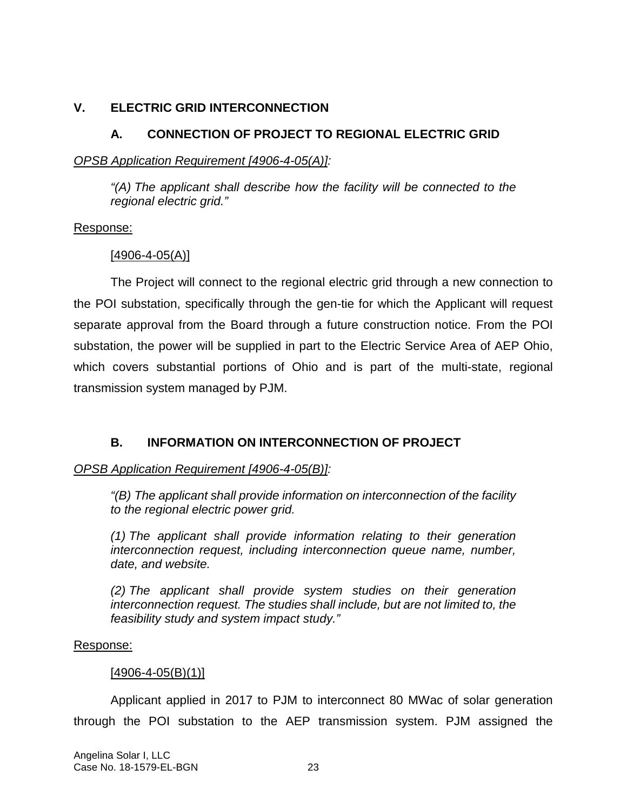## **V. ELECTRIC GRID INTERCONNECTION**

# **A. CONNECTION OF PROJECT TO REGIONAL ELECTRIC GRID**

*OPSB Application Requirement [4906-4-05(A)]:* 

*"(A) The applicant shall describe how the facility will be connected to the regional electric grid."* 

### Response:

## [4906-4-05(A)]

The Project will connect to the regional electric grid through a new connection to the POI substation, specifically through the gen-tie for which the Applicant will request separate approval from the Board through a future construction notice. From the POI substation, the power will be supplied in part to the Electric Service Area of AEP Ohio, which covers substantial portions of Ohio and is part of the multi-state, regional transmission system managed by PJM.

# **B. INFORMATION ON INTERCONNECTION OF PROJECT**

## *OPSB Application Requirement [4906-4-05(B)]:*

*"(B) The applicant shall provide information on interconnection of the facility to the regional electric power grid.* 

*(1) The applicant shall provide information relating to their generation interconnection request, including interconnection queue name, number, date, and website.* 

*(2) The applicant shall provide system studies on their generation interconnection request. The studies shall include, but are not limited to, the feasibility study and system impact study."* 

### Response:

### $[4906 - 4 - 05(B)(1)]$

Applicant applied in 2017 to PJM to interconnect 80 MWac of solar generation through the POI substation to the AEP transmission system. PJM assigned the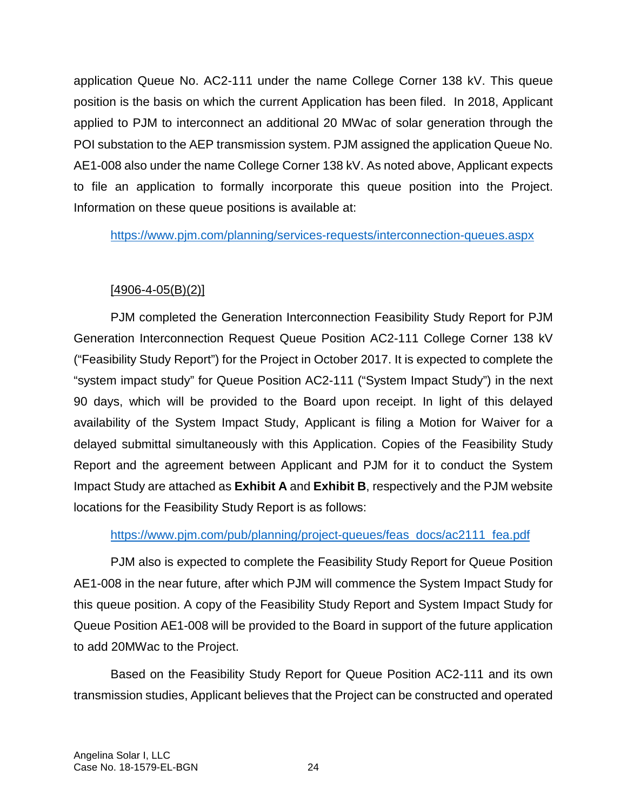application Queue No. AC2-111 under the name College Corner 138 kV. This queue position is the basis on which the current Application has been filed. In 2018, Applicant applied to PJM to interconnect an additional 20 MWac of solar generation through the POI substation to the AEP transmission system. PJM assigned the application Queue No. AE1-008 also under the name College Corner 138 kV. As noted above, Applicant expects to file an application to formally incorporate this queue position into the Project. Information on these queue positions is available at:

https://www.pjm.com/planning/services-requests/interconnection-queues.aspx

# $[4906 - 4 - 05(B)(2)]$

PJM completed the Generation Interconnection Feasibility Study Report for PJM Generation Interconnection Request Queue Position AC2-111 College Corner 138 kV ("Feasibility Study Report") for the Project in October 2017. It is expected to complete the "system impact study" for Queue Position AC2-111 ("System Impact Study") in the next 90 days, which will be provided to the Board upon receipt. In light of this delayed availability of the System Impact Study, Applicant is filing a Motion for Waiver for a delayed submittal simultaneously with this Application. Copies of the Feasibility Study Report and the agreement between Applicant and PJM for it to conduct the System Impact Study are attached as **Exhibit A** and **Exhibit B**, respectively and the PJM website locations for the Feasibility Study Report is as follows:

## https://www.pjm.com/pub/planning/project-queues/feas\_docs/ac2111\_fea.pdf

PJM also is expected to complete the Feasibility Study Report for Queue Position AE1-008 in the near future, after which PJM will commence the System Impact Study for this queue position. A copy of the Feasibility Study Report and System Impact Study for Queue Position AE1-008 will be provided to the Board in support of the future application to add 20MWac to the Project.

Based on the Feasibility Study Report for Queue Position AC2-111 and its own transmission studies, Applicant believes that the Project can be constructed and operated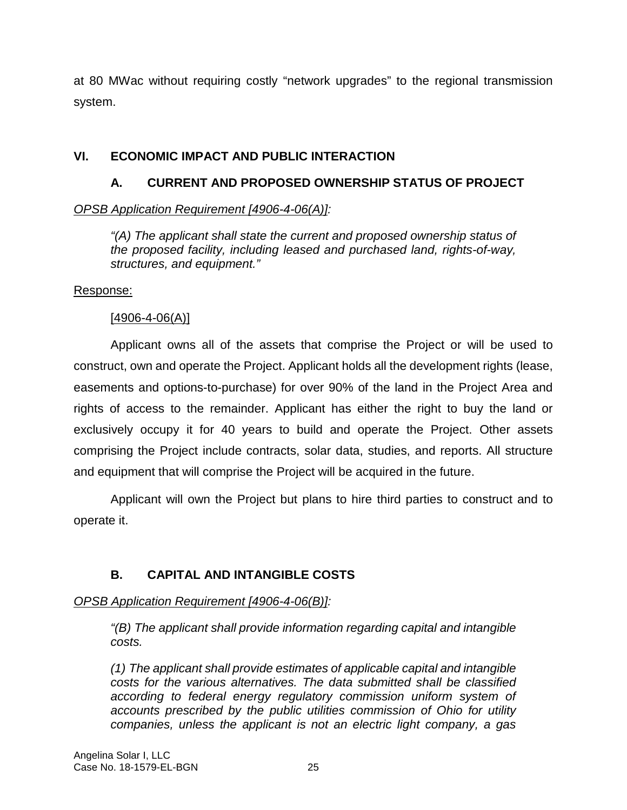at 80 MWac without requiring costly "network upgrades" to the regional transmission system.

# **VI. ECONOMIC IMPACT AND PUBLIC INTERACTION**

# **A. CURRENT AND PROPOSED OWNERSHIP STATUS OF PROJECT**

# *OPSB Application Requirement [4906-4-06(A)]:*

*"(A) The applicant shall state the current and proposed ownership status of the proposed facility, including leased and purchased land, rights-of-way, structures, and equipment."* 

## Response:

## [4906-4-06(A)]

Applicant owns all of the assets that comprise the Project or will be used to construct, own and operate the Project. Applicant holds all the development rights (lease, easements and options-to-purchase) for over 90% of the land in the Project Area and rights of access to the remainder. Applicant has either the right to buy the land or exclusively occupy it for 40 years to build and operate the Project. Other assets comprising the Project include contracts, solar data, studies, and reports. All structure and equipment that will comprise the Project will be acquired in the future.

Applicant will own the Project but plans to hire third parties to construct and to operate it.

# **B. CAPITAL AND INTANGIBLE COSTS**

## *OPSB Application Requirement [4906-4-06(B)]:*

*"(B) The applicant shall provide information regarding capital and intangible costs.* 

*(1) The applicant shall provide estimates of applicable capital and intangible costs for the various alternatives. The data submitted shall be classified according to federal energy regulatory commission uniform system of accounts prescribed by the public utilities commission of Ohio for utility companies, unless the applicant is not an electric light company, a gas*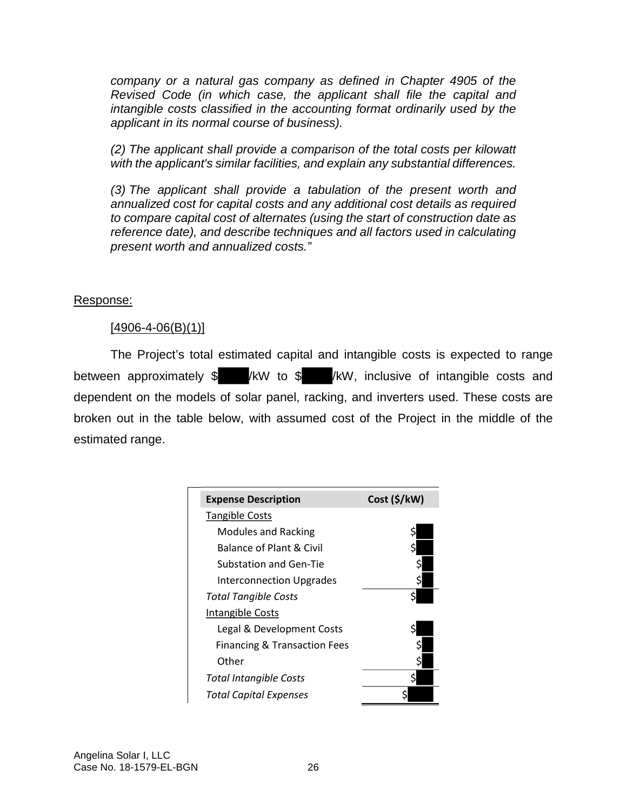*company or a natural gas company as defined in Chapter 4905 of the Revised Code (in which case, the applicant shall file the capital and intangible costs classified in the accounting format ordinarily used by the applicant in its normal course of business).* 

*(2) The applicant shall provide a comparison of the total costs per kilowatt with the applicant's similar facilities, and explain any substantial differences.* 

*(3) The applicant shall provide a tabulation of the present worth and annualized cost for capital costs and any additional cost details as required to compare capital cost of alternates (using the start of construction date as reference date), and describe techniques and all factors used in calculating present worth and annualized costs."* 

## Response:

## $[4906 - 4 - 06(B)(1)]$

The Project's total estimated capital and intangible costs is expected to range between approximately \$ /kW to \$ /kW, inclusive of intangible costs and dependent on the models of solar panel, racking, and inverters used. These costs are broken out in the table below, with assumed cost of the Project in the middle of the estimated range.

| <b>Expense Description</b>              | Cost (5/kW) |
|-----------------------------------------|-------------|
| <b>Tangible Costs</b>                   |             |
| <b>Modules and Racking</b>              |             |
| <b>Balance of Plant &amp; Civil</b>     |             |
| Substation and Gen-Tie                  |             |
| <b>Interconnection Upgrades</b>         |             |
| Total Tangible Costs                    |             |
| <b>Intangible Costs</b>                 |             |
| Legal & Development Costs               |             |
| <b>Financing &amp; Transaction Fees</b> |             |
| Other                                   |             |
| <b>Total Intangible Costs</b>           |             |
| Total Capital Expenses                  |             |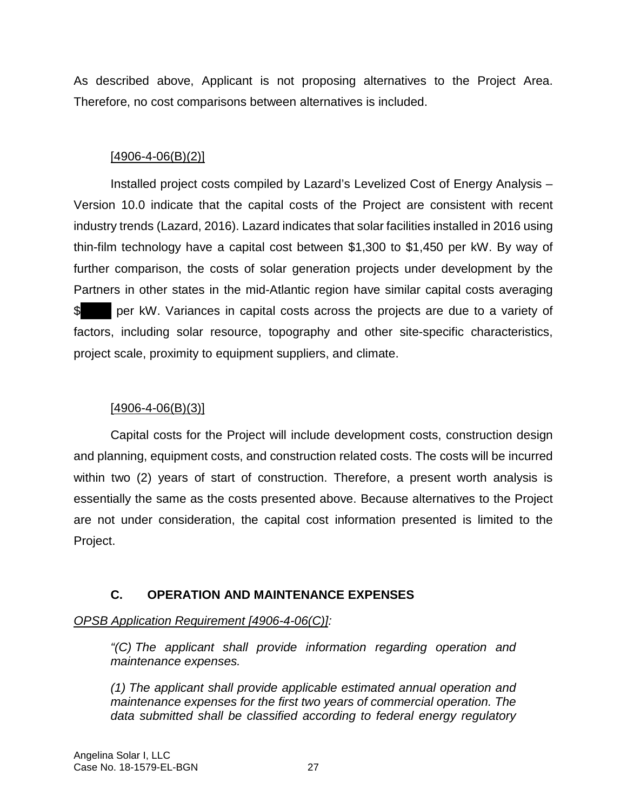As described above, Applicant is not proposing alternatives to the Project Area. Therefore, no cost comparisons between alternatives is included.

## $[4906 - 4 - 06(B)(2)]$

Installed project costs compiled by Lazard's Levelized Cost of Energy Analysis – Version 10.0 indicate that the capital costs of the Project are consistent with recent industry trends (Lazard, 2016). Lazard indicates that solar facilities installed in 2016 using thin-film technology have a capital cost between \$1,300 to \$1,450 per kW. By way of further comparison, the costs of solar generation projects under development by the Partners in other states in the mid-Atlantic region have similar capital costs averaging \$ per kW. Variances in capital costs across the projects are due to a variety of factors, including solar resource, topography and other site-specific characteristics, project scale, proximity to equipment suppliers, and climate.

## $[4906 - 4 - 06(B)(3)]$

Capital costs for the Project will include development costs, construction design and planning, equipment costs, and construction related costs. The costs will be incurred within two (2) years of start of construction. Therefore, a present worth analysis is essentially the same as the costs presented above. Because alternatives to the Project are not under consideration, the capital cost information presented is limited to the Project.

## **C. OPERATION AND MAINTENANCE EXPENSES**

### *OPSB Application Requirement [4906-4-06(C)]:*

*"(C) The applicant shall provide information regarding operation and maintenance expenses.* 

*(1) The applicant shall provide applicable estimated annual operation and maintenance expenses for the first two years of commercial operation. The data submitted shall be classified according to federal energy regulatory*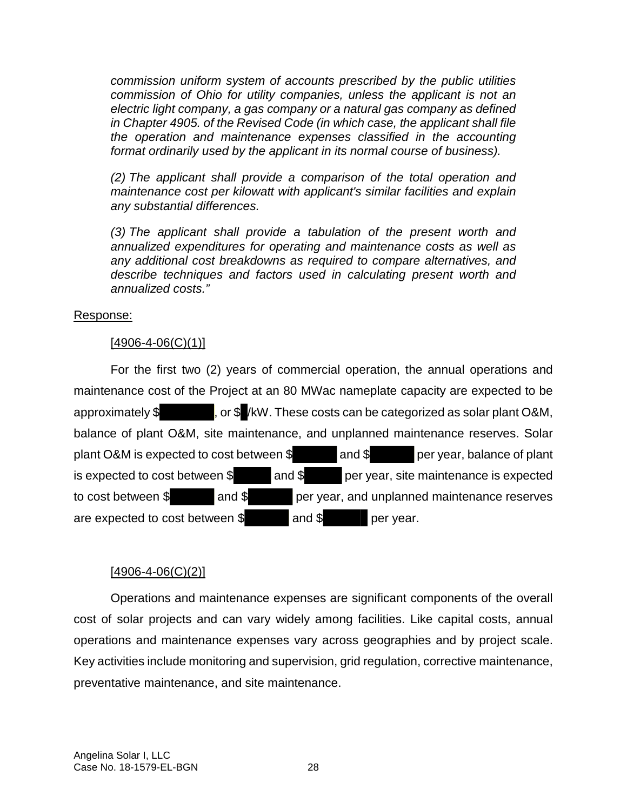*commission uniform system of accounts prescribed by the public utilities commission of Ohio for utility companies, unless the applicant is not an electric light company, a gas company or a natural gas company as defined in Chapter 4905. of the Revised Code (in which case, the applicant shall file the operation and maintenance expenses classified in the accounting format ordinarily used by the applicant in its normal course of business).* 

*(2) The applicant shall provide a comparison of the total operation and maintenance cost per kilowatt with applicant's similar facilities and explain any substantial differences.* 

*(3) The applicant shall provide a tabulation of the present worth and annualized expenditures for operating and maintenance costs as well as any additional cost breakdowns as required to compare alternatives, and describe techniques and factors used in calculating present worth and annualized costs."* 

#### Response:

#### $[4906 - 4 - 06(C)(1)]$

For the first two (2) years of commercial operation, the annual operations and maintenance cost of the Project at an 80 MWac nameplate capacity are expected to be approximately \$ , or \$ /kW. These costs can be categorized as solar plant O&M, balance of plant O&M, site maintenance, and unplanned maintenance reserves. Solar plant O&M is expected to cost between  $\frac{1}{2}$  and  $\frac{1}{2}$  per year, balance of plant is expected to cost between \$ and \$ per year, site maintenance is expected to cost between \$ and \$ per year, and unplanned maintenance reserves are expected to cost between \$ and \$ per year.

### $[4906 - 4 - 06(C)(2)]$

Operations and maintenance expenses are significant components of the overall cost of solar projects and can vary widely among facilities. Like capital costs, annual operations and maintenance expenses vary across geographies and by project scale. Key activities include monitoring and supervision, grid regulation, corrective maintenance, preventative maintenance, and site maintenance.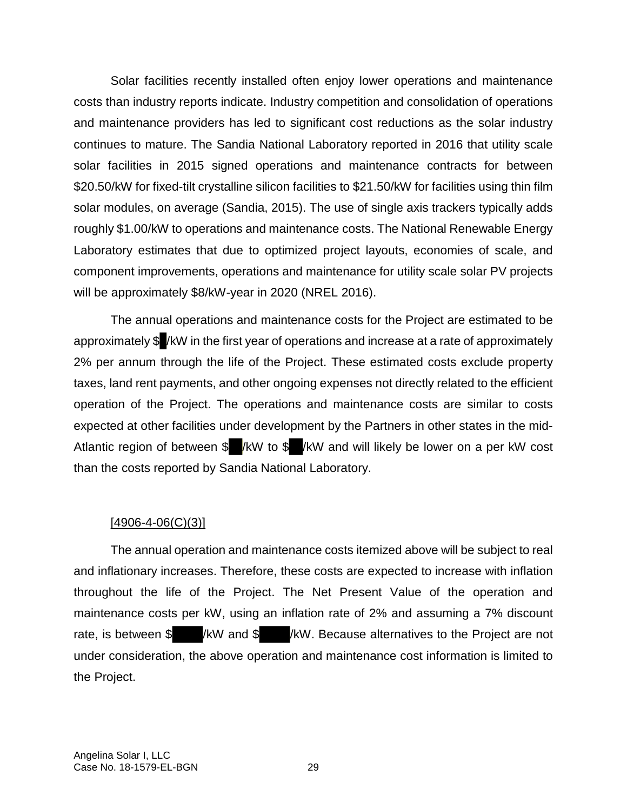Solar facilities recently installed often enjoy lower operations and maintenance costs than industry reports indicate. Industry competition and consolidation of operations and maintenance providers has led to significant cost reductions as the solar industry continues to mature. The Sandia National Laboratory reported in 2016 that utility scale solar facilities in 2015 signed operations and maintenance contracts for between \$20.50/kW for fixed-tilt crystalline silicon facilities to \$21.50/kW for facilities using thin film solar modules, on average (Sandia, 2015). The use of single axis trackers typically adds roughly \$1.00/kW to operations and maintenance costs. The National Renewable Energy Laboratory estimates that due to optimized project layouts, economies of scale, and component improvements, operations and maintenance for utility scale solar PV projects will be approximately \$8/kW-year in 2020 (NREL 2016).

The annual operations and maintenance costs for the Project are estimated to be approximately \$ /kW in the first year of operations and increase at a rate of approximately 2% per annum through the life of the Project. These estimated costs exclude property taxes, land rent payments, and other ongoing expenses not directly related to the efficient operation of the Project. The operations and maintenance costs are similar to costs expected at other facilities under development by the Partners in other states in the mid-Atlantic region of between \$ /kW to \$ /kW and will likely be lower on a per kW cost than the costs reported by Sandia National Laboratory.

#### $[4906 - 4 - 06(C)(3)]$

The annual operation and maintenance costs itemized above will be subject to real and inflationary increases. Therefore, these costs are expected to increase with inflation throughout the life of the Project. The Net Present Value of the operation and maintenance costs per kW, using an inflation rate of 2% and assuming a 7% discount rate, is between \$ /kW and \$ /kW. Because alternatives to the Project are not under consideration, the above operation and maintenance cost information is limited to the Project.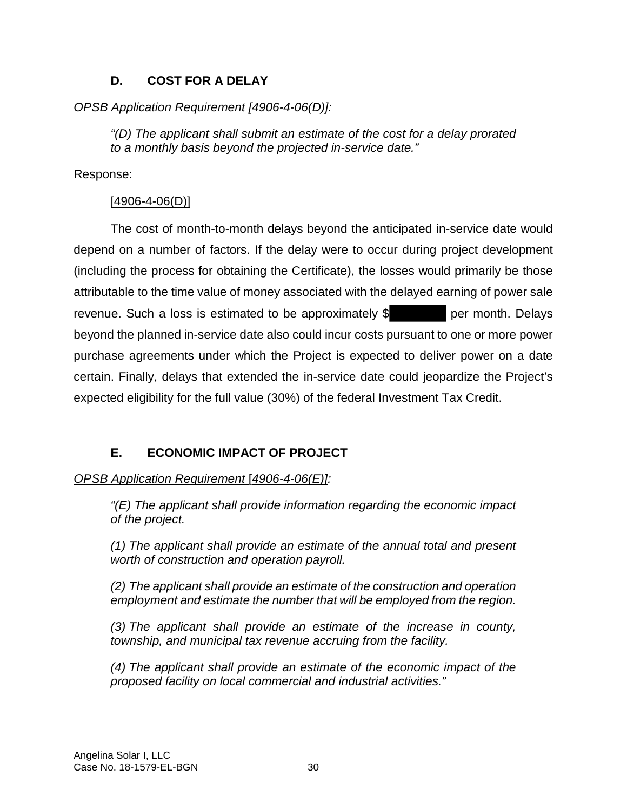## **D. COST FOR A DELAY**

## *OPSB Application Requirement [4906-4-06(D)]:*

*"(D) The applicant shall submit an estimate of the cost for a delay prorated to a monthly basis beyond the projected in-service date."* 

## Response:

## [4906-4-06(D)]

The cost of month-to-month delays beyond the anticipated in-service date would depend on a number of factors. If the delay were to occur during project development (including the process for obtaining the Certificate), the losses would primarily be those attributable to the time value of money associated with the delayed earning of power sale revenue. Such a loss is estimated to be approximately \$ per month. Delays beyond the planned in-service date also could incur costs pursuant to one or more power purchase agreements under which the Project is expected to deliver power on a date certain. Finally, delays that extended the in-service date could jeopardize the Project's expected eligibility for the full value (30%) of the federal Investment Tax Credit.

# **E. ECONOMIC IMPACT OF PROJECT**

*OPSB Application Requirement* [*4906-4-06(E)]:* 

*"(E) The applicant shall provide information regarding the economic impact of the project.* 

*(1) The applicant shall provide an estimate of the annual total and present worth of construction and operation payroll.* 

*(2) The applicant shall provide an estimate of the construction and operation employment and estimate the number that will be employed from the region.* 

*(3) The applicant shall provide an estimate of the increase in county, township, and municipal tax revenue accruing from the facility.* 

*(4) The applicant shall provide an estimate of the economic impact of the proposed facility on local commercial and industrial activities."*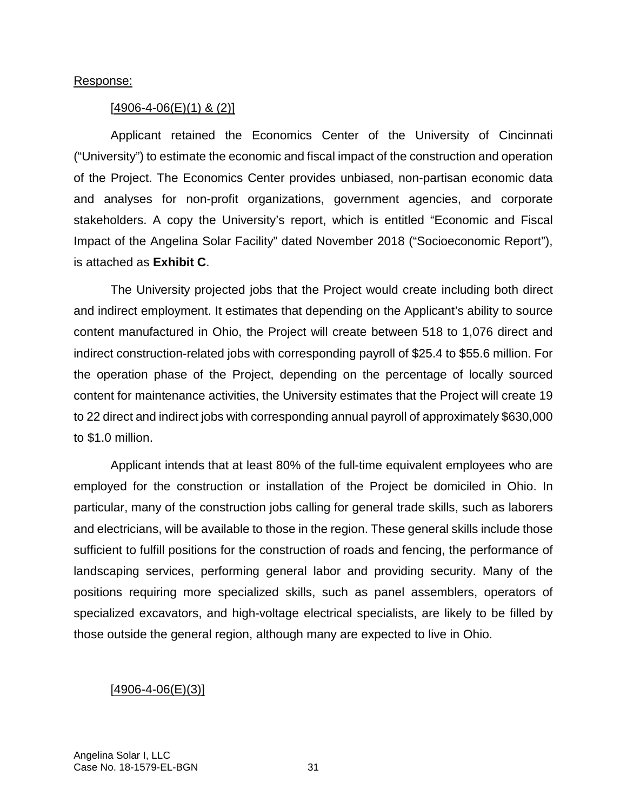#### Response:

#### $[4906 - 4 - 06(E)(1)$  & (2)]

Applicant retained the Economics Center of the University of Cincinnati ("University") to estimate the economic and fiscal impact of the construction and operation of the Project. The Economics Center provides unbiased, non-partisan economic data and analyses for non-profit organizations, government agencies, and corporate stakeholders. A copy the University's report, which is entitled "Economic and Fiscal Impact of the Angelina Solar Facility" dated November 2018 ("Socioeconomic Report"), is attached as **Exhibit C**.

The University projected jobs that the Project would create including both direct and indirect employment. It estimates that depending on the Applicant's ability to source content manufactured in Ohio, the Project will create between 518 to 1,076 direct and indirect construction-related jobs with corresponding payroll of \$25.4 to \$55.6 million. For the operation phase of the Project, depending on the percentage of locally sourced content for maintenance activities, the University estimates that the Project will create 19 to 22 direct and indirect jobs with corresponding annual payroll of approximately \$630,000 to \$1.0 million.

Applicant intends that at least 80% of the full-time equivalent employees who are employed for the construction or installation of the Project be domiciled in Ohio. In particular, many of the construction jobs calling for general trade skills, such as laborers and electricians, will be available to those in the region. These general skills include those sufficient to fulfill positions for the construction of roads and fencing, the performance of landscaping services, performing general labor and providing security. Many of the positions requiring more specialized skills, such as panel assemblers, operators of specialized excavators, and high-voltage electrical specialists, are likely to be filled by those outside the general region, although many are expected to live in Ohio.

#### $[4906 - 4 - 06(E)(3)]$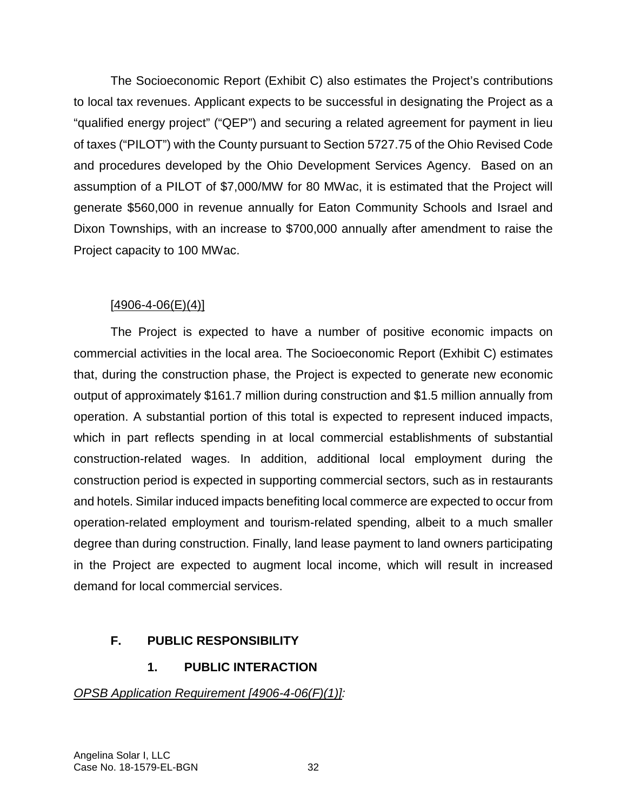The Socioeconomic Report (Exhibit C) also estimates the Project's contributions to local tax revenues. Applicant expects to be successful in designating the Project as a "qualified energy project" ("QEP") and securing a related agreement for payment in lieu of taxes ("PILOT") with the County pursuant to Section 5727.75 of the Ohio Revised Code and procedures developed by the Ohio Development Services Agency. Based on an assumption of a PILOT of \$7,000/MW for 80 MWac, it is estimated that the Project will generate \$560,000 in revenue annually for Eaton Community Schools and Israel and Dixon Townships, with an increase to \$700,000 annually after amendment to raise the Project capacity to 100 MWac.

## $[4906 - 4 - 06(E)(4)]$

The Project is expected to have a number of positive economic impacts on commercial activities in the local area. The Socioeconomic Report (Exhibit C) estimates that, during the construction phase, the Project is expected to generate new economic output of approximately \$161.7 million during construction and \$1.5 million annually from operation. A substantial portion of this total is expected to represent induced impacts, which in part reflects spending in at local commercial establishments of substantial construction-related wages. In addition, additional local employment during the construction period is expected in supporting commercial sectors, such as in restaurants and hotels. Similar induced impacts benefiting local commerce are expected to occur from operation-related employment and tourism-related spending, albeit to a much smaller degree than during construction. Finally, land lease payment to land owners participating in the Project are expected to augment local income, which will result in increased demand for local commercial services.

# **F. PUBLIC RESPONSIBILITY**

# **1. PUBLIC INTERACTION**

### *OPSB Application Requirement [4906-4-06(F)(1)]:*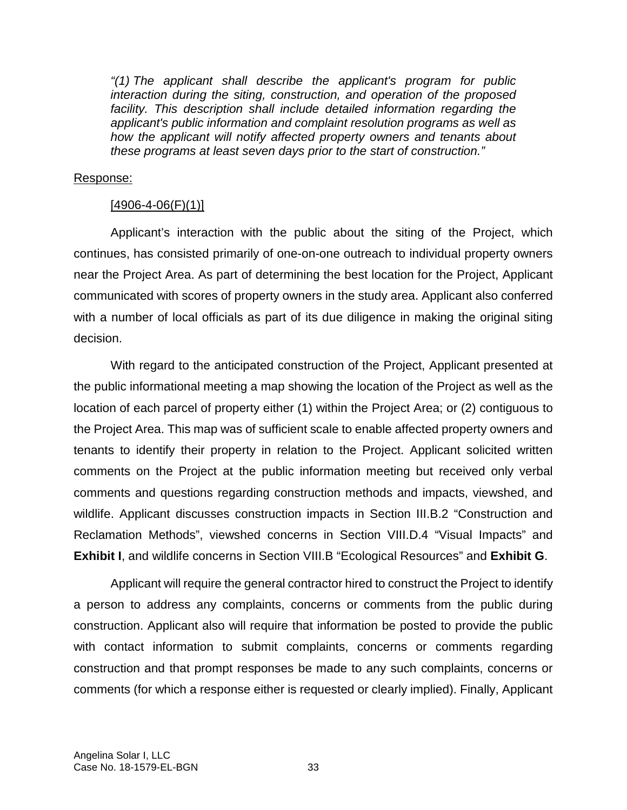*"(1) The applicant shall describe the applicant's program for public interaction during the siting, construction, and operation of the proposed facility. This description shall include detailed information regarding the applicant's public information and complaint resolution programs as well as how the applicant will notify affected property owners and tenants about these programs at least seven days prior to the start of construction."* 

#### Response:

#### $[4906 - 4 - 06(F)(1)]$

Applicant's interaction with the public about the siting of the Project, which continues, has consisted primarily of one-on-one outreach to individual property owners near the Project Area. As part of determining the best location for the Project, Applicant communicated with scores of property owners in the study area. Applicant also conferred with a number of local officials as part of its due diligence in making the original siting decision.

With regard to the anticipated construction of the Project, Applicant presented at the public informational meeting a map showing the location of the Project as well as the location of each parcel of property either (1) within the Project Area; or (2) contiguous to the Project Area. This map was of sufficient scale to enable affected property owners and tenants to identify their property in relation to the Project. Applicant solicited written comments on the Project at the public information meeting but received only verbal comments and questions regarding construction methods and impacts, viewshed, and wildlife. Applicant discusses construction impacts in Section III.B.2 "Construction and Reclamation Methods", viewshed concerns in Section VIII.D.4 "Visual Impacts" and **Exhibit I**, and wildlife concerns in Section VIII.B "Ecological Resources" and **Exhibit G**.

Applicant will require the general contractor hired to construct the Project to identify a person to address any complaints, concerns or comments from the public during construction. Applicant also will require that information be posted to provide the public with contact information to submit complaints, concerns or comments regarding construction and that prompt responses be made to any such complaints, concerns or comments (for which a response either is requested or clearly implied). Finally, Applicant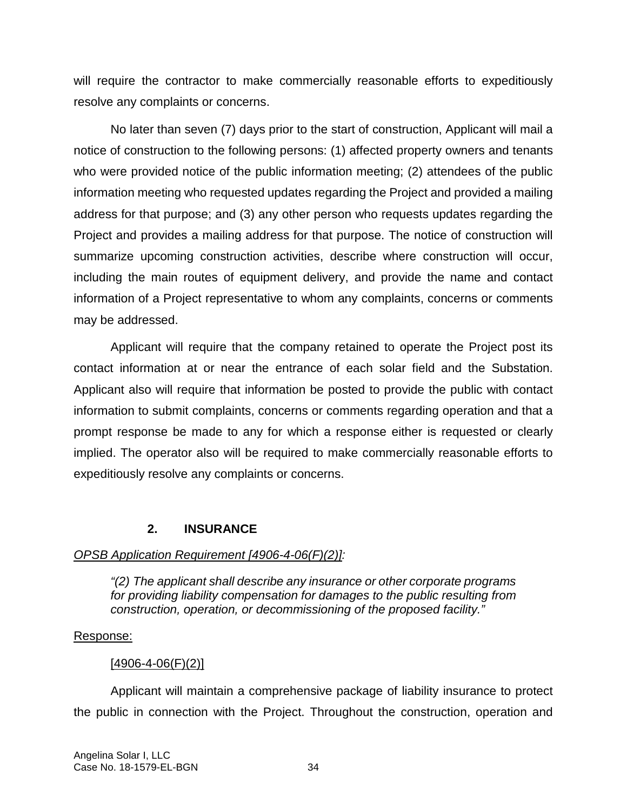will require the contractor to make commercially reasonable efforts to expeditiously resolve any complaints or concerns.

No later than seven (7) days prior to the start of construction, Applicant will mail a notice of construction to the following persons: (1) affected property owners and tenants who were provided notice of the public information meeting; (2) attendees of the public information meeting who requested updates regarding the Project and provided a mailing address for that purpose; and (3) any other person who requests updates regarding the Project and provides a mailing address for that purpose. The notice of construction will summarize upcoming construction activities, describe where construction will occur, including the main routes of equipment delivery, and provide the name and contact information of a Project representative to whom any complaints, concerns or comments may be addressed.

Applicant will require that the company retained to operate the Project post its contact information at or near the entrance of each solar field and the Substation. Applicant also will require that information be posted to provide the public with contact information to submit complaints, concerns or comments regarding operation and that a prompt response be made to any for which a response either is requested or clearly implied. The operator also will be required to make commercially reasonable efforts to expeditiously resolve any complaints or concerns.

## **2. INSURANCE**

## *OPSB Application Requirement [4906-4-06(F)(2)]:*

*"(2) The applicant shall describe any insurance or other corporate programs for providing liability compensation for damages to the public resulting from construction, operation, or decommissioning of the proposed facility."* 

## Response:

# $[4906 - 4 - 06(F)(2)]$

Applicant will maintain a comprehensive package of liability insurance to protect the public in connection with the Project. Throughout the construction, operation and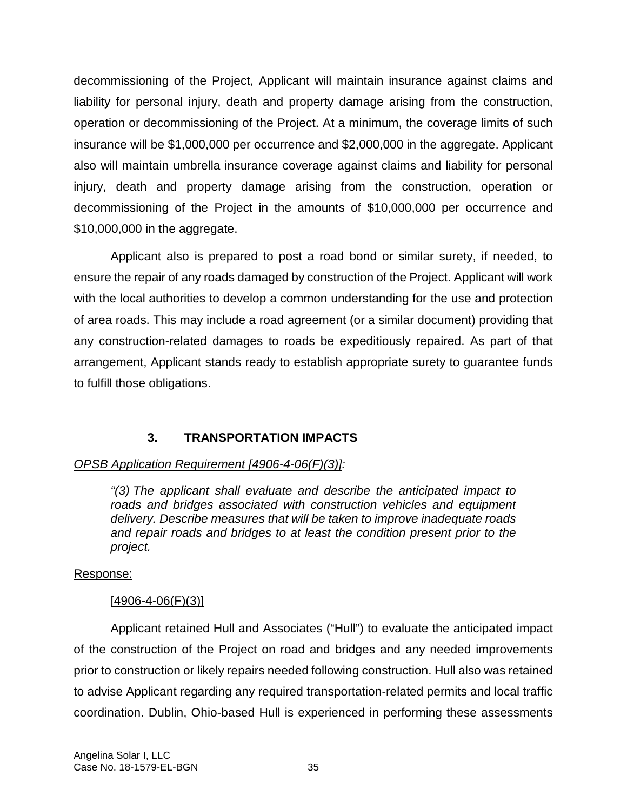decommissioning of the Project, Applicant will maintain insurance against claims and liability for personal injury, death and property damage arising from the construction, operation or decommissioning of the Project. At a minimum, the coverage limits of such insurance will be \$1,000,000 per occurrence and \$2,000,000 in the aggregate. Applicant also will maintain umbrella insurance coverage against claims and liability for personal injury, death and property damage arising from the construction, operation or decommissioning of the Project in the amounts of \$10,000,000 per occurrence and \$10,000,000 in the aggregate.

Applicant also is prepared to post a road bond or similar surety, if needed, to ensure the repair of any roads damaged by construction of the Project. Applicant will work with the local authorities to develop a common understanding for the use and protection of area roads. This may include a road agreement (or a similar document) providing that any construction-related damages to roads be expeditiously repaired. As part of that arrangement, Applicant stands ready to establish appropriate surety to guarantee funds to fulfill those obligations.

# **3. TRANSPORTATION IMPACTS**

## *OPSB Application Requirement [4906-4-06(F)(3)]:*

*"(3) The applicant shall evaluate and describe the anticipated impact to roads and bridges associated with construction vehicles and equipment delivery. Describe measures that will be taken to improve inadequate roads and repair roads and bridges to at least the condition present prior to the project.* 

## Response:

## $[4906 - 4 - 06(F)(3)]$

Applicant retained Hull and Associates ("Hull") to evaluate the anticipated impact of the construction of the Project on road and bridges and any needed improvements prior to construction or likely repairs needed following construction. Hull also was retained to advise Applicant regarding any required transportation-related permits and local traffic coordination. Dublin, Ohio-based Hull is experienced in performing these assessments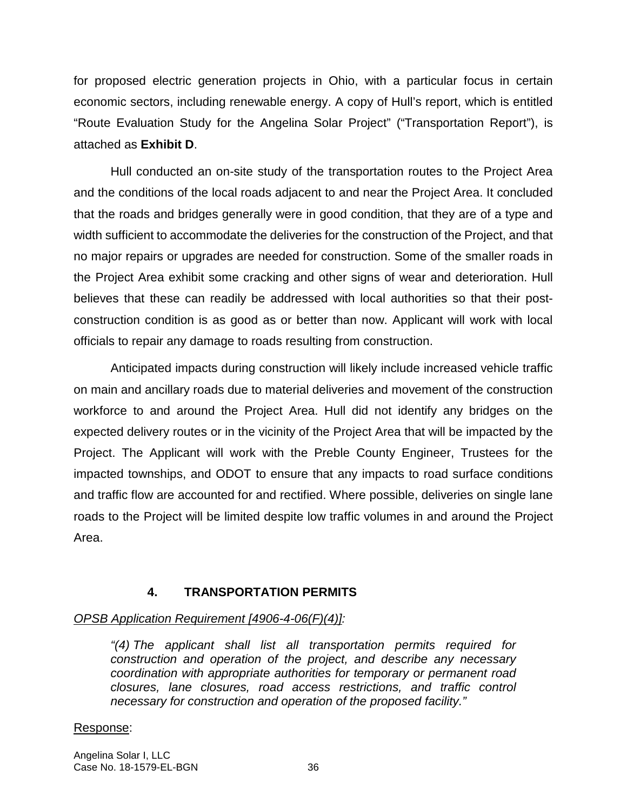for proposed electric generation projects in Ohio, with a particular focus in certain economic sectors, including renewable energy. A copy of Hull's report, which is entitled "Route Evaluation Study for the Angelina Solar Project" ("Transportation Report"), is attached as **Exhibit D**.

Hull conducted an on-site study of the transportation routes to the Project Area and the conditions of the local roads adjacent to and near the Project Area. It concluded that the roads and bridges generally were in good condition, that they are of a type and width sufficient to accommodate the deliveries for the construction of the Project, and that no major repairs or upgrades are needed for construction. Some of the smaller roads in the Project Area exhibit some cracking and other signs of wear and deterioration. Hull believes that these can readily be addressed with local authorities so that their postconstruction condition is as good as or better than now. Applicant will work with local officials to repair any damage to roads resulting from construction.

Anticipated impacts during construction will likely include increased vehicle traffic on main and ancillary roads due to material deliveries and movement of the construction workforce to and around the Project Area. Hull did not identify any bridges on the expected delivery routes or in the vicinity of the Project Area that will be impacted by the Project. The Applicant will work with the Preble County Engineer, Trustees for the impacted townships, and ODOT to ensure that any impacts to road surface conditions and traffic flow are accounted for and rectified. Where possible, deliveries on single lane roads to the Project will be limited despite low traffic volumes in and around the Project Area.

## **4. TRANSPORTATION PERMITS**

### *OPSB Application Requirement [4906-4-06(F)(4)]:*

*"(4) The applicant shall list all transportation permits required for construction and operation of the project, and describe any necessary coordination with appropriate authorities for temporary or permanent road closures, lane closures, road access restrictions, and traffic control necessary for construction and operation of the proposed facility."* 

### Response:

Angelina Solar I, LLC Case No. 18-1579-EL-BGN 36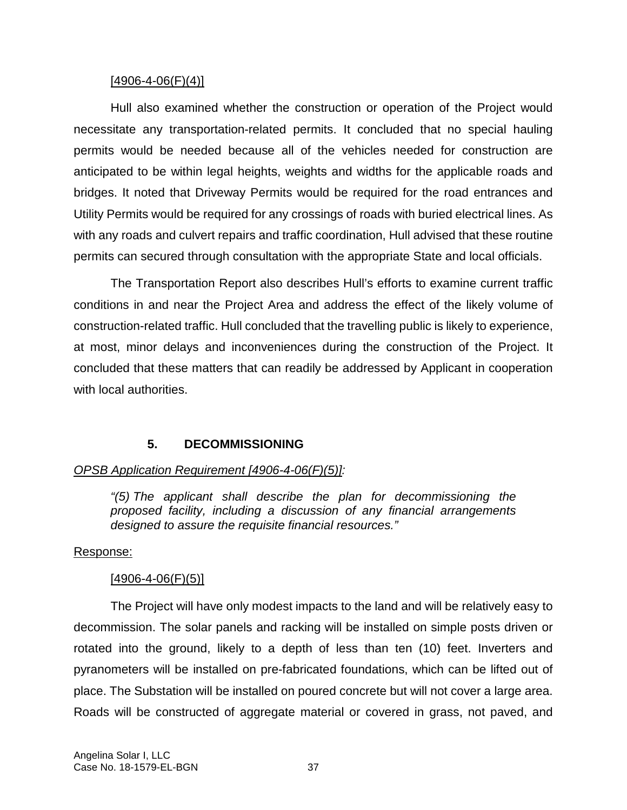#### $[4906 - 4 - 06(F)(4)]$

Hull also examined whether the construction or operation of the Project would necessitate any transportation-related permits. It concluded that no special hauling permits would be needed because all of the vehicles needed for construction are anticipated to be within legal heights, weights and widths for the applicable roads and bridges. It noted that Driveway Permits would be required for the road entrances and Utility Permits would be required for any crossings of roads with buried electrical lines. As with any roads and culvert repairs and traffic coordination, Hull advised that these routine permits can secured through consultation with the appropriate State and local officials.

The Transportation Report also describes Hull's efforts to examine current traffic conditions in and near the Project Area and address the effect of the likely volume of construction-related traffic. Hull concluded that the travelling public is likely to experience, at most, minor delays and inconveniences during the construction of the Project. It concluded that these matters that can readily be addressed by Applicant in cooperation with local authorities.

## **5. DECOMMISSIONING**

### *OPSB Application Requirement [4906-4-06(F)(5)]:*

*"(5) The applicant shall describe the plan for decommissioning the proposed facility, including a discussion of any financial arrangements designed to assure the requisite financial resources."* 

### Response:

### $[4906 - 4 - 06(F)(5)]$

The Project will have only modest impacts to the land and will be relatively easy to decommission. The solar panels and racking will be installed on simple posts driven or rotated into the ground, likely to a depth of less than ten (10) feet. Inverters and pyranometers will be installed on pre-fabricated foundations, which can be lifted out of place. The Substation will be installed on poured concrete but will not cover a large area. Roads will be constructed of aggregate material or covered in grass, not paved, and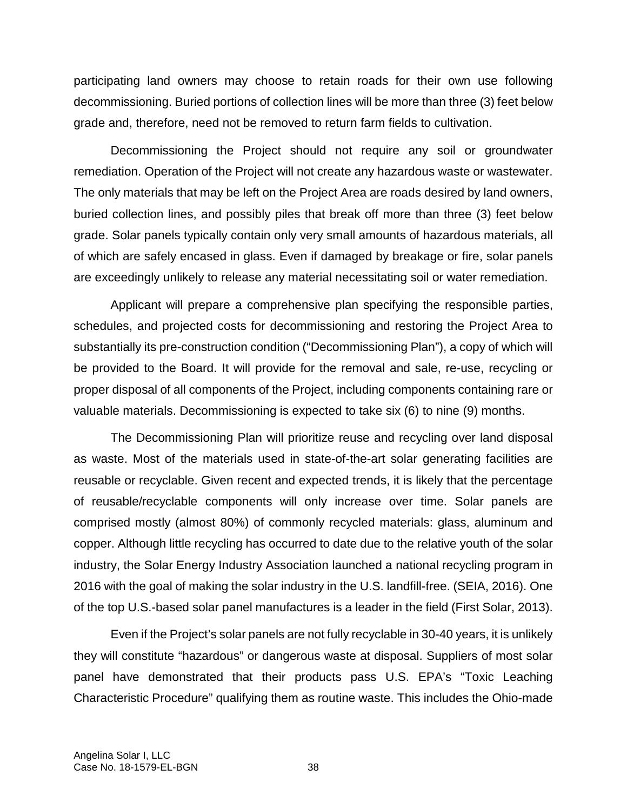participating land owners may choose to retain roads for their own use following decommissioning. Buried portions of collection lines will be more than three (3) feet below grade and, therefore, need not be removed to return farm fields to cultivation.

Decommissioning the Project should not require any soil or groundwater remediation. Operation of the Project will not create any hazardous waste or wastewater. The only materials that may be left on the Project Area are roads desired by land owners, buried collection lines, and possibly piles that break off more than three (3) feet below grade. Solar panels typically contain only very small amounts of hazardous materials, all of which are safely encased in glass. Even if damaged by breakage or fire, solar panels are exceedingly unlikely to release any material necessitating soil or water remediation.

Applicant will prepare a comprehensive plan specifying the responsible parties, schedules, and projected costs for decommissioning and restoring the Project Area to substantially its pre-construction condition ("Decommissioning Plan"), a copy of which will be provided to the Board. It will provide for the removal and sale, re-use, recycling or proper disposal of all components of the Project, including components containing rare or valuable materials. Decommissioning is expected to take six (6) to nine (9) months.

The Decommissioning Plan will prioritize reuse and recycling over land disposal as waste. Most of the materials used in state-of-the-art solar generating facilities are reusable or recyclable. Given recent and expected trends, it is likely that the percentage of reusable/recyclable components will only increase over time. Solar panels are comprised mostly (almost 80%) of commonly recycled materials: glass, aluminum and copper. Although little recycling has occurred to date due to the relative youth of the solar industry, the Solar Energy Industry Association launched a national recycling program in 2016 with the goal of making the solar industry in the U.S. landfill-free. (SEIA, 2016). One of the top U.S.-based solar panel manufactures is a leader in the field (First Solar, 2013).

Even if the Project's solar panels are not fully recyclable in 30-40 years, it is unlikely they will constitute "hazardous" or dangerous waste at disposal. Suppliers of most solar panel have demonstrated that their products pass U.S. EPA's "Toxic Leaching Characteristic Procedure" qualifying them as routine waste. This includes the Ohio-made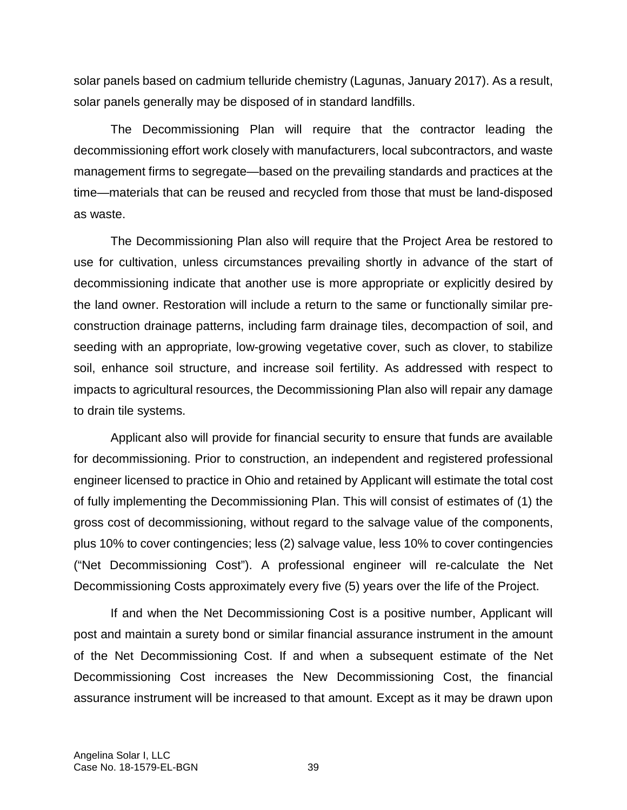solar panels based on cadmium telluride chemistry (Lagunas, January 2017). As a result, solar panels generally may be disposed of in standard landfills.

The Decommissioning Plan will require that the contractor leading the decommissioning effort work closely with manufacturers, local subcontractors, and waste management firms to segregate—based on the prevailing standards and practices at the time—materials that can be reused and recycled from those that must be land-disposed as waste.

The Decommissioning Plan also will require that the Project Area be restored to use for cultivation, unless circumstances prevailing shortly in advance of the start of decommissioning indicate that another use is more appropriate or explicitly desired by the land owner. Restoration will include a return to the same or functionally similar preconstruction drainage patterns, including farm drainage tiles, decompaction of soil, and seeding with an appropriate, low-growing vegetative cover, such as clover, to stabilize soil, enhance soil structure, and increase soil fertility. As addressed with respect to impacts to agricultural resources, the Decommissioning Plan also will repair any damage to drain tile systems.

Applicant also will provide for financial security to ensure that funds are available for decommissioning. Prior to construction, an independent and registered professional engineer licensed to practice in Ohio and retained by Applicant will estimate the total cost of fully implementing the Decommissioning Plan. This will consist of estimates of (1) the gross cost of decommissioning, without regard to the salvage value of the components, plus 10% to cover contingencies; less (2) salvage value, less 10% to cover contingencies ("Net Decommissioning Cost"). A professional engineer will re-calculate the Net Decommissioning Costs approximately every five (5) years over the life of the Project.

If and when the Net Decommissioning Cost is a positive number, Applicant will post and maintain a surety bond or similar financial assurance instrument in the amount of the Net Decommissioning Cost. If and when a subsequent estimate of the Net Decommissioning Cost increases the New Decommissioning Cost, the financial assurance instrument will be increased to that amount. Except as it may be drawn upon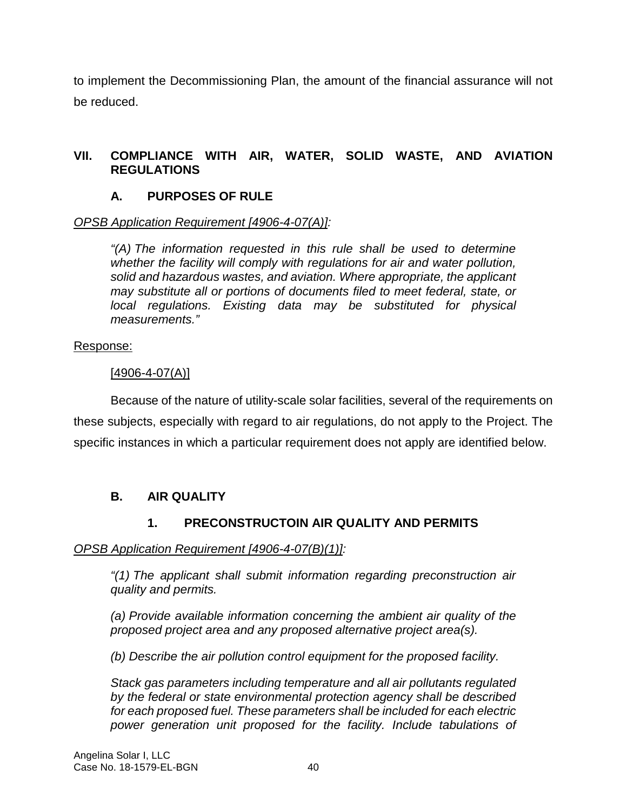to implement the Decommissioning Plan, the amount of the financial assurance will not be reduced.

## **VII. COMPLIANCE WITH AIR, WATER, SOLID WASTE, AND AVIATION REGULATIONS**

# **A. PURPOSES OF RULE**

## *OPSB Application Requirement [4906-4-07(A)]:*

*"(A) The information requested in this rule shall be used to determine whether the facility will comply with regulations for air and water pollution, solid and hazardous wastes, and aviation. Where appropriate, the applicant may substitute all or portions of documents filed to meet federal, state, or local regulations. Existing data may be substituted for physical measurements."* 

## Response:

## [4906-4-07(A)]

Because of the nature of utility-scale solar facilities, several of the requirements on these subjects, especially with regard to air regulations, do not apply to the Project. The specific instances in which a particular requirement does not apply are identified below.

## **B. AIR QUALITY**

# **1. PRECONSTRUCTOIN AIR QUALITY AND PERMITS**

### *OPSB Application Requirement [4906-4-07(B)(1)]:*

*"(1) The applicant shall submit information regarding preconstruction air quality and permits.* 

*(a) Provide available information concerning the ambient air quality of the proposed project area and any proposed alternative project area(s).* 

*(b) Describe the air pollution control equipment for the proposed facility.* 

*Stack gas parameters including temperature and all air pollutants regulated by the federal or state environmental protection agency shall be described for each proposed fuel. These parameters shall be included for each electric power generation unit proposed for the facility. Include tabulations of*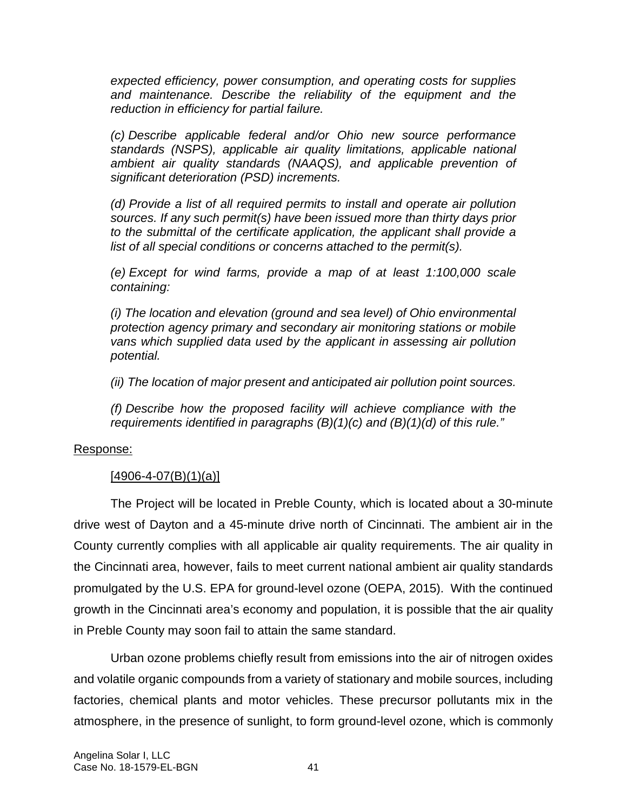*expected efficiency, power consumption, and operating costs for supplies and maintenance. Describe the reliability of the equipment and the reduction in efficiency for partial failure.* 

*(c) Describe applicable federal and/or Ohio new source performance standards (NSPS), applicable air quality limitations, applicable national ambient air quality standards (NAAQS), and applicable prevention of significant deterioration (PSD) increments.* 

*(d) Provide a list of all required permits to install and operate air pollution sources. If any such permit(s) have been issued more than thirty days prior to the submittal of the certificate application, the applicant shall provide a list of all special conditions or concerns attached to the permit(s).* 

*(e) Except for wind farms, provide a map of at least 1:100,000 scale containing:* 

*(i) The location and elevation (ground and sea level) of Ohio environmental protection agency primary and secondary air monitoring stations or mobile vans which supplied data used by the applicant in assessing air pollution potential.* 

*(ii) The location of major present and anticipated air pollution point sources.* 

*(f) Describe how the proposed facility will achieve compliance with the requirements identified in paragraphs (B)(1)(c) and (B)(1)(d) of this rule."* 

### Response:

## $[4906 - 4 - 07(B)(1)(a)]$

The Project will be located in Preble County, which is located about a 30-minute drive west of Dayton and a 45-minute drive north of Cincinnati. The ambient air in the County currently complies with all applicable air quality requirements. The air quality in the Cincinnati area, however, fails to meet current national ambient air quality standards promulgated by the U.S. EPA for ground-level ozone (OEPA, 2015). With the continued growth in the Cincinnati area's economy and population, it is possible that the air quality in Preble County may soon fail to attain the same standard.

Urban ozone problems chiefly result from emissions into the air of nitrogen oxides and volatile organic compounds from a variety of stationary and mobile sources, including factories, chemical plants and motor vehicles. These precursor pollutants mix in the atmosphere, in the presence of sunlight, to form ground-level ozone, which is commonly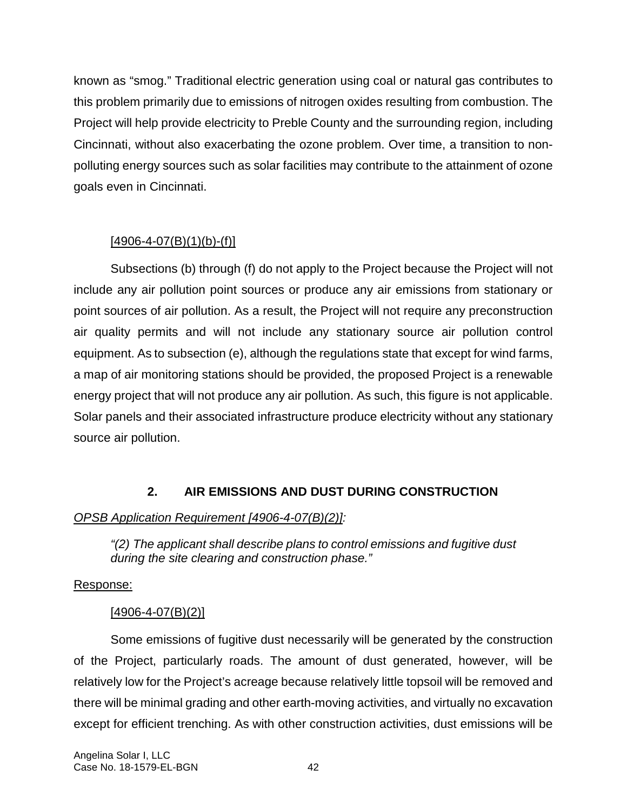known as "smog." Traditional electric generation using coal or natural gas contributes to this problem primarily due to emissions of nitrogen oxides resulting from combustion. The Project will help provide electricity to Preble County and the surrounding region, including Cincinnati, without also exacerbating the ozone problem. Over time, a transition to nonpolluting energy sources such as solar facilities may contribute to the attainment of ozone goals even in Cincinnati.

## $[4906 - 4 - 07(B)(1)(b) - (f)]$

Subsections (b) through (f) do not apply to the Project because the Project will not include any air pollution point sources or produce any air emissions from stationary or point sources of air pollution. As a result, the Project will not require any preconstruction air quality permits and will not include any stationary source air pollution control equipment. As to subsection (e), although the regulations state that except for wind farms, a map of air monitoring stations should be provided, the proposed Project is a renewable energy project that will not produce any air pollution. As such, this figure is not applicable. Solar panels and their associated infrastructure produce electricity without any stationary source air pollution.

# **2. AIR EMISSIONS AND DUST DURING CONSTRUCTION**

# *OPSB Application Requirement [4906-4-07(B)(2)]:*

*"(2) The applicant shall describe plans to control emissions and fugitive dust during the site clearing and construction phase."* 

# Response:

# $[4906 - 4 - 07(B)(2)]$

Some emissions of fugitive dust necessarily will be generated by the construction of the Project, particularly roads. The amount of dust generated, however, will be relatively low for the Project's acreage because relatively little topsoil will be removed and there will be minimal grading and other earth-moving activities, and virtually no excavation except for efficient trenching. As with other construction activities, dust emissions will be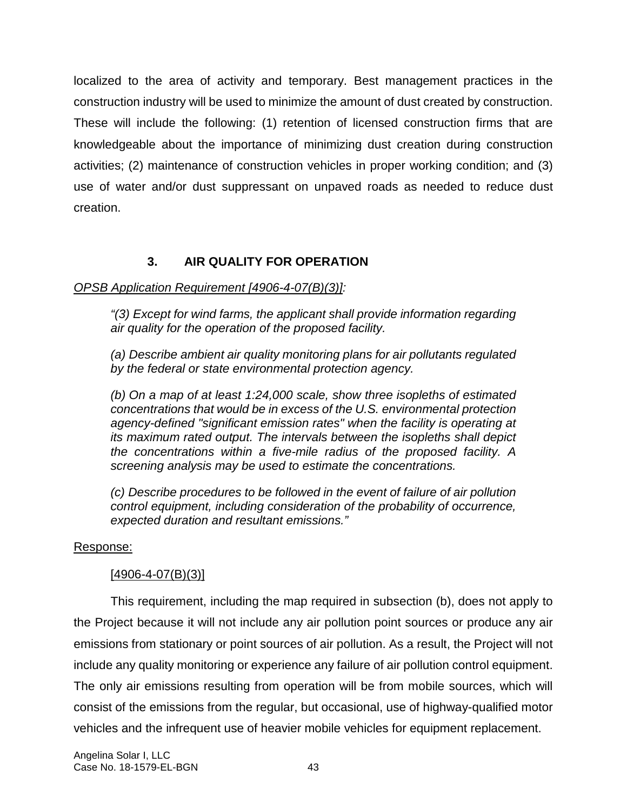localized to the area of activity and temporary. Best management practices in the construction industry will be used to minimize the amount of dust created by construction. These will include the following: (1) retention of licensed construction firms that are knowledgeable about the importance of minimizing dust creation during construction activities; (2) maintenance of construction vehicles in proper working condition; and (3) use of water and/or dust suppressant on unpaved roads as needed to reduce dust creation.

# **3. AIR QUALITY FOR OPERATION**

### *OPSB Application Requirement [4906-4-07(B)(3)]:*

*"(3) Except for wind farms, the applicant shall provide information regarding air quality for the operation of the proposed facility.* 

*(a) Describe ambient air quality monitoring plans for air pollutants regulated by the federal or state environmental protection agency.* 

*(b) On a map of at least 1:24,000 scale, show three isopleths of estimated concentrations that would be in excess of the U.S. environmental protection agency-defined "significant emission rates" when the facility is operating at its maximum rated output. The intervals between the isopleths shall depict the concentrations within a five-mile radius of the proposed facility. A screening analysis may be used to estimate the concentrations.* 

*(c) Describe procedures to be followed in the event of failure of air pollution control equipment, including consideration of the probability of occurrence, expected duration and resultant emissions."* 

### Response:

### $[4906 - 4 - 07(B)(3)]$

This requirement, including the map required in subsection (b), does not apply to the Project because it will not include any air pollution point sources or produce any air emissions from stationary or point sources of air pollution. As a result, the Project will not include any quality monitoring or experience any failure of air pollution control equipment. The only air emissions resulting from operation will be from mobile sources, which will consist of the emissions from the regular, but occasional, use of highway-qualified motor vehicles and the infrequent use of heavier mobile vehicles for equipment replacement.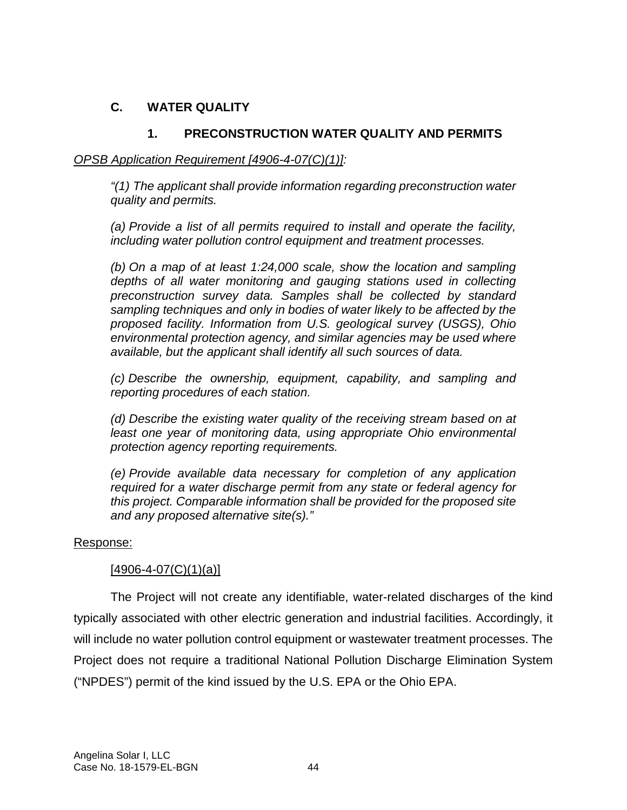# **C. WATER QUALITY**

# **1. PRECONSTRUCTION WATER QUALITY AND PERMITS**

### *OPSB Application Requirement [4906-4-07(C)(1)]:*

*"(1) The applicant shall provide information regarding preconstruction water quality and permits.* 

*(a) Provide a list of all permits required to install and operate the facility, including water pollution control equipment and treatment processes.* 

*(b) On a map of at least 1:24,000 scale, show the location and sampling depths of all water monitoring and gauging stations used in collecting preconstruction survey data. Samples shall be collected by standard sampling techniques and only in bodies of water likely to be affected by the proposed facility. Information from U.S. geological survey (USGS), Ohio environmental protection agency, and similar agencies may be used where available, but the applicant shall identify all such sources of data.* 

*(c) Describe the ownership, equipment, capability, and sampling and reporting procedures of each station.* 

*(d) Describe the existing water quality of the receiving stream based on at least one year of monitoring data, using appropriate Ohio environmental protection agency reporting requirements.* 

*(e) Provide available data necessary for completion of any application required for a water discharge permit from any state or federal agency for this project. Comparable information shall be provided for the proposed site and any proposed alternative site(s)."* 

#### Response:

### $[4906 - 4 - 07(C)(1)(a)]$

The Project will not create any identifiable, water-related discharges of the kind typically associated with other electric generation and industrial facilities. Accordingly, it will include no water pollution control equipment or wastewater treatment processes. The Project does not require a traditional National Pollution Discharge Elimination System ("NPDES") permit of the kind issued by the U.S. EPA or the Ohio EPA.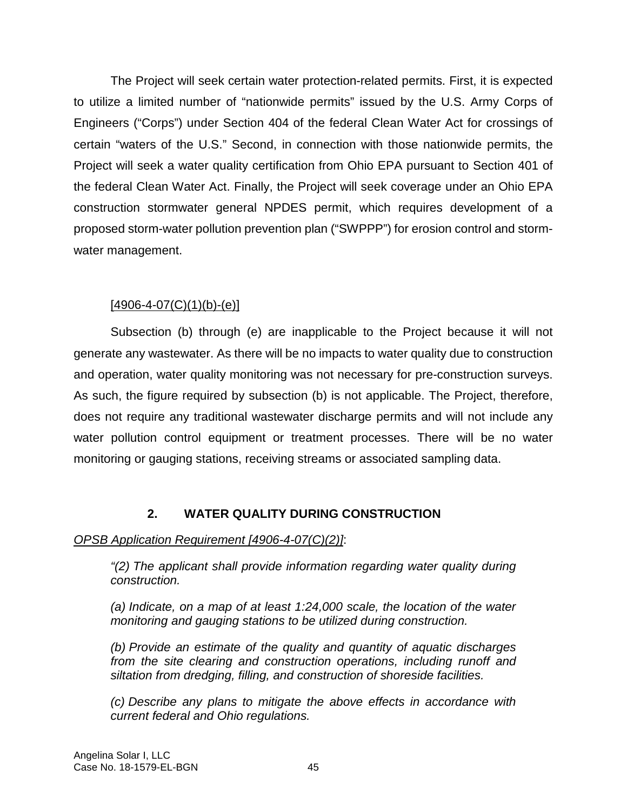The Project will seek certain water protection-related permits. First, it is expected to utilize a limited number of "nationwide permits" issued by the U.S. Army Corps of Engineers ("Corps") under Section 404 of the federal Clean Water Act for crossings of certain "waters of the U.S." Second, in connection with those nationwide permits, the Project will seek a water quality certification from Ohio EPA pursuant to Section 401 of the federal Clean Water Act. Finally, the Project will seek coverage under an Ohio EPA construction stormwater general NPDES permit, which requires development of a proposed storm-water pollution prevention plan ("SWPPP") for erosion control and stormwater management.

## $[4906 - 4 - 07(C)(1)(b) - (e)]$

Subsection (b) through (e) are inapplicable to the Project because it will not generate any wastewater. As there will be no impacts to water quality due to construction and operation, water quality monitoring was not necessary for pre-construction surveys. As such, the figure required by subsection (b) is not applicable. The Project, therefore, does not require any traditional wastewater discharge permits and will not include any water pollution control equipment or treatment processes. There will be no water monitoring or gauging stations, receiving streams or associated sampling data.

## **2. WATER QUALITY DURING CONSTRUCTION**

## *OPSB Application Requirement [4906-4-07(C)(2)]*:

*"(2) The applicant shall provide information regarding water quality during construction.* 

*(a) Indicate, on a map of at least 1:24,000 scale, the location of the water monitoring and gauging stations to be utilized during construction.* 

*(b) Provide an estimate of the quality and quantity of aquatic discharges from the site clearing and construction operations, including runoff and siltation from dredging, filling, and construction of shoreside facilities.* 

*(c) Describe any plans to mitigate the above effects in accordance with current federal and Ohio regulations.*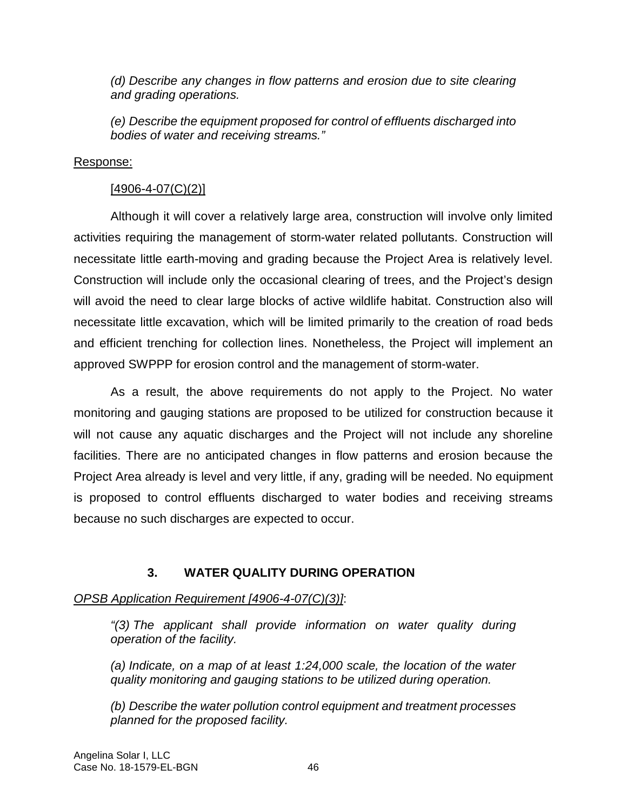*(d) Describe any changes in flow patterns and erosion due to site clearing and grading operations.* 

*(e) Describe the equipment proposed for control of effluents discharged into bodies of water and receiving streams."* 

### Response:

### $[4906 - 4 - 07(C)(2)]$

Although it will cover a relatively large area, construction will involve only limited activities requiring the management of storm-water related pollutants. Construction will necessitate little earth-moving and grading because the Project Area is relatively level. Construction will include only the occasional clearing of trees, and the Project's design will avoid the need to clear large blocks of active wildlife habitat. Construction also will necessitate little excavation, which will be limited primarily to the creation of road beds and efficient trenching for collection lines. Nonetheless, the Project will implement an approved SWPPP for erosion control and the management of storm-water.

As a result, the above requirements do not apply to the Project. No water monitoring and gauging stations are proposed to be utilized for construction because it will not cause any aquatic discharges and the Project will not include any shoreline facilities. There are no anticipated changes in flow patterns and erosion because the Project Area already is level and very little, if any, grading will be needed. No equipment is proposed to control effluents discharged to water bodies and receiving streams because no such discharges are expected to occur.

### **3. WATER QUALITY DURING OPERATION**

### *OPSB Application Requirement [4906-4-07(C)(3)]*:

*"(3) The applicant shall provide information on water quality during operation of the facility.* 

*(a) Indicate, on a map of at least 1:24,000 scale, the location of the water quality monitoring and gauging stations to be utilized during operation.* 

*(b) Describe the water pollution control equipment and treatment processes planned for the proposed facility.*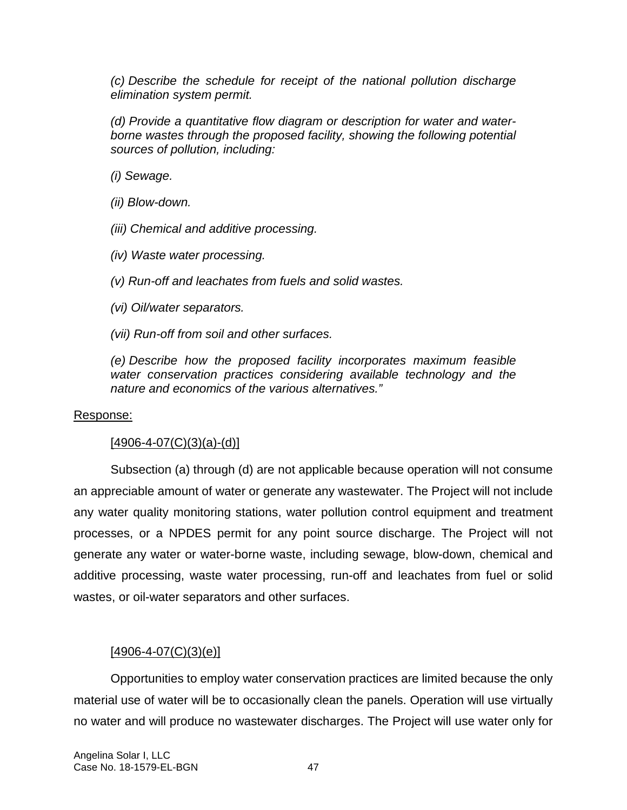*(c) Describe the schedule for receipt of the national pollution discharge elimination system permit.* 

*(d) Provide a quantitative flow diagram or description for water and waterborne wastes through the proposed facility, showing the following potential sources of pollution, including:* 

*(i) Sewage.* 

*(ii) Blow-down.* 

*(iii) Chemical and additive processing.* 

*(iv) Waste water processing.* 

*(v) Run-off and leachates from fuels and solid wastes.* 

*(vi) Oil/water separators.* 

*(vii) Run-off from soil and other surfaces.* 

*(e) Describe how the proposed facility incorporates maximum feasible water conservation practices considering available technology and the nature and economics of the various alternatives."* 

#### Response:

#### $[4906 - 4 - 07(C)(3)(a) - (d)]$

Subsection (a) through (d) are not applicable because operation will not consume an appreciable amount of water or generate any wastewater. The Project will not include any water quality monitoring stations, water pollution control equipment and treatment processes, or a NPDES permit for any point source discharge. The Project will not generate any water or water-borne waste, including sewage, blow-down, chemical and additive processing, waste water processing, run-off and leachates from fuel or solid wastes, or oil-water separators and other surfaces.

### $[4906 - 4 - 07(C)(3)(e)]$

Opportunities to employ water conservation practices are limited because the only material use of water will be to occasionally clean the panels. Operation will use virtually no water and will produce no wastewater discharges. The Project will use water only for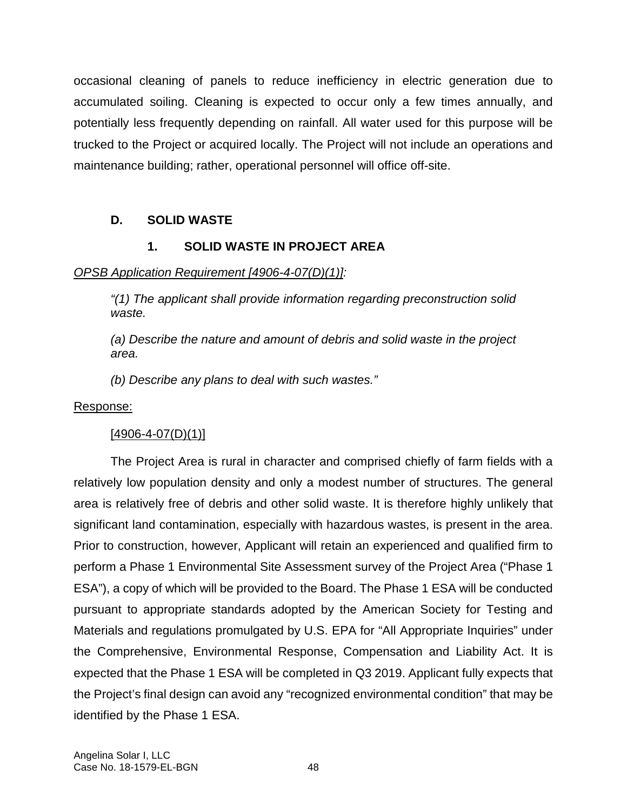occasional cleaning of panels to reduce inefficiency in electric generation due to accumulated soiling. Cleaning is expected to occur only a few times annually, and potentially less frequently depending on rainfall. All water used for this purpose will be trucked to the Project or acquired locally. The Project will not include an operations and maintenance building; rather, operational personnel will office off-site.

# **D. SOLID WASTE**

# **1. SOLID WASTE IN PROJECT AREA**

## *OPSB Application Requirement [4906-4-07(D)(1)]:*

*"(1) The applicant shall provide information regarding preconstruction solid waste.* 

*(a) Describe the nature and amount of debris and solid waste in the project area.* 

*(b) Describe any plans to deal with such wastes."* 

### Response:

## $[4906 - 4 - 07(D)(1)]$

The Project Area is rural in character and comprised chiefly of farm fields with a relatively low population density and only a modest number of structures. The general area is relatively free of debris and other solid waste. It is therefore highly unlikely that significant land contamination, especially with hazardous wastes, is present in the area. Prior to construction, however, Applicant will retain an experienced and qualified firm to perform a Phase 1 Environmental Site Assessment survey of the Project Area ("Phase 1 ESA"), a copy of which will be provided to the Board. The Phase 1 ESA will be conducted pursuant to appropriate standards adopted by the American Society for Testing and Materials and regulations promulgated by U.S. EPA for "All Appropriate Inquiries" under the Comprehensive, Environmental Response, Compensation and Liability Act. It is expected that the Phase 1 ESA will be completed in Q3 2019. Applicant fully expects that the Project's final design can avoid any "recognized environmental condition" that may be identified by the Phase 1 ESA.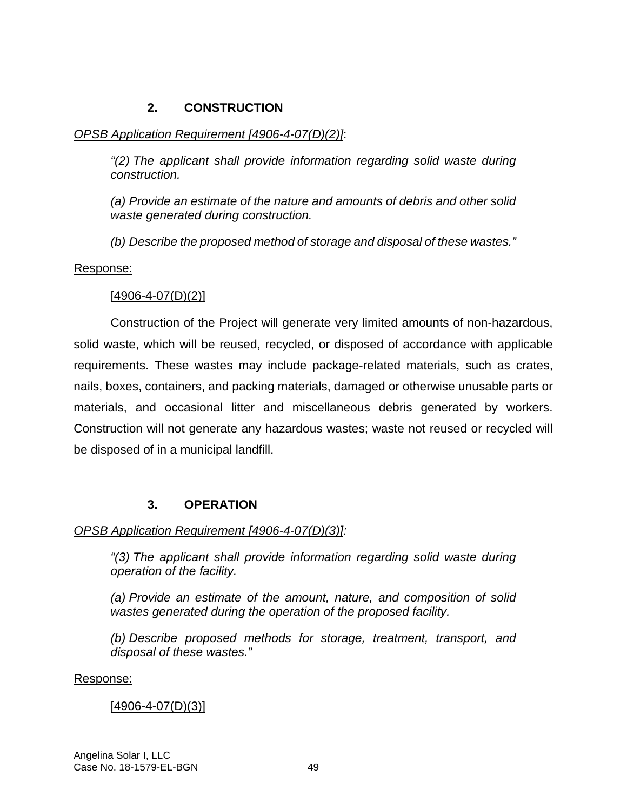## **2. CONSTRUCTION**

# *OPSB Application Requirement [4906-4-07(D)(2)]*:

*"(2) The applicant shall provide information regarding solid waste during construction.* 

*(a) Provide an estimate of the nature and amounts of debris and other solid waste generated during construction.* 

*(b) Describe the proposed method of storage and disposal of these wastes."* 

# Response:

# $[4906 - 4 - 07(D)(2)]$

Construction of the Project will generate very limited amounts of non-hazardous, solid waste, which will be reused, recycled, or disposed of accordance with applicable requirements. These wastes may include package-related materials, such as crates, nails, boxes, containers, and packing materials, damaged or otherwise unusable parts or materials, and occasional litter and miscellaneous debris generated by workers. Construction will not generate any hazardous wastes; waste not reused or recycled will be disposed of in a municipal landfill.

# **3. OPERATION**

# *OPSB Application Requirement [4906-4-07(D)(3)]:*

*"(3) The applicant shall provide information regarding solid waste during operation of the facility.* 

*(a) Provide an estimate of the amount, nature, and composition of solid wastes generated during the operation of the proposed facility.* 

*(b) Describe proposed methods for storage, treatment, transport, and disposal of these wastes."* 

# Response:

# [4906-4-07(D)(3)]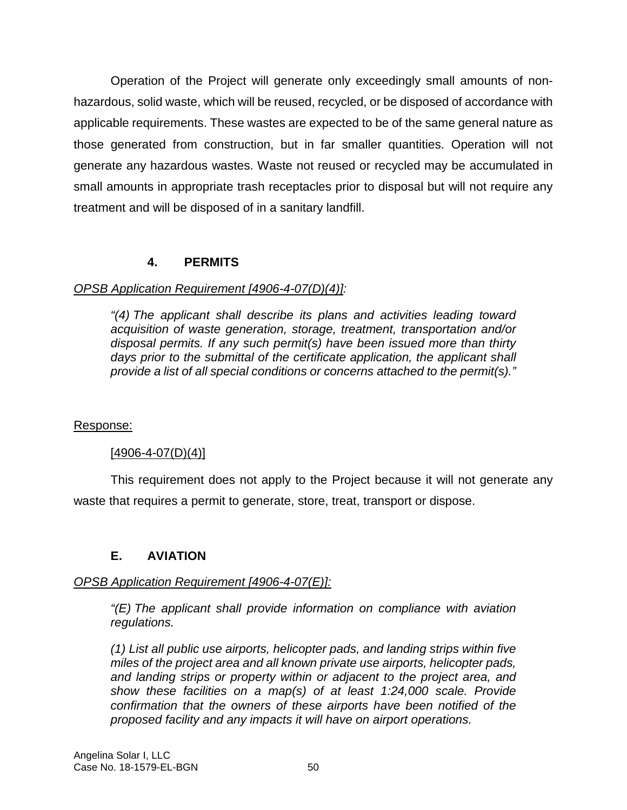Operation of the Project will generate only exceedingly small amounts of nonhazardous, solid waste, which will be reused, recycled, or be disposed of accordance with applicable requirements. These wastes are expected to be of the same general nature as those generated from construction, but in far smaller quantities. Operation will not generate any hazardous wastes. Waste not reused or recycled may be accumulated in small amounts in appropriate trash receptacles prior to disposal but will not require any treatment and will be disposed of in a sanitary landfill.

## **4. PERMITS**

## *OPSB Application Requirement [4906-4-07(D)(4)]:*

*"(4) The applicant shall describe its plans and activities leading toward acquisition of waste generation, storage, treatment, transportation and/or disposal permits. If any such permit(s) have been issued more than thirty*  days prior to the submittal of the certificate application, the applicant shall *provide a list of all special conditions or concerns attached to the permit(s)."* 

### Response:

### $[4906 - 4 - 07(D)(4)]$

This requirement does not apply to the Project because it will not generate any waste that requires a permit to generate, store, treat, transport or dispose.

## **E. AVIATION**

### *OPSB Application Requirement [4906-4-07(E)]:*

*"(E) The applicant shall provide information on compliance with aviation regulations.* 

*(1) List all public use airports, helicopter pads, and landing strips within five miles of the project area and all known private use airports, helicopter pads, and landing strips or property within or adjacent to the project area, and show these facilities on a map(s) of at least 1:24,000 scale. Provide confirmation that the owners of these airports have been notified of the proposed facility and any impacts it will have on airport operations.*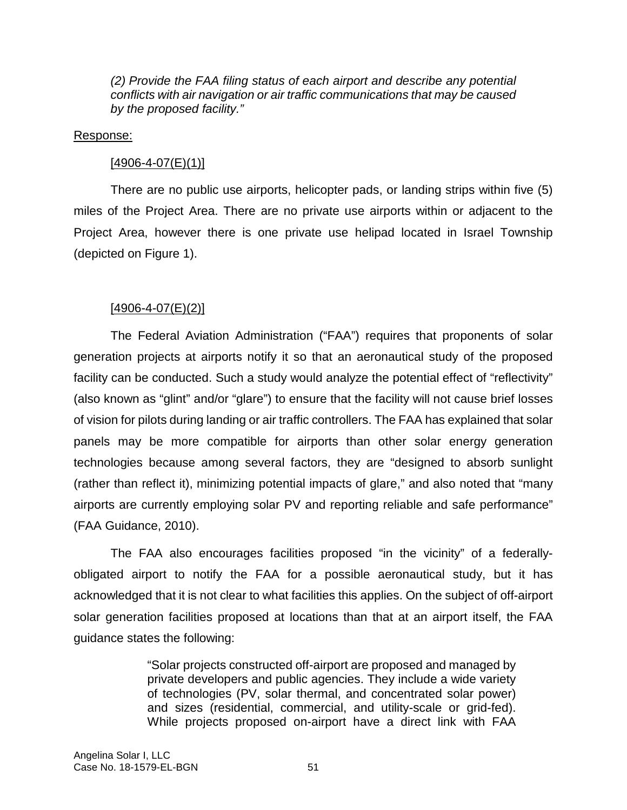*(2) Provide the FAA filing status of each airport and describe any potential conflicts with air navigation or air traffic communications that may be caused by the proposed facility."* 

#### Response:

### $[4906 - 4 - 07(E)(1)]$

There are no public use airports, helicopter pads, or landing strips within five (5) miles of the Project Area. There are no private use airports within or adjacent to the Project Area, however there is one private use helipad located in Israel Township (depicted on Figure 1).

## $[4906 - 4 - 07(E)(2)]$

The Federal Aviation Administration ("FAA") requires that proponents of solar generation projects at airports notify it so that an aeronautical study of the proposed facility can be conducted. Such a study would analyze the potential effect of "reflectivity" (also known as "glint" and/or "glare") to ensure that the facility will not cause brief losses of vision for pilots during landing or air traffic controllers. The FAA has explained that solar panels may be more compatible for airports than other solar energy generation technologies because among several factors, they are "designed to absorb sunlight (rather than reflect it), minimizing potential impacts of glare," and also noted that "many airports are currently employing solar PV and reporting reliable and safe performance" (FAA Guidance, 2010).

The FAA also encourages facilities proposed "in the vicinity" of a federallyobligated airport to notify the FAA for a possible aeronautical study, but it has acknowledged that it is not clear to what facilities this applies. On the subject of off-airport solar generation facilities proposed at locations than that at an airport itself, the FAA guidance states the following:

> "Solar projects constructed off-airport are proposed and managed by private developers and public agencies. They include a wide variety of technologies (PV, solar thermal, and concentrated solar power) and sizes (residential, commercial, and utility-scale or grid-fed). While projects proposed on-airport have a direct link with FAA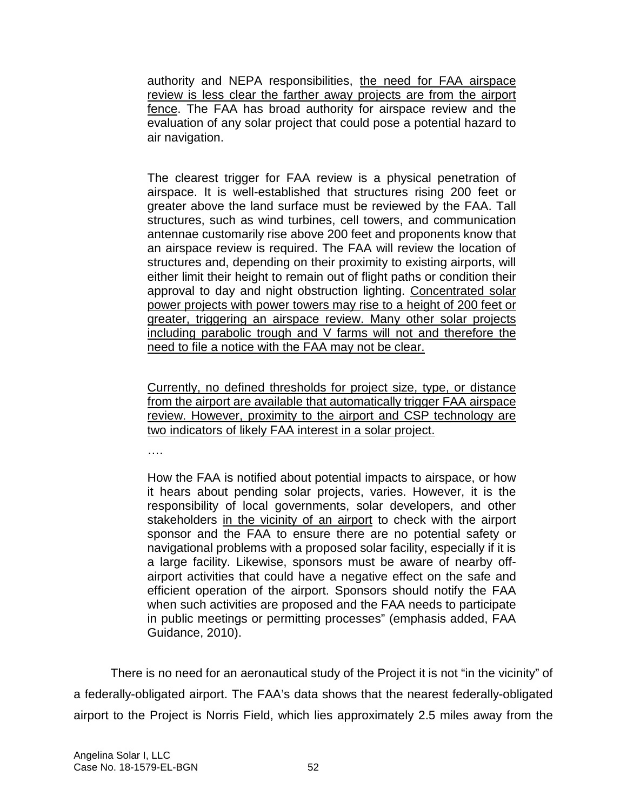authority and NEPA responsibilities, the need for FAA airspace review is less clear the farther away projects are from the airport fence. The FAA has broad authority for airspace review and the evaluation of any solar project that could pose a potential hazard to air navigation.

The clearest trigger for FAA review is a physical penetration of airspace. It is well-established that structures rising 200 feet or greater above the land surface must be reviewed by the FAA. Tall structures, such as wind turbines, cell towers, and communication antennae customarily rise above 200 feet and proponents know that an airspace review is required. The FAA will review the location of structures and, depending on their proximity to existing airports, will either limit their height to remain out of flight paths or condition their approval to day and night obstruction lighting. Concentrated solar power projects with power towers may rise to a height of 200 feet or greater, triggering an airspace review. Many other solar projects including parabolic trough and V farms will not and therefore the need to file a notice with the FAA may not be clear.

Currently, no defined thresholds for project size, type, or distance from the airport are available that automatically trigger FAA airspace review. However, proximity to the airport and CSP technology are two indicators of likely FAA interest in a solar project.

….

How the FAA is notified about potential impacts to airspace, or how it hears about pending solar projects, varies. However, it is the responsibility of local governments, solar developers, and other stakeholders in the vicinity of an airport to check with the airport sponsor and the FAA to ensure there are no potential safety or navigational problems with a proposed solar facility, especially if it is a large facility. Likewise, sponsors must be aware of nearby offairport activities that could have a negative effect on the safe and efficient operation of the airport. Sponsors should notify the FAA when such activities are proposed and the FAA needs to participate in public meetings or permitting processes" (emphasis added, FAA Guidance, 2010).

There is no need for an aeronautical study of the Project it is not "in the vicinity" of a federally-obligated airport. The FAA's data shows that the nearest federally-obligated airport to the Project is Norris Field, which lies approximately 2.5 miles away from the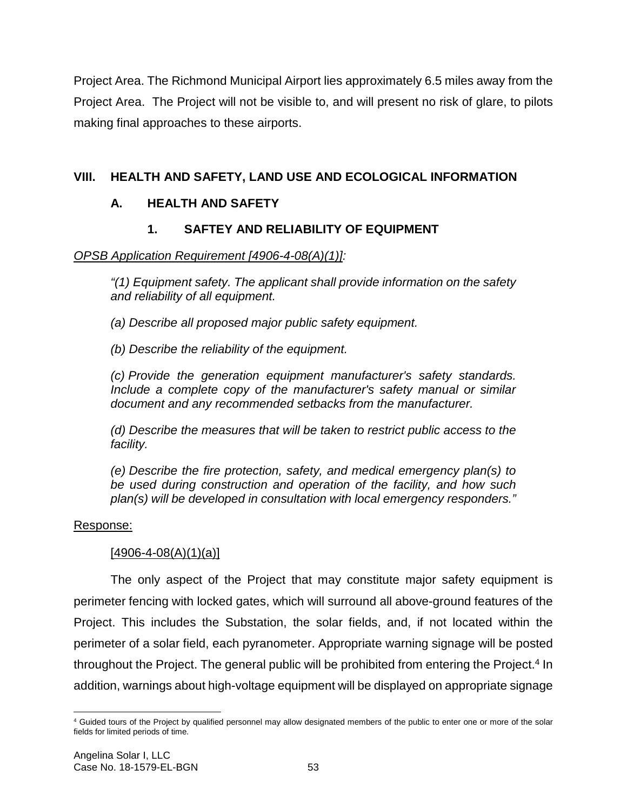Project Area. The Richmond Municipal Airport lies approximately 6.5 miles away from the Project Area. The Project will not be visible to, and will present no risk of glare, to pilots making final approaches to these airports.

# **VIII. HEALTH AND SAFETY, LAND USE AND ECOLOGICAL INFORMATION**

# **A. HEALTH AND SAFETY**

# **1. SAFTEY AND RELIABILITY OF EQUIPMENT**

## *OPSB Application Requirement [4906-4-08(A)(1)]:*

*"(1) Equipment safety. The applicant shall provide information on the safety and reliability of all equipment.* 

*(a) Describe all proposed major public safety equipment.* 

*(b) Describe the reliability of the equipment.* 

*(c) Provide the generation equipment manufacturer's safety standards. Include a complete copy of the manufacturer's safety manual or similar document and any recommended setbacks from the manufacturer.* 

*(d) Describe the measures that will be taken to restrict public access to the facility.* 

*(e) Describe the fire protection, safety, and medical emergency plan(s) to be used during construction and operation of the facility, and how such plan(s) will be developed in consultation with local emergency responders."* 

### Response:

## $[4906 - 4 - 08(A)(1)(a)]$

The only aspect of the Project that may constitute major safety equipment is perimeter fencing with locked gates, which will surround all above-ground features of the Project. This includes the Substation, the solar fields, and, if not located within the perimeter of a solar field, each pyranometer. Appropriate warning signage will be posted throughout the Project. The general public will be prohibited from entering the Project.<sup>4</sup> In addition, warnings about high-voltage equipment will be displayed on appropriate signage

<sup>4</sup> Guided tours of the Project by qualified personnel may allow designated members of the public to enter one or more of the solar fields for limited periods of time.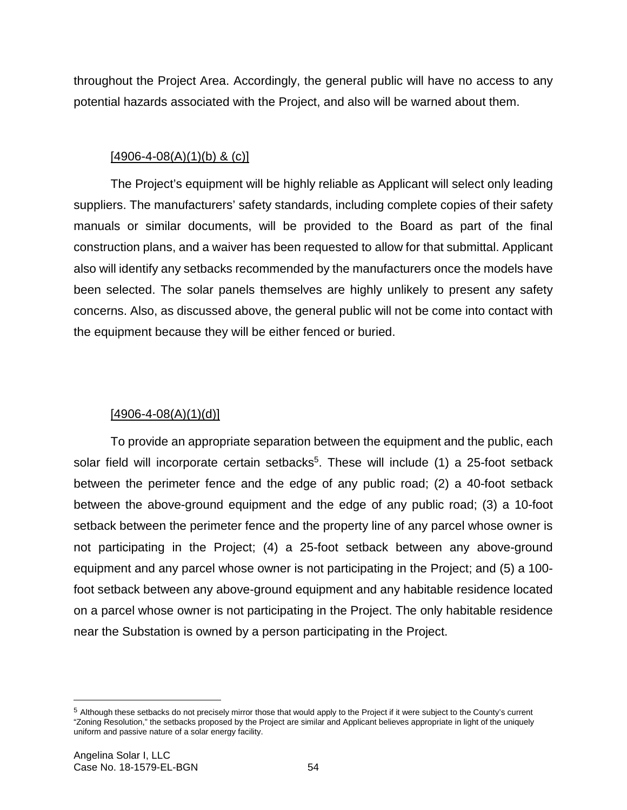throughout the Project Area. Accordingly, the general public will have no access to any potential hazards associated with the Project, and also will be warned about them.

## $[4906 - 4 - 08(A)(1)(b)$  & (c)]

The Project's equipment will be highly reliable as Applicant will select only leading suppliers. The manufacturers' safety standards, including complete copies of their safety manuals or similar documents, will be provided to the Board as part of the final construction plans, and a waiver has been requested to allow for that submittal. Applicant also will identify any setbacks recommended by the manufacturers once the models have been selected. The solar panels themselves are highly unlikely to present any safety concerns. Also, as discussed above, the general public will not be come into contact with the equipment because they will be either fenced or buried.

## $[4906 - 4 - 08(A)(1)(d)]$

To provide an appropriate separation between the equipment and the public, each solar field will incorporate certain setbacks<sup>5</sup>. These will include (1) a 25-foot setback between the perimeter fence and the edge of any public road; (2) a 40-foot setback between the above-ground equipment and the edge of any public road; (3) a 10-foot setback between the perimeter fence and the property line of any parcel whose owner is not participating in the Project; (4) a 25-foot setback between any above-ground equipment and any parcel whose owner is not participating in the Project; and (5) a 100 foot setback between any above-ground equipment and any habitable residence located on a parcel whose owner is not participating in the Project. The only habitable residence near the Substation is owned by a person participating in the Project.

<sup>5</sup> Although these setbacks do not precisely mirror those that would apply to the Project if it were subject to the County's current "Zoning Resolution," the setbacks proposed by the Project are similar and Applicant believes appropriate in light of the uniquely uniform and passive nature of a solar energy facility.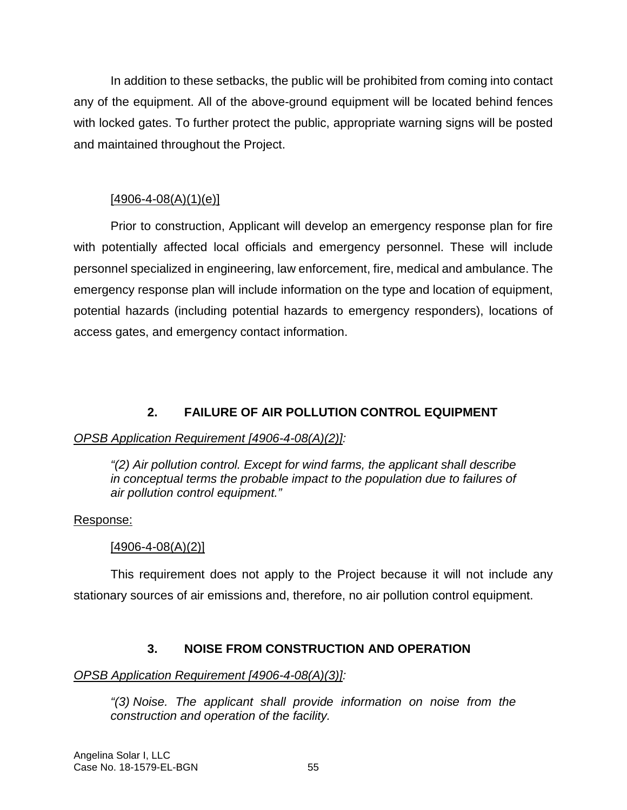In addition to these setbacks, the public will be prohibited from coming into contact any of the equipment. All of the above-ground equipment will be located behind fences with locked gates. To further protect the public, appropriate warning signs will be posted and maintained throughout the Project.

## $[4906 - 4 - 08(A)(1)(e)]$

Prior to construction, Applicant will develop an emergency response plan for fire with potentially affected local officials and emergency personnel. These will include personnel specialized in engineering, law enforcement, fire, medical and ambulance. The emergency response plan will include information on the type and location of equipment, potential hazards (including potential hazards to emergency responders), locations of access gates, and emergency contact information.

# **2. FAILURE OF AIR POLLUTION CONTROL EQUIPMENT**

# *OPSB Application Requirement [4906-4-08(A)(2)]:*

*"(2) Air pollution control. Except for wind farms, the applicant shall describe in conceptual terms the probable impact to the population due to failures of air pollution control equipment."* 

## Response:

# [4906-4-08(A)(2)]

This requirement does not apply to the Project because it will not include any stationary sources of air emissions and, therefore, no air pollution control equipment.

# **3. NOISE FROM CONSTRUCTION AND OPERATION**

## *OPSB Application Requirement [4906-4-08(A)(3)]:*

*"(3) Noise. The applicant shall provide information on noise from the construction and operation of the facility.*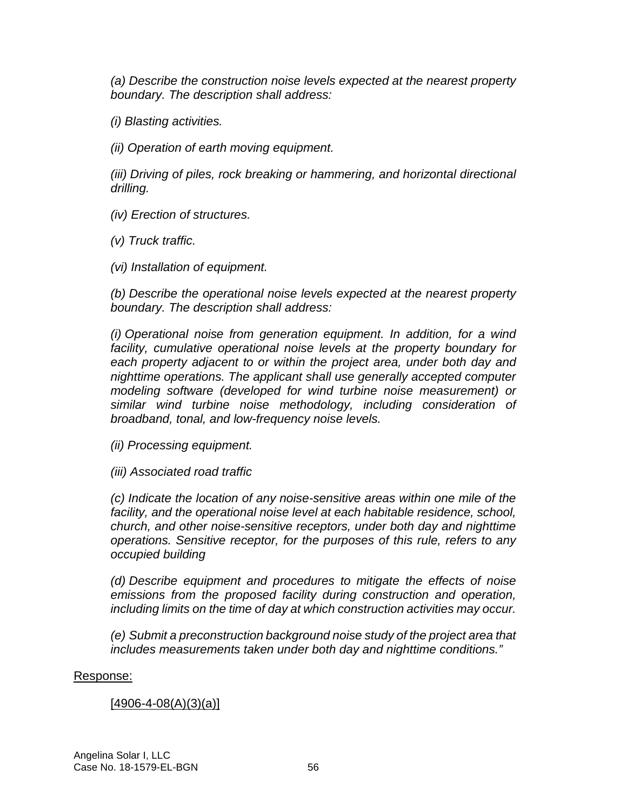*(a) Describe the construction noise levels expected at the nearest property boundary. The description shall address:* 

*(i) Blasting activities.* 

*(ii) Operation of earth moving equipment.* 

*(iii) Driving of piles, rock breaking or hammering, and horizontal directional drilling.* 

*(iv) Erection of structures.* 

*(v) Truck traffic.* 

*(vi) Installation of equipment.* 

*(b) Describe the operational noise levels expected at the nearest property boundary. The description shall address:* 

*(i) Operational noise from generation equipment. In addition, for a wind facility, cumulative operational noise levels at the property boundary for each property adjacent to or within the project area, under both day and nighttime operations. The applicant shall use generally accepted computer modeling software (developed for wind turbine noise measurement) or similar wind turbine noise methodology, including consideration of broadband, tonal, and low-frequency noise levels.* 

*(ii) Processing equipment.* 

*(iii) Associated road traffic* 

*(c) Indicate the location of any noise-sensitive areas within one mile of the facility, and the operational noise level at each habitable residence, school, church, and other noise-sensitive receptors, under both day and nighttime operations. Sensitive receptor, for the purposes of this rule, refers to any occupied building* 

*(d) Describe equipment and procedures to mitigate the effects of noise emissions from the proposed facility during construction and operation, including limits on the time of day at which construction activities may occur.* 

*(e) Submit a preconstruction background noise study of the project area that includes measurements taken under both day and nighttime conditions."* 

Response:

#### [4906-4-08(A)(3)(a)]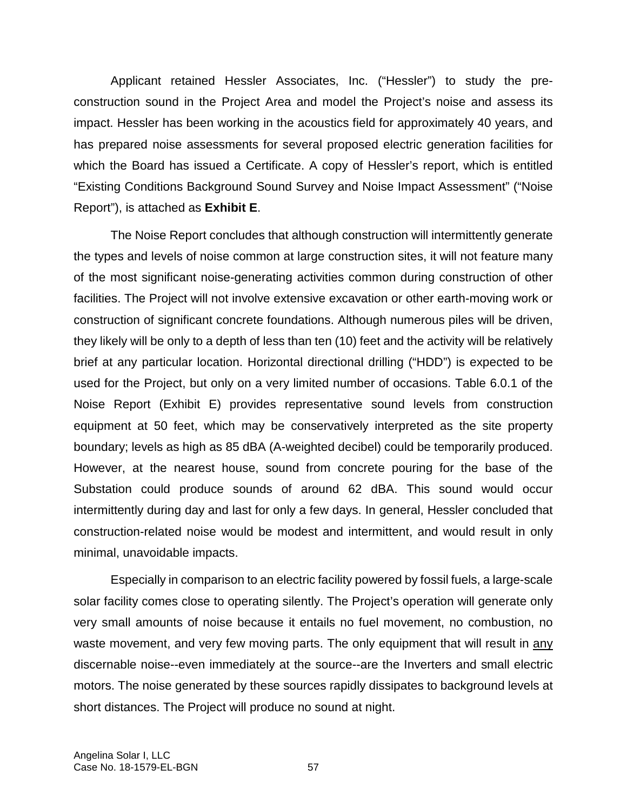Applicant retained Hessler Associates, Inc. ("Hessler") to study the preconstruction sound in the Project Area and model the Project's noise and assess its impact. Hessler has been working in the acoustics field for approximately 40 years, and has prepared noise assessments for several proposed electric generation facilities for which the Board has issued a Certificate. A copy of Hessler's report, which is entitled "Existing Conditions Background Sound Survey and Noise Impact Assessment" ("Noise Report"), is attached as **Exhibit E**.

The Noise Report concludes that although construction will intermittently generate the types and levels of noise common at large construction sites, it will not feature many of the most significant noise-generating activities common during construction of other facilities. The Project will not involve extensive excavation or other earth-moving work or construction of significant concrete foundations. Although numerous piles will be driven, they likely will be only to a depth of less than ten (10) feet and the activity will be relatively brief at any particular location. Horizontal directional drilling ("HDD") is expected to be used for the Project, but only on a very limited number of occasions. Table 6.0.1 of the Noise Report (Exhibit E) provides representative sound levels from construction equipment at 50 feet, which may be conservatively interpreted as the site property boundary; levels as high as 85 dBA (A-weighted decibel) could be temporarily produced. However, at the nearest house, sound from concrete pouring for the base of the Substation could produce sounds of around 62 dBA. This sound would occur intermittently during day and last for only a few days. In general, Hessler concluded that construction-related noise would be modest and intermittent, and would result in only minimal, unavoidable impacts.

Especially in comparison to an electric facility powered by fossil fuels, a large-scale solar facility comes close to operating silently. The Project's operation will generate only very small amounts of noise because it entails no fuel movement, no combustion, no waste movement, and very few moving parts. The only equipment that will result in any discernable noise--even immediately at the source--are the Inverters and small electric motors. The noise generated by these sources rapidly dissipates to background levels at short distances. The Project will produce no sound at night.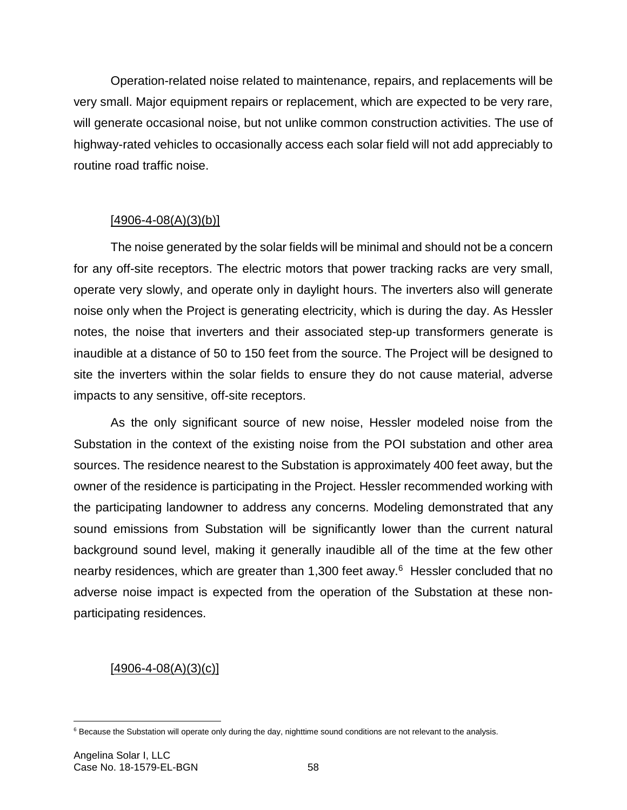Operation-related noise related to maintenance, repairs, and replacements will be very small. Major equipment repairs or replacement, which are expected to be very rare, will generate occasional noise, but not unlike common construction activities. The use of highway-rated vehicles to occasionally access each solar field will not add appreciably to routine road traffic noise.

## $[4906 - 4 - 08(A)(3)(b)]$

The noise generated by the solar fields will be minimal and should not be a concern for any off-site receptors. The electric motors that power tracking racks are very small, operate very slowly, and operate only in daylight hours. The inverters also will generate noise only when the Project is generating electricity, which is during the day. As Hessler notes, the noise that inverters and their associated step-up transformers generate is inaudible at a distance of 50 to 150 feet from the source. The Project will be designed to site the inverters within the solar fields to ensure they do not cause material, adverse impacts to any sensitive, off-site receptors.

As the only significant source of new noise, Hessler modeled noise from the Substation in the context of the existing noise from the POI substation and other area sources. The residence nearest to the Substation is approximately 400 feet away, but the owner of the residence is participating in the Project. Hessler recommended working with the participating landowner to address any concerns. Modeling demonstrated that any sound emissions from Substation will be significantly lower than the current natural background sound level, making it generally inaudible all of the time at the few other nearby residences, which are greater than 1,300 feet away.<sup>6</sup> Hessler concluded that no adverse noise impact is expected from the operation of the Substation at these nonparticipating residences.

## $[4906 - 4 - 08(A)(3)(c)]$

<sup>&</sup>lt;sup>6</sup> Because the Substation will operate only during the day, nighttime sound conditions are not relevant to the analysis.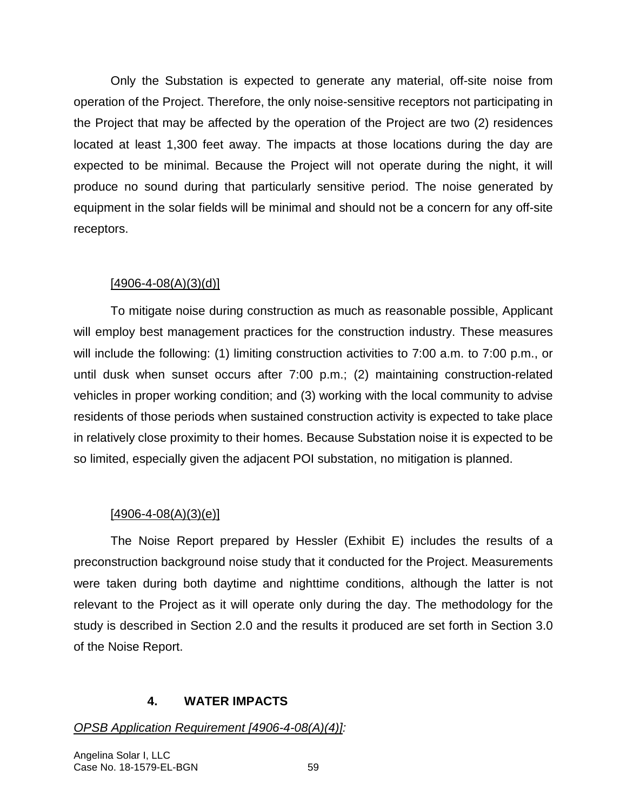Only the Substation is expected to generate any material, off-site noise from operation of the Project. Therefore, the only noise-sensitive receptors not participating in the Project that may be affected by the operation of the Project are two (2) residences located at least 1,300 feet away. The impacts at those locations during the day are expected to be minimal. Because the Project will not operate during the night, it will produce no sound during that particularly sensitive period. The noise generated by equipment in the solar fields will be minimal and should not be a concern for any off-site receptors.

## $[4906 - 4 - 08(A)(3)(d)]$

To mitigate noise during construction as much as reasonable possible, Applicant will employ best management practices for the construction industry. These measures will include the following: (1) limiting construction activities to 7:00 a.m. to 7:00 p.m., or until dusk when sunset occurs after 7:00 p.m.; (2) maintaining construction-related vehicles in proper working condition; and (3) working with the local community to advise residents of those periods when sustained construction activity is expected to take place in relatively close proximity to their homes. Because Substation noise it is expected to be so limited, especially given the adjacent POI substation, no mitigation is planned.

## $[4906 - 4 - 08(A)(3)(e)]$

The Noise Report prepared by Hessler (Exhibit E) includes the results of a preconstruction background noise study that it conducted for the Project. Measurements were taken during both daytime and nighttime conditions, although the latter is not relevant to the Project as it will operate only during the day. The methodology for the study is described in Section 2.0 and the results it produced are set forth in Section 3.0 of the Noise Report.

## **4. WATER IMPACTS**

# *OPSB Application Requirement [4906-4-08(A)(4)]:*

Angelina Solar I, LLC Case No. 18-1579-EL-BGN 59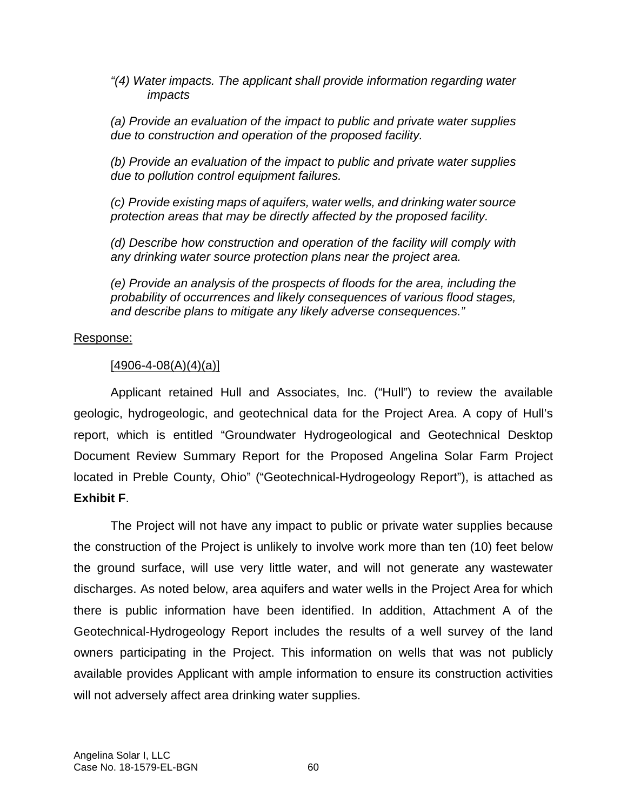*"(4) Water impacts. The applicant shall provide information regarding water impacts* 

*(a) Provide an evaluation of the impact to public and private water supplies due to construction and operation of the proposed facility.* 

*(b) Provide an evaluation of the impact to public and private water supplies due to pollution control equipment failures.* 

*(c) Provide existing maps of aquifers, water wells, and drinking water source protection areas that may be directly affected by the proposed facility.* 

*(d) Describe how construction and operation of the facility will comply with any drinking water source protection plans near the project area.* 

*(e) Provide an analysis of the prospects of floods for the area, including the probability of occurrences and likely consequences of various flood stages, and describe plans to mitigate any likely adverse consequences."* 

## Response:

## $[4906 - 4 - 08(A)(4)(a)]$

Applicant retained Hull and Associates, Inc. ("Hull") to review the available geologic, hydrogeologic, and geotechnical data for the Project Area. A copy of Hull's report, which is entitled "Groundwater Hydrogeological and Geotechnical Desktop Document Review Summary Report for the Proposed Angelina Solar Farm Project located in Preble County, Ohio" ("Geotechnical-Hydrogeology Report"), is attached as **Exhibit F**.

The Project will not have any impact to public or private water supplies because the construction of the Project is unlikely to involve work more than ten (10) feet below the ground surface, will use very little water, and will not generate any wastewater discharges. As noted below, area aquifers and water wells in the Project Area for which there is public information have been identified. In addition, Attachment A of the Geotechnical-Hydrogeology Report includes the results of a well survey of the land owners participating in the Project. This information on wells that was not publicly available provides Applicant with ample information to ensure its construction activities will not adversely affect area drinking water supplies.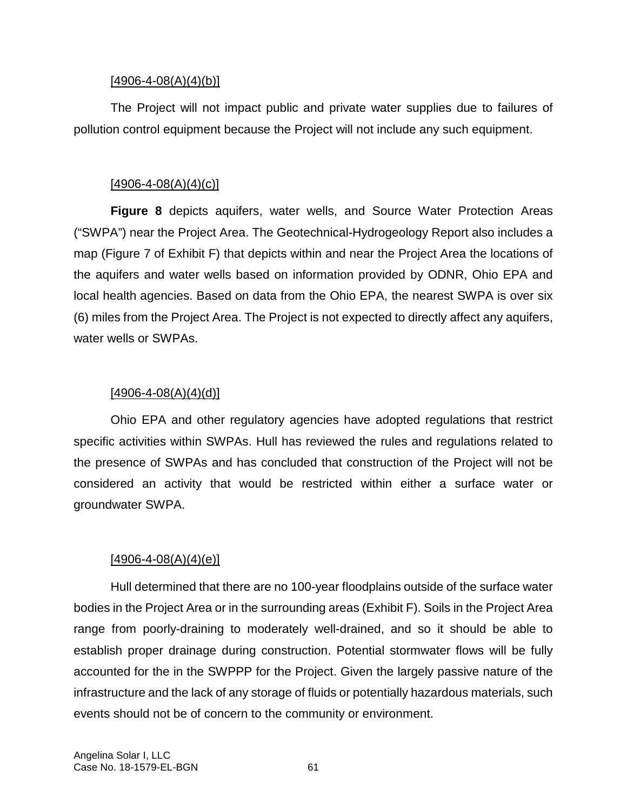#### $[4906 - 4 - 08(A)(4)(b)]$

The Project will not impact public and private water supplies due to failures of pollution control equipment because the Project will not include any such equipment.

## $[4906 - 4 - 08(A)(4)(c)]$

**Figure 8** depicts aquifers, water wells, and Source Water Protection Areas ("SWPA") near the Project Area. The Geotechnical-Hydrogeology Report also includes a map (Figure 7 of Exhibit F) that depicts within and near the Project Area the locations of the aquifers and water wells based on information provided by ODNR, Ohio EPA and local health agencies. Based on data from the Ohio EPA, the nearest SWPA is over six (6) miles from the Project Area. The Project is not expected to directly affect any aquifers, water wells or SWPAs.

## $[4906 - 4 - 08(A)(4)(d)]$

Ohio EPA and other regulatory agencies have adopted regulations that restrict specific activities within SWPAs. Hull has reviewed the rules and regulations related to the presence of SWPAs and has concluded that construction of the Project will not be considered an activity that would be restricted within either a surface water or groundwater SWPA.

### [4906-4-08(A)(4)(e)]

Hull determined that there are no 100-year floodplains outside of the surface water bodies in the Project Area or in the surrounding areas (Exhibit F). Soils in the Project Area range from poorly-draining to moderately well-drained, and so it should be able to establish proper drainage during construction. Potential stormwater flows will be fully accounted for the in the SWPPP for the Project. Given the largely passive nature of the infrastructure and the lack of any storage of fluids or potentially hazardous materials, such events should not be of concern to the community or environment.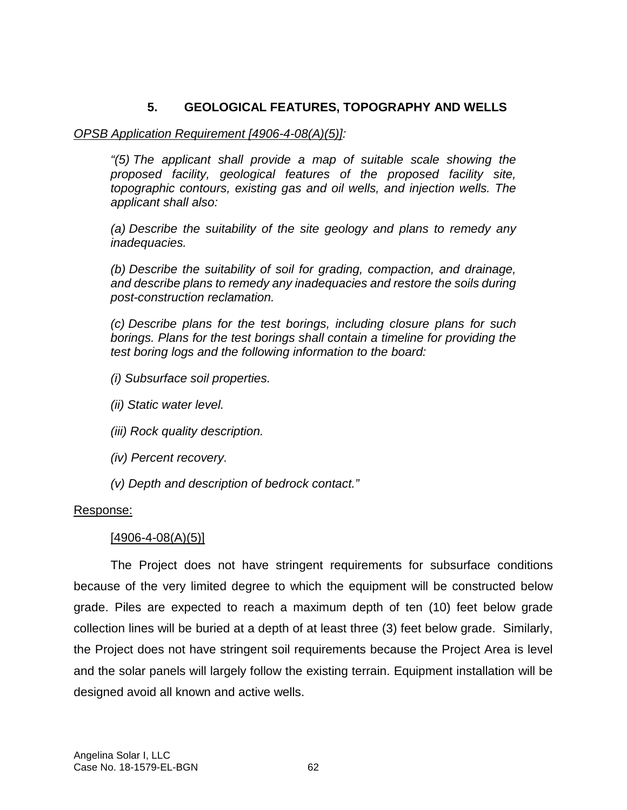# **5. GEOLOGICAL FEATURES, TOPOGRAPHY AND WELLS**

### *OPSB Application Requirement [4906-4-08(A)(5)]:*

*"(5) The applicant shall provide a map of suitable scale showing the proposed facility, geological features of the proposed facility site, topographic contours, existing gas and oil wells, and injection wells. The applicant shall also:* 

*(a) Describe the suitability of the site geology and plans to remedy any inadequacies.* 

*(b) Describe the suitability of soil for grading, compaction, and drainage, and describe plans to remedy any inadequacies and restore the soils during post-construction reclamation.* 

*(c) Describe plans for the test borings, including closure plans for such borings. Plans for the test borings shall contain a timeline for providing the test boring logs and the following information to the board:* 

- *(i) Subsurface soil properties.*
- *(ii) Static water level.*
- *(iii) Rock quality description.*
- *(iv) Percent recovery.*
- *(v) Depth and description of bedrock contact."*

### Response:

### $[4906 - 4 - 08(A)(5)]$

The Project does not have stringent requirements for subsurface conditions because of the very limited degree to which the equipment will be constructed below grade. Piles are expected to reach a maximum depth of ten (10) feet below grade collection lines will be buried at a depth of at least three (3) feet below grade. Similarly, the Project does not have stringent soil requirements because the Project Area is level and the solar panels will largely follow the existing terrain. Equipment installation will be designed avoid all known and active wells.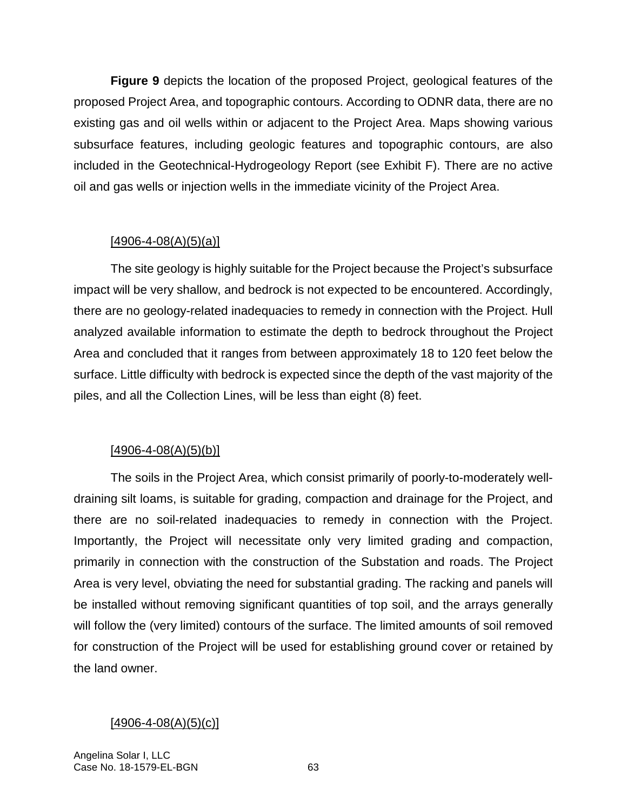**Figure 9** depicts the location of the proposed Project, geological features of the proposed Project Area, and topographic contours. According to ODNR data, there are no existing gas and oil wells within or adjacent to the Project Area. Maps showing various subsurface features, including geologic features and topographic contours, are also included in the Geotechnical-Hydrogeology Report (see Exhibit F). There are no active oil and gas wells or injection wells in the immediate vicinity of the Project Area.

#### [4906-4-08(A)(5)(a)]

The site geology is highly suitable for the Project because the Project's subsurface impact will be very shallow, and bedrock is not expected to be encountered. Accordingly, there are no geology-related inadequacies to remedy in connection with the Project. Hull analyzed available information to estimate the depth to bedrock throughout the Project Area and concluded that it ranges from between approximately 18 to 120 feet below the surface. Little difficulty with bedrock is expected since the depth of the vast majority of the piles, and all the Collection Lines, will be less than eight (8) feet.

#### $[4906 - 4 - 08(A)(5)(b)]$

The soils in the Project Area, which consist primarily of poorly-to-moderately welldraining silt loams, is suitable for grading, compaction and drainage for the Project, and there are no soil-related inadequacies to remedy in connection with the Project. Importantly, the Project will necessitate only very limited grading and compaction, primarily in connection with the construction of the Substation and roads. The Project Area is very level, obviating the need for substantial grading. The racking and panels will be installed without removing significant quantities of top soil, and the arrays generally will follow the (very limited) contours of the surface. The limited amounts of soil removed for construction of the Project will be used for establishing ground cover or retained by the land owner.

#### $[4906 - 4 - 08(A)(5)(c)]$

Angelina Solar I, LLC Case No. 18-1579-EL-BGN 63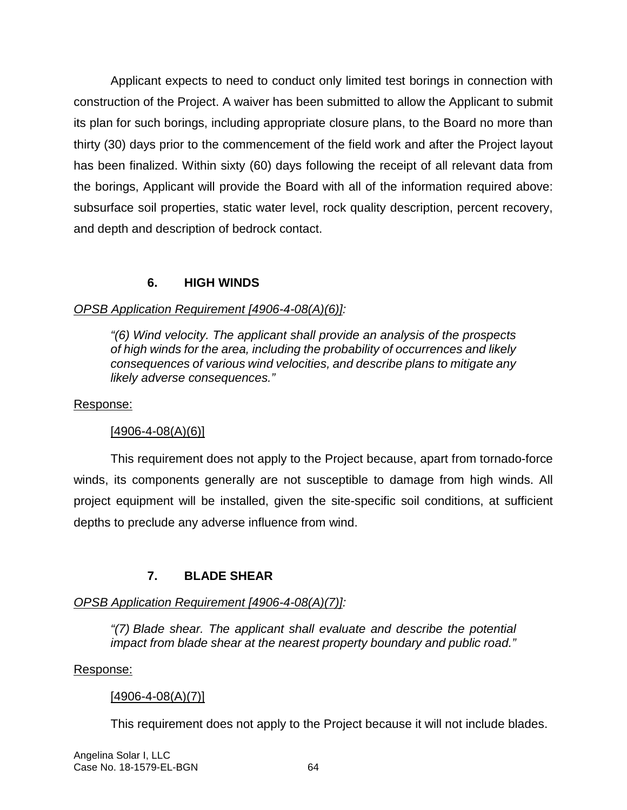Applicant expects to need to conduct only limited test borings in connection with construction of the Project. A waiver has been submitted to allow the Applicant to submit its plan for such borings, including appropriate closure plans, to the Board no more than thirty (30) days prior to the commencement of the field work and after the Project layout has been finalized. Within sixty (60) days following the receipt of all relevant data from the borings, Applicant will provide the Board with all of the information required above: subsurface soil properties, static water level, rock quality description, percent recovery, and depth and description of bedrock contact.

# **6. HIGH WINDS**

# *OPSB Application Requirement [4906-4-08(A)(6)]:*

*"(6) Wind velocity. The applicant shall provide an analysis of the prospects of high winds for the area, including the probability of occurrences and likely consequences of various wind velocities, and describe plans to mitigate any likely adverse consequences."* 

## Response:

# $[4906 - 4 - 08(A)(6)]$

This requirement does not apply to the Project because, apart from tornado-force winds, its components generally are not susceptible to damage from high winds. All project equipment will be installed, given the site-specific soil conditions, at sufficient depths to preclude any adverse influence from wind.

# **7. BLADE SHEAR**

# *OPSB Application Requirement [4906-4-08(A)(7)]:*

*"(7) Blade shear. The applicant shall evaluate and describe the potential impact from blade shear at the nearest property boundary and public road."* 

#### Response:

# $[4906 - 4 - 08(A)(7)]$

This requirement does not apply to the Project because it will not include blades.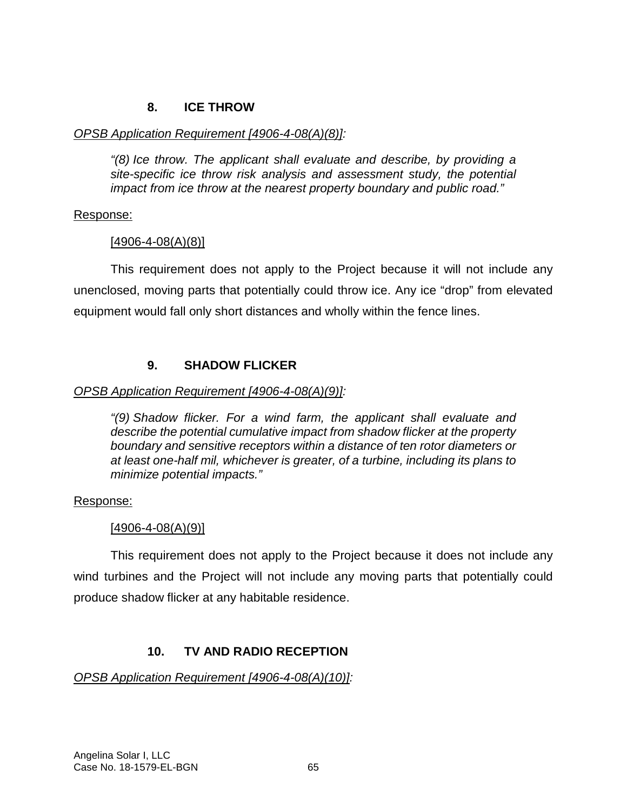## **8. ICE THROW**

#### *OPSB Application Requirement [4906-4-08(A)(8)]:*

*"(8) Ice throw. The applicant shall evaluate and describe, by providing a site-specific ice throw risk analysis and assessment study, the potential impact from ice throw at the nearest property boundary and public road."* 

#### Response:

#### [4906-4-08(A)(8)]

This requirement does not apply to the Project because it will not include any unenclosed, moving parts that potentially could throw ice. Any ice "drop" from elevated equipment would fall only short distances and wholly within the fence lines.

### **9. SHADOW FLICKER**

#### *OPSB Application Requirement [4906-4-08(A)(9)]:*

*"(9) Shadow flicker. For a wind farm, the applicant shall evaluate and describe the potential cumulative impact from shadow flicker at the property boundary and sensitive receptors within a distance of ten rotor diameters or at least one-half mil, whichever is greater, of a turbine, including its plans to minimize potential impacts."* 

#### Response:

#### [4906-4-08(A)(9)]

This requirement does not apply to the Project because it does not include any wind turbines and the Project will not include any moving parts that potentially could produce shadow flicker at any habitable residence.

# **10. TV AND RADIO RECEPTION**

#### *OPSB Application Requirement [4906-4-08(A)(10)]:*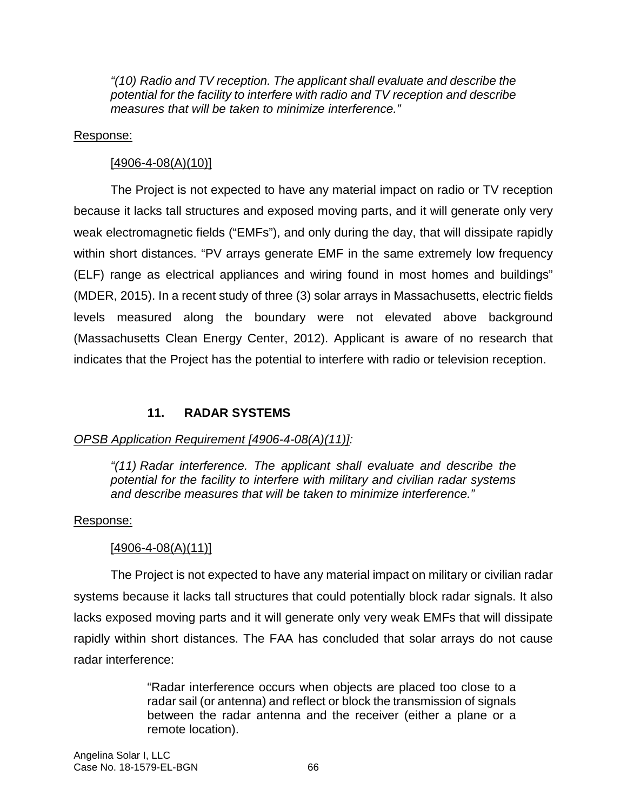*"(10) Radio and TV reception. The applicant shall evaluate and describe the potential for the facility to interfere with radio and TV reception and describe measures that will be taken to minimize interference."* 

#### Response:

#### $[4906 - 4 - 08(A)(10)]$

The Project is not expected to have any material impact on radio or TV reception because it lacks tall structures and exposed moving parts, and it will generate only very weak electromagnetic fields ("EMFs"), and only during the day, that will dissipate rapidly within short distances. "PV arrays generate EMF in the same extremely low frequency (ELF) range as electrical appliances and wiring found in most homes and buildings" (MDER, 2015). In a recent study of three (3) solar arrays in Massachusetts, electric fields levels measured along the boundary were not elevated above background (Massachusetts Clean Energy Center, 2012). Applicant is aware of no research that indicates that the Project has the potential to interfere with radio or television reception.

# **11. RADAR SYSTEMS**

# *OPSB Application Requirement [4906-4-08(A)(11)]:*

*"(11) Radar interference. The applicant shall evaluate and describe the potential for the facility to interfere with military and civilian radar systems and describe measures that will be taken to minimize interference."*

#### Response:

# $[4906 - 4 - 08(A)(11)]$

The Project is not expected to have any material impact on military or civilian radar systems because it lacks tall structures that could potentially block radar signals. It also lacks exposed moving parts and it will generate only very weak EMFs that will dissipate rapidly within short distances. The FAA has concluded that solar arrays do not cause radar interference:

> "Radar interference occurs when objects are placed too close to a radar sail (or antenna) and reflect or block the transmission of signals between the radar antenna and the receiver (either a plane or a remote location).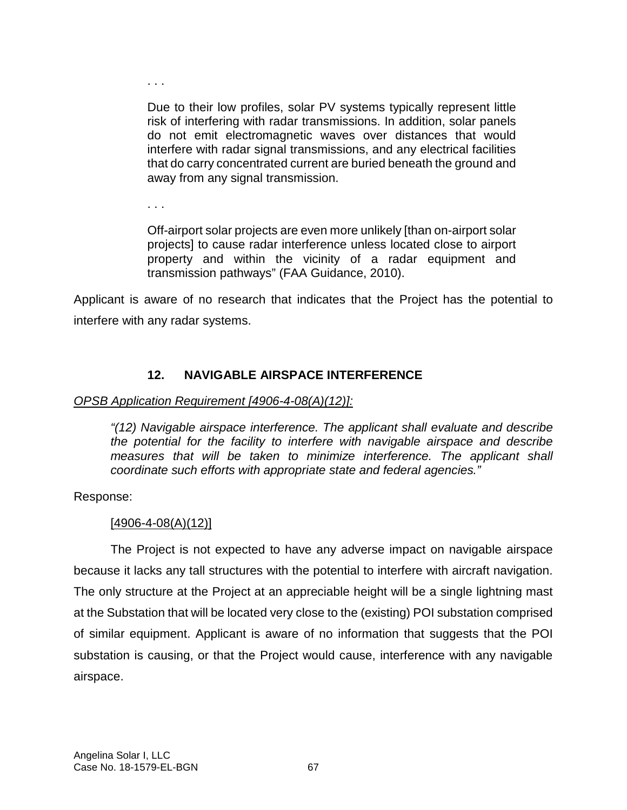. . .

Due to their low profiles, solar PV systems typically represent little risk of interfering with radar transmissions. In addition, solar panels do not emit electromagnetic waves over distances that would interfere with radar signal transmissions, and any electrical facilities that do carry concentrated current are buried beneath the ground and away from any signal transmission.

. . .

Off-airport solar projects are even more unlikely [than on-airport solar projects] to cause radar interference unless located close to airport property and within the vicinity of a radar equipment and transmission pathways" (FAA Guidance, 2010).

Applicant is aware of no research that indicates that the Project has the potential to interfere with any radar systems.

# **12. NAVIGABLE AIRSPACE INTERFERENCE**

### *OPSB Application Requirement [4906-4-08(A)(12)]:*

*"(12) Navigable airspace interference. The applicant shall evaluate and describe the potential for the facility to interfere with navigable airspace and describe measures that will be taken to minimize interference. The applicant shall coordinate such efforts with appropriate state and federal agencies."* 

Response:

# $[4906 - 4 - 08(A)(12)]$

The Project is not expected to have any adverse impact on navigable airspace because it lacks any tall structures with the potential to interfere with aircraft navigation. The only structure at the Project at an appreciable height will be a single lightning mast at the Substation that will be located very close to the (existing) POI substation comprised of similar equipment. Applicant is aware of no information that suggests that the POI substation is causing, or that the Project would cause, interference with any navigable airspace.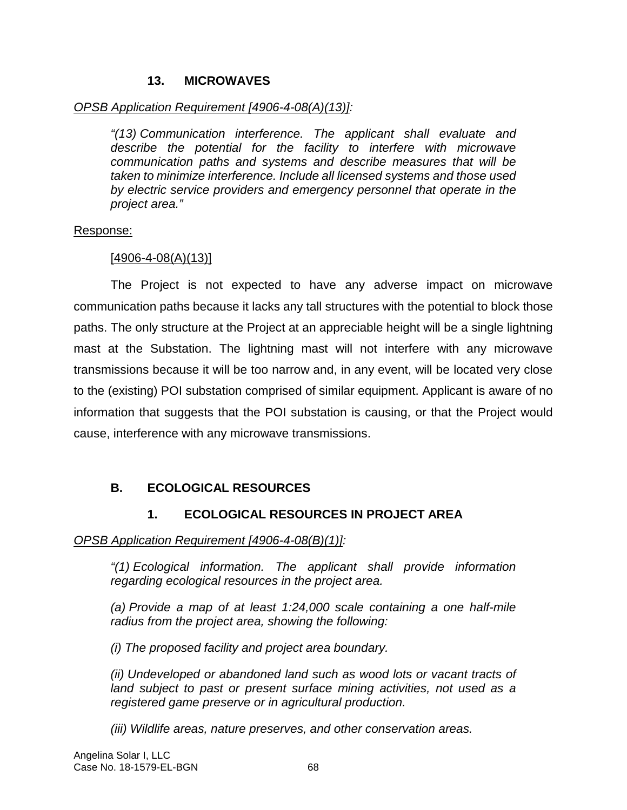#### **13. MICROWAVES**

#### *OPSB Application Requirement [4906-4-08(A)(13)]:*

*"(13) Communication interference. The applicant shall evaluate and describe the potential for the facility to interfere with microwave communication paths and systems and describe measures that will be taken to minimize interference. Include all licensed systems and those used by electric service providers and emergency personnel that operate in the project area."* 

#### Response:

#### $[4906 - 4 - 08(A)(13)]$

The Project is not expected to have any adverse impact on microwave communication paths because it lacks any tall structures with the potential to block those paths. The only structure at the Project at an appreciable height will be a single lightning mast at the Substation. The lightning mast will not interfere with any microwave transmissions because it will be too narrow and, in any event, will be located very close to the (existing) POI substation comprised of similar equipment. Applicant is aware of no information that suggests that the POI substation is causing, or that the Project would cause, interference with any microwave transmissions.

# **B. ECOLOGICAL RESOURCES**

# **1. ECOLOGICAL RESOURCES IN PROJECT AREA**

#### *OPSB Application Requirement [4906-4-08(B)(1)]:*

*"(1) Ecological information. The applicant shall provide information regarding ecological resources in the project area.* 

*(a) Provide a map of at least 1:24,000 scale containing a one half-mile radius from the project area, showing the following:* 

*(i) The proposed facility and project area boundary.* 

*(ii) Undeveloped or abandoned land such as wood lots or vacant tracts of*  land subject to past or present surface mining activities, not used as a *registered game preserve or in agricultural production.* 

*(iii) Wildlife areas, nature preserves, and other conservation areas.*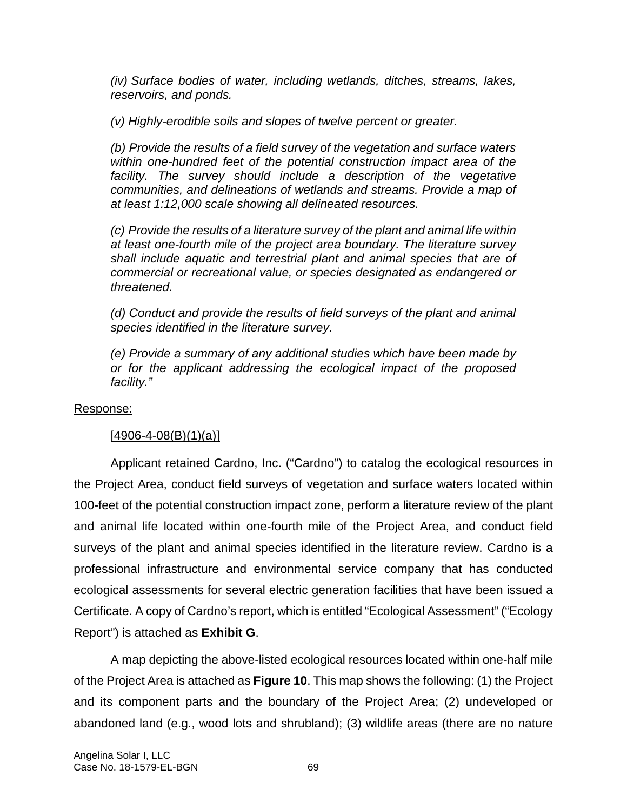*(iv) Surface bodies of water, including wetlands, ditches, streams, lakes, reservoirs, and ponds.* 

*(v) Highly-erodible soils and slopes of twelve percent or greater.* 

*(b) Provide the results of a field survey of the vegetation and surface waters within one-hundred feet of the potential construction impact area of the*  facility. The survey should include a description of the vegetative *communities, and delineations of wetlands and streams. Provide a map of at least 1:12,000 scale showing all delineated resources.* 

*(c) Provide the results of a literature survey of the plant and animal life within at least one-fourth mile of the project area boundary. The literature survey shall include aquatic and terrestrial plant and animal species that are of commercial or recreational value, or species designated as endangered or threatened.* 

*(d) Conduct and provide the results of field surveys of the plant and animal species identified in the literature survey.* 

*(e) Provide a summary of any additional studies which have been made by or for the applicant addressing the ecological impact of the proposed facility."* 

#### Response:

#### $[4906 - 4 - 08(B)(1)(a)]$

Applicant retained Cardno, Inc. ("Cardno") to catalog the ecological resources in the Project Area, conduct field surveys of vegetation and surface waters located within 100-feet of the potential construction impact zone, perform a literature review of the plant and animal life located within one-fourth mile of the Project Area, and conduct field surveys of the plant and animal species identified in the literature review. Cardno is a professional infrastructure and environmental service company that has conducted ecological assessments for several electric generation facilities that have been issued a Certificate. A copy of Cardno's report, which is entitled "Ecological Assessment" ("Ecology Report") is attached as **Exhibit G**.

A map depicting the above-listed ecological resources located within one-half mile of the Project Area is attached as **Figure 10**. This map shows the following: (1) the Project and its component parts and the boundary of the Project Area; (2) undeveloped or abandoned land (e.g., wood lots and shrubland); (3) wildlife areas (there are no nature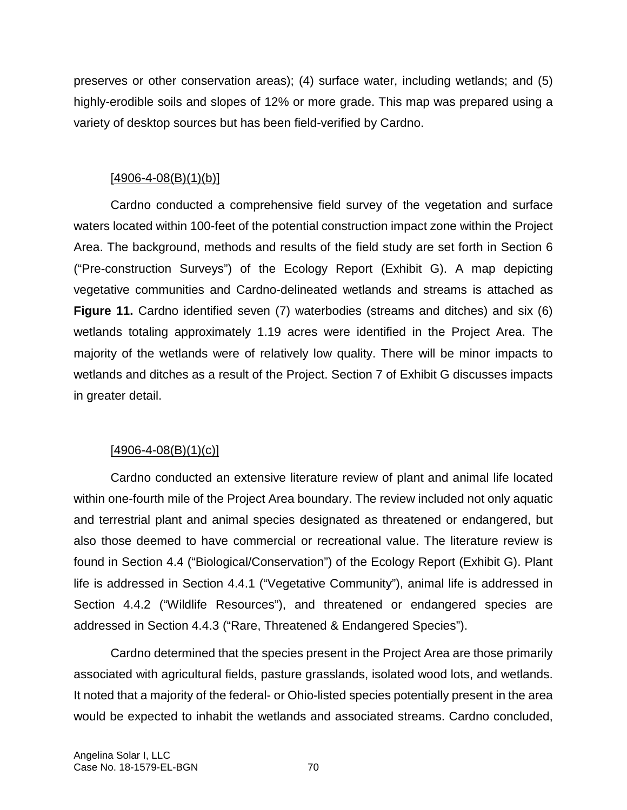preserves or other conservation areas); (4) surface water, including wetlands; and (5) highly-erodible soils and slopes of 12% or more grade. This map was prepared using a variety of desktop sources but has been field-verified by Cardno.

# $[4906 - 4 - 08(B)(1)(b)]$

Cardno conducted a comprehensive field survey of the vegetation and surface waters located within 100-feet of the potential construction impact zone within the Project Area. The background, methods and results of the field study are set forth in Section 6 ("Pre-construction Surveys") of the Ecology Report (Exhibit G). A map depicting vegetative communities and Cardno-delineated wetlands and streams is attached as **Figure 11.** Cardno identified seven (7) waterbodies (streams and ditches) and six (6) wetlands totaling approximately 1.19 acres were identified in the Project Area. The majority of the wetlands were of relatively low quality. There will be minor impacts to wetlands and ditches as a result of the Project. Section 7 of Exhibit G discusses impacts in greater detail.

# $[4906 - 4 - 08(B)(1)(c)]$

Cardno conducted an extensive literature review of plant and animal life located within one-fourth mile of the Project Area boundary. The review included not only aquatic and terrestrial plant and animal species designated as threatened or endangered, but also those deemed to have commercial or recreational value. The literature review is found in Section 4.4 ("Biological/Conservation") of the Ecology Report (Exhibit G). Plant life is addressed in Section 4.4.1 ("Vegetative Community"), animal life is addressed in Section 4.4.2 ("Wildlife Resources"), and threatened or endangered species are addressed in Section 4.4.3 ("Rare, Threatened & Endangered Species").

Cardno determined that the species present in the Project Area are those primarily associated with agricultural fields, pasture grasslands, isolated wood lots, and wetlands. It noted that a majority of the federal- or Ohio-listed species potentially present in the area would be expected to inhabit the wetlands and associated streams. Cardno concluded,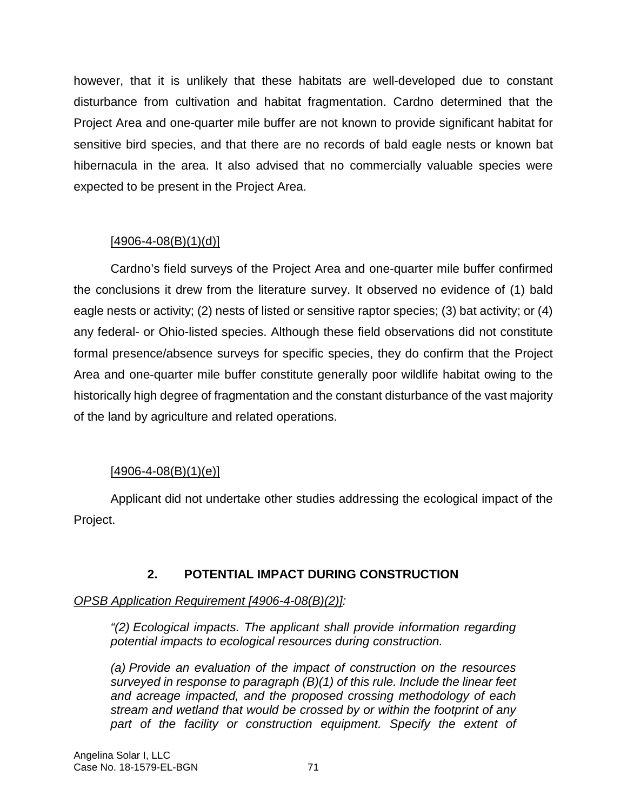however, that it is unlikely that these habitats are well-developed due to constant disturbance from cultivation and habitat fragmentation. Cardno determined that the Project Area and one-quarter mile buffer are not known to provide significant habitat for sensitive bird species, and that there are no records of bald eagle nests or known bat hibernacula in the area. It also advised that no commercially valuable species were expected to be present in the Project Area.

# $[4906 - 4 - 08(B)(1)(d)]$

Cardno's field surveys of the Project Area and one-quarter mile buffer confirmed the conclusions it drew from the literature survey. It observed no evidence of (1) bald eagle nests or activity; (2) nests of listed or sensitive raptor species; (3) bat activity; or (4) any federal- or Ohio-listed species. Although these field observations did not constitute formal presence/absence surveys for specific species, they do confirm that the Project Area and one-quarter mile buffer constitute generally poor wildlife habitat owing to the historically high degree of fragmentation and the constant disturbance of the vast majority of the land by agriculture and related operations.

# $[4906 - 4 - 08(B)(1)(e)]$

Applicant did not undertake other studies addressing the ecological impact of the Project.

# **2. POTENTIAL IMPACT DURING CONSTRUCTION**

#### *OPSB Application Requirement [4906-4-08(B)(2)]:*

*"(2) Ecological impacts. The applicant shall provide information regarding potential impacts to ecological resources during construction.* 

*(a) Provide an evaluation of the impact of construction on the resources surveyed in response to paragraph (B)(1) of this rule. Include the linear feet and acreage impacted, and the proposed crossing methodology of each stream and wetland that would be crossed by or within the footprint of any*  part of the facility or construction equipment. Specify the extent of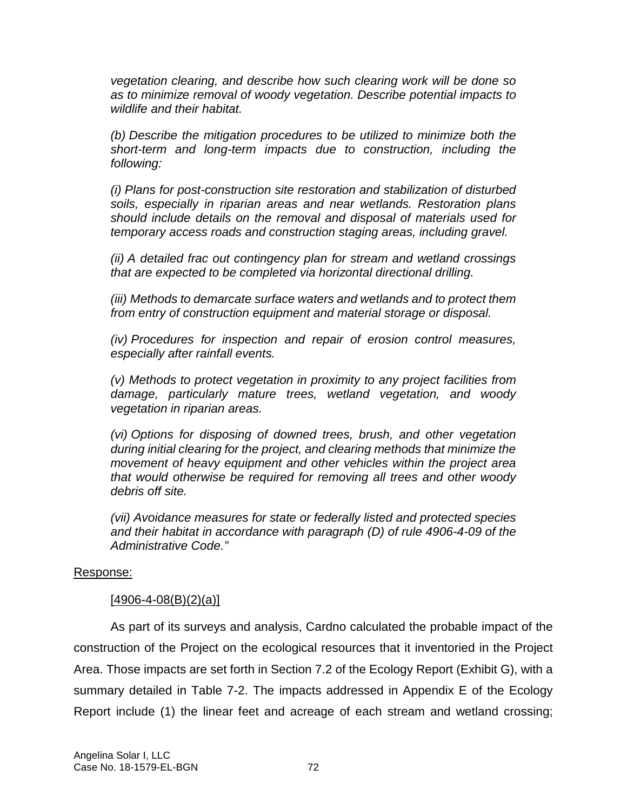*vegetation clearing, and describe how such clearing work will be done so as to minimize removal of woody vegetation. Describe potential impacts to wildlife and their habitat.* 

*(b) Describe the mitigation procedures to be utilized to minimize both the short-term and long-term impacts due to construction, including the following:* 

*(i) Plans for post-construction site restoration and stabilization of disturbed soils, especially in riparian areas and near wetlands. Restoration plans should include details on the removal and disposal of materials used for temporary access roads and construction staging areas, including gravel.* 

*(ii) A detailed frac out contingency plan for stream and wetland crossings that are expected to be completed via horizontal directional drilling.* 

*(iii) Methods to demarcate surface waters and wetlands and to protect them from entry of construction equipment and material storage or disposal.* 

*(iv) Procedures for inspection and repair of erosion control measures, especially after rainfall events.* 

*(v) Methods to protect vegetation in proximity to any project facilities from damage, particularly mature trees, wetland vegetation, and woody vegetation in riparian areas.* 

*(vi) Options for disposing of downed trees, brush, and other vegetation during initial clearing for the project, and clearing methods that minimize the movement of heavy equipment and other vehicles within the project area that would otherwise be required for removing all trees and other woody debris off site.* 

*(vii) Avoidance measures for state or federally listed and protected species and their habitat in accordance with paragraph (D) of rule 4906-4-09 of the Administrative Code."* 

#### Response:

#### $[4906 - 4 - 08(B)(2)(a)]$

As part of its surveys and analysis, Cardno calculated the probable impact of the construction of the Project on the ecological resources that it inventoried in the Project Area. Those impacts are set forth in Section 7.2 of the Ecology Report (Exhibit G), with a summary detailed in Table 7-2. The impacts addressed in Appendix E of the Ecology Report include (1) the linear feet and acreage of each stream and wetland crossing;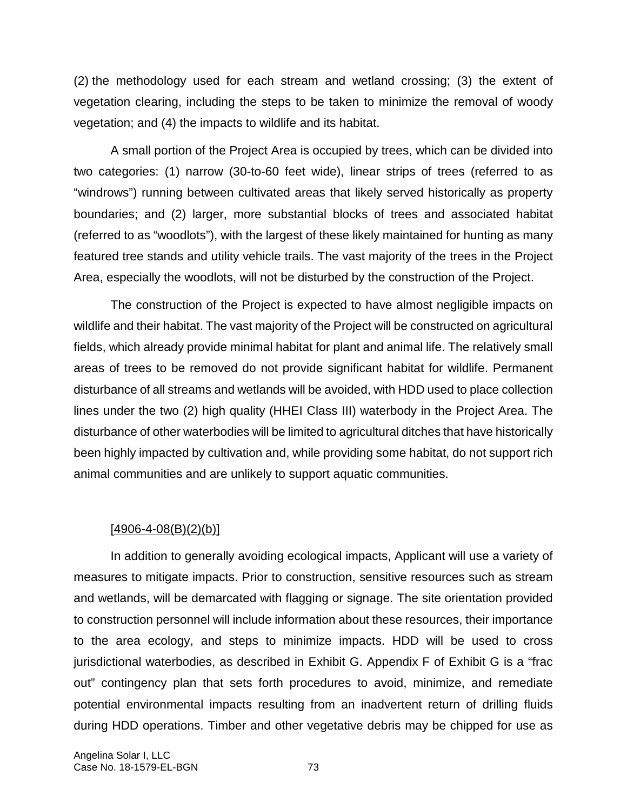(2) the methodology used for each stream and wetland crossing; (3) the extent of vegetation clearing, including the steps to be taken to minimize the removal of woody vegetation; and (4) the impacts to wildlife and its habitat.

A small portion of the Project Area is occupied by trees, which can be divided into two categories: (1) narrow (30-to-60 feet wide), linear strips of trees (referred to as "windrows") running between cultivated areas that likely served historically as property boundaries; and (2) larger, more substantial blocks of trees and associated habitat (referred to as "woodlots"), with the largest of these likely maintained for hunting as many featured tree stands and utility vehicle trails. The vast majority of the trees in the Project Area, especially the woodlots, will not be disturbed by the construction of the Project.

The construction of the Project is expected to have almost negligible impacts on wildlife and their habitat. The vast majority of the Project will be constructed on agricultural fields, which already provide minimal habitat for plant and animal life. The relatively small areas of trees to be removed do not provide significant habitat for wildlife. Permanent disturbance of all streams and wetlands will be avoided, with HDD used to place collection lines under the two (2) high quality (HHEI Class III) waterbody in the Project Area. The disturbance of other waterbodies will be limited to agricultural ditches that have historically been highly impacted by cultivation and, while providing some habitat, do not support rich animal communities and are unlikely to support aquatic communities.

#### [4906-4-08(B)(2)(b)]

In addition to generally avoiding ecological impacts, Applicant will use a variety of measures to mitigate impacts. Prior to construction, sensitive resources such as stream and wetlands, will be demarcated with flagging or signage. The site orientation provided to construction personnel will include information about these resources, their importance to the area ecology, and steps to minimize impacts. HDD will be used to cross jurisdictional waterbodies, as described in Exhibit G. Appendix F of Exhibit G is a "frac out" contingency plan that sets forth procedures to avoid, minimize, and remediate potential environmental impacts resulting from an inadvertent return of drilling fluids during HDD operations. Timber and other vegetative debris may be chipped for use as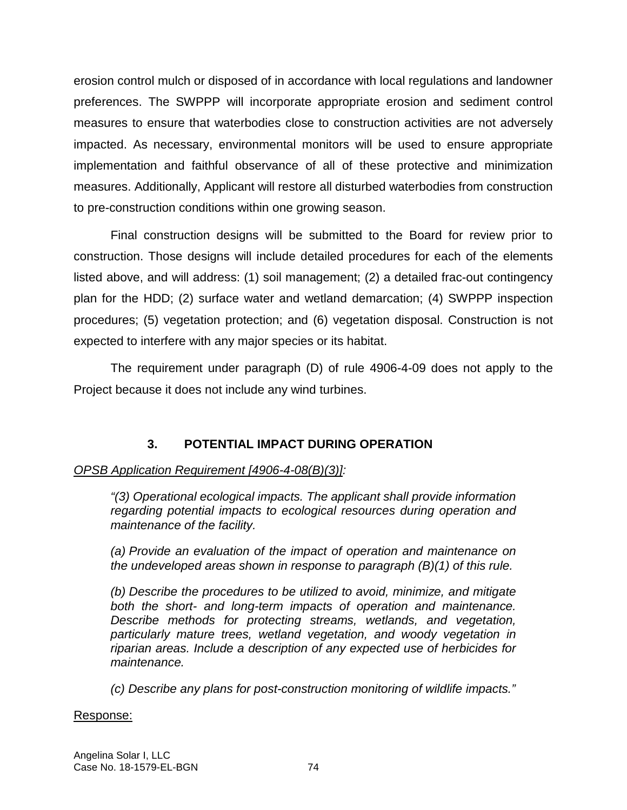erosion control mulch or disposed of in accordance with local regulations and landowner preferences. The SWPPP will incorporate appropriate erosion and sediment control measures to ensure that waterbodies close to construction activities are not adversely impacted. As necessary, environmental monitors will be used to ensure appropriate implementation and faithful observance of all of these protective and minimization measures. Additionally, Applicant will restore all disturbed waterbodies from construction to pre-construction conditions within one growing season.

Final construction designs will be submitted to the Board for review prior to construction. Those designs will include detailed procedures for each of the elements listed above, and will address: (1) soil management; (2) a detailed frac-out contingency plan for the HDD; (2) surface water and wetland demarcation; (4) SWPPP inspection procedures; (5) vegetation protection; and (6) vegetation disposal. Construction is not expected to interfere with any major species or its habitat.

The requirement under paragraph (D) of rule 4906-4-09 does not apply to the Project because it does not include any wind turbines.

# **3. POTENTIAL IMPACT DURING OPERATION**

# *OPSB Application Requirement [4906-4-08(B)(3)]:*

*"(3) Operational ecological impacts. The applicant shall provide information regarding potential impacts to ecological resources during operation and maintenance of the facility.* 

*(a) Provide an evaluation of the impact of operation and maintenance on the undeveloped areas shown in response to paragraph (B)(1) of this rule.* 

*(b) Describe the procedures to be utilized to avoid, minimize, and mitigate both the short- and long-term impacts of operation and maintenance. Describe methods for protecting streams, wetlands, and vegetation, particularly mature trees, wetland vegetation, and woody vegetation in riparian areas. Include a description of any expected use of herbicides for maintenance.* 

*(c) Describe any plans for post-construction monitoring of wildlife impacts."* 

#### Response: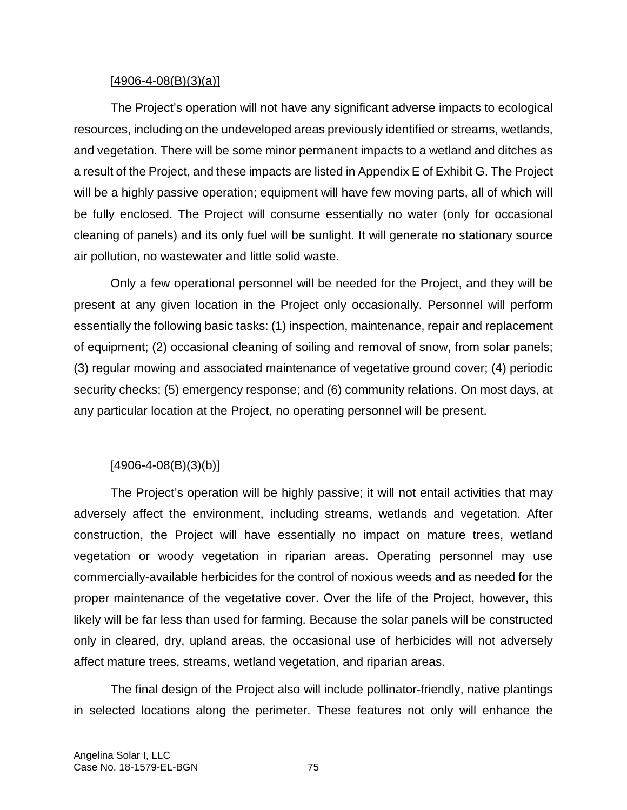#### $[4906 - 4 - 08(B)(3)(a)]$

The Project's operation will not have any significant adverse impacts to ecological resources, including on the undeveloped areas previously identified or streams, wetlands, and vegetation. There will be some minor permanent impacts to a wetland and ditches as a result of the Project, and these impacts are listed in Appendix E of Exhibit G. The Project will be a highly passive operation; equipment will have few moving parts, all of which will be fully enclosed. The Project will consume essentially no water (only for occasional cleaning of panels) and its only fuel will be sunlight. It will generate no stationary source air pollution, no wastewater and little solid waste.

Only a few operational personnel will be needed for the Project, and they will be present at any given location in the Project only occasionally. Personnel will perform essentially the following basic tasks: (1) inspection, maintenance, repair and replacement of equipment; (2) occasional cleaning of soiling and removal of snow, from solar panels; (3) regular mowing and associated maintenance of vegetative ground cover; (4) periodic security checks; (5) emergency response; and (6) community relations. On most days, at any particular location at the Project, no operating personnel will be present.

#### $[4906 - 4 - 08(B)(3)(b)]$

The Project's operation will be highly passive; it will not entail activities that may adversely affect the environment, including streams, wetlands and vegetation. After construction, the Project will have essentially no impact on mature trees, wetland vegetation or woody vegetation in riparian areas. Operating personnel may use commercially-available herbicides for the control of noxious weeds and as needed for the proper maintenance of the vegetative cover. Over the life of the Project, however, this likely will be far less than used for farming. Because the solar panels will be constructed only in cleared, dry, upland areas, the occasional use of herbicides will not adversely affect mature trees, streams, wetland vegetation, and riparian areas.

The final design of the Project also will include pollinator-friendly, native plantings in selected locations along the perimeter. These features not only will enhance the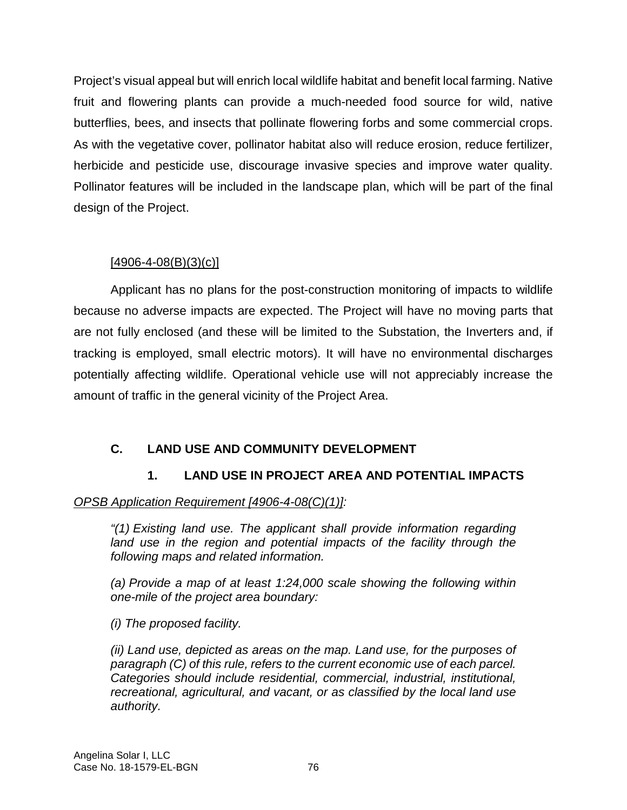Project's visual appeal but will enrich local wildlife habitat and benefit local farming. Native fruit and flowering plants can provide a much-needed food source for wild, native butterflies, bees, and insects that pollinate flowering forbs and some commercial crops. As with the vegetative cover, pollinator habitat also will reduce erosion, reduce fertilizer, herbicide and pesticide use, discourage invasive species and improve water quality. Pollinator features will be included in the landscape plan, which will be part of the final design of the Project.

# $[4906 - 4 - 08(B)(3)(c)]$

Applicant has no plans for the post-construction monitoring of impacts to wildlife because no adverse impacts are expected. The Project will have no moving parts that are not fully enclosed (and these will be limited to the Substation, the Inverters and, if tracking is employed, small electric motors). It will have no environmental discharges potentially affecting wildlife. Operational vehicle use will not appreciably increase the amount of traffic in the general vicinity of the Project Area.

# **C. LAND USE AND COMMUNITY DEVELOPMENT**

# **1. LAND USE IN PROJECT AREA AND POTENTIAL IMPACTS**

# *OPSB Application Requirement [4906-4-08(C)(1)]:*

*"(1) Existing land use. The applicant shall provide information regarding*  land use in the region and potential impacts of the facility through the *following maps and related information.* 

*(a) Provide a map of at least 1:24,000 scale showing the following within one-mile of the project area boundary:* 

*(i) The proposed facility.* 

*(ii) Land use, depicted as areas on the map. Land use, for the purposes of paragraph (C) of this rule, refers to the current economic use of each parcel. Categories should include residential, commercial, industrial, institutional, recreational, agricultural, and vacant, or as classified by the local land use authority.*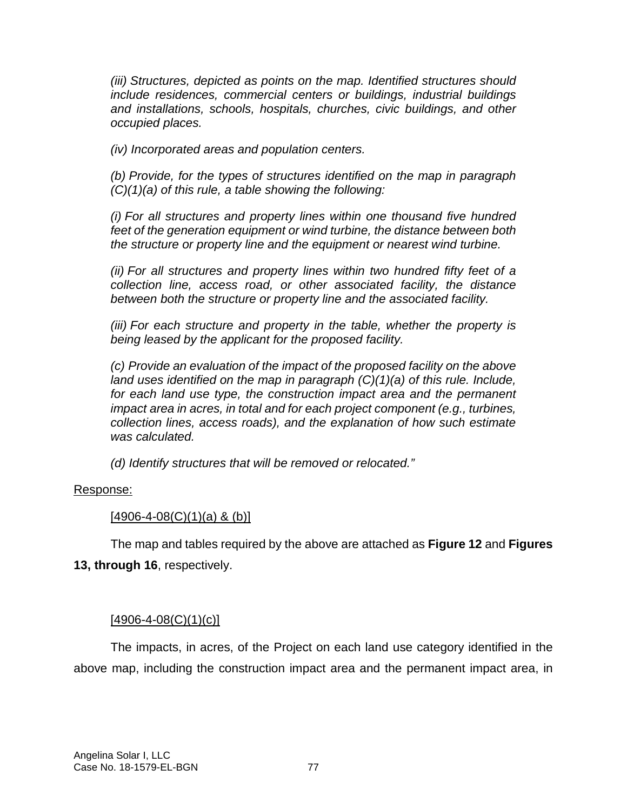*(iii) Structures, depicted as points on the map. Identified structures should include residences, commercial centers or buildings, industrial buildings and installations, schools, hospitals, churches, civic buildings, and other occupied places.* 

*(iv) Incorporated areas and population centers.* 

*(b) Provide, for the types of structures identified on the map in paragraph (C)(1)(a) of this rule, a table showing the following:* 

*(i) For all structures and property lines within one thousand five hundred feet of the generation equipment or wind turbine, the distance between both the structure or property line and the equipment or nearest wind turbine.* 

*(ii) For all structures and property lines within two hundred fifty feet of a collection line, access road, or other associated facility, the distance between both the structure or property line and the associated facility.* 

*(iii) For each structure and property in the table, whether the property is being leased by the applicant for the proposed facility.* 

*(c) Provide an evaluation of the impact of the proposed facility on the above land uses identified on the map in paragraph (C)(1)(a) of this rule. Include, for each land use type, the construction impact area and the permanent impact area in acres, in total and for each project component (e.g., turbines, collection lines, access roads), and the explanation of how such estimate was calculated.* 

*(d) Identify structures that will be removed or relocated."* 

#### Response:

#### $[4906 - 4 - 08(C)(1)(a) & (b)]$

The map and tables required by the above are attached as **Figure 12** and **Figures 13, through 16**, respectively.

#### $[4906 - 4 - 08(C)(1)(c)]$

The impacts, in acres, of the Project on each land use category identified in the above map, including the construction impact area and the permanent impact area, in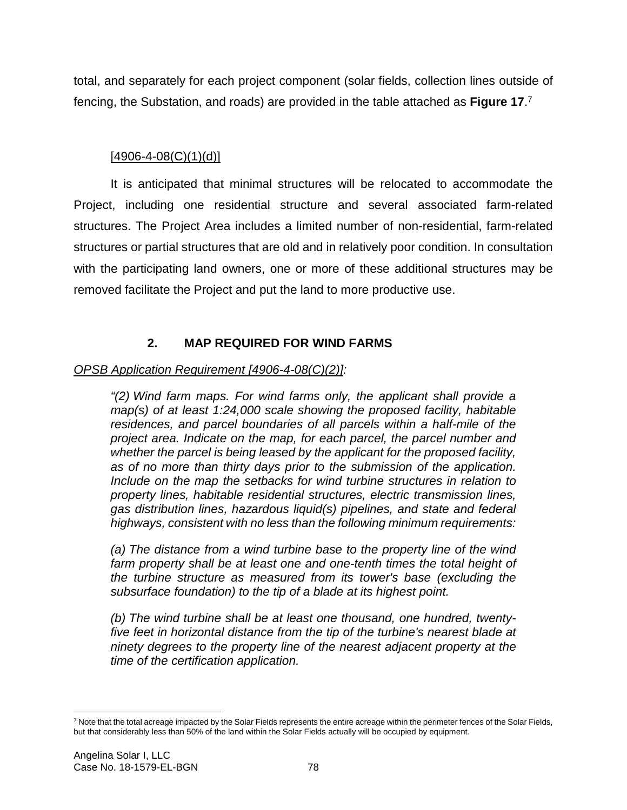total, and separately for each project component (solar fields, collection lines outside of fencing, the Substation, and roads) are provided in the table attached as **Figure 17**. 7

# $[4906 - 4 - 08(C)(1)(d)]$

It is anticipated that minimal structures will be relocated to accommodate the Project, including one residential structure and several associated farm-related structures. The Project Area includes a limited number of non-residential, farm-related structures or partial structures that are old and in relatively poor condition. In consultation with the participating land owners, one or more of these additional structures may be removed facilitate the Project and put the land to more productive use.

# **2. MAP REQUIRED FOR WIND FARMS**

# *OPSB Application Requirement [4906-4-08(C)(2)]:*

*"(2) Wind farm maps. For wind farms only, the applicant shall provide a map(s) of at least 1:24,000 scale showing the proposed facility, habitable residences, and parcel boundaries of all parcels within a half-mile of the project area. Indicate on the map, for each parcel, the parcel number and whether the parcel is being leased by the applicant for the proposed facility, as of no more than thirty days prior to the submission of the application. Include on the map the setbacks for wind turbine structures in relation to property lines, habitable residential structures, electric transmission lines, gas distribution lines, hazardous liquid(s) pipelines, and state and federal highways, consistent with no less than the following minimum requirements:* 

*(a) The distance from a wind turbine base to the property line of the wind*  farm property shall be at least one and one-tenth times the total height of *the turbine structure as measured from its tower's base (excluding the subsurface foundation) to the tip of a blade at its highest point.* 

*(b) The wind turbine shall be at least one thousand, one hundred, twentyfive feet in horizontal distance from the tip of the turbine's nearest blade at ninety degrees to the property line of the nearest adjacent property at the time of the certification application.* 

<sup>&</sup>lt;sup>7</sup> Note that the total acreage impacted by the Solar Fields represents the entire acreage within the perimeter fences of the Solar Fields, but that considerably less than 50% of the land within the Solar Fields actually will be occupied by equipment.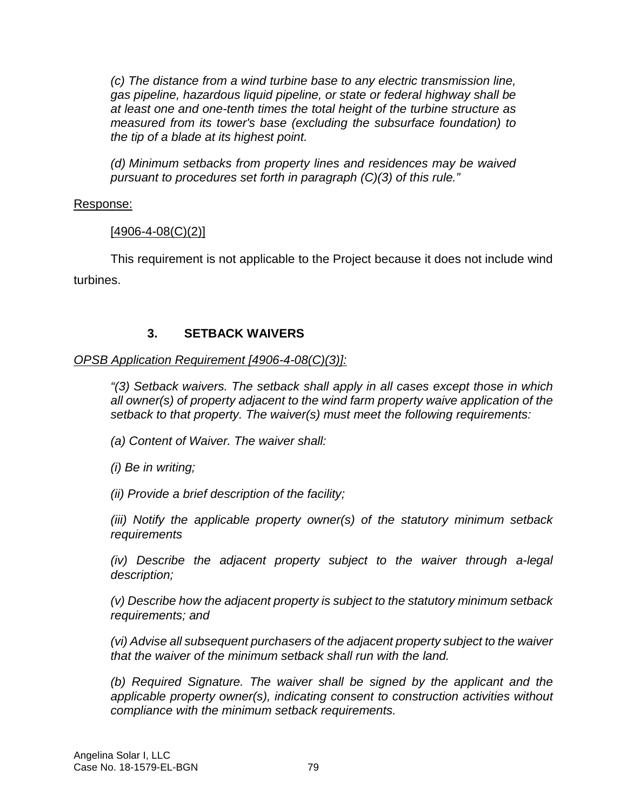*(c) The distance from a wind turbine base to any electric transmission line, gas pipeline, hazardous liquid pipeline, or state or federal highway shall be at least one and one-tenth times the total height of the turbine structure as measured from its tower's base (excluding the subsurface foundation) to the tip of a blade at its highest point.* 

*(d) Minimum setbacks from property lines and residences may be waived pursuant to procedures set forth in paragraph (C)(3) of this rule."* 

#### Response:

### $[4906 - 4 - 08(C)(2)]$

This requirement is not applicable to the Project because it does not include wind turbines.

# **3. SETBACK WAIVERS**

### *OPSB Application Requirement [4906-4-08(C)(3)]:*

*"(3) Setback waivers. The setback shall apply in all cases except those in which all owner(s) of property adjacent to the wind farm property waive application of the setback to that property. The waiver(s) must meet the following requirements:* 

*(a) Content of Waiver. The waiver shall:* 

*(i) Be in writing;* 

*(ii) Provide a brief description of the facility;* 

*(iii) Notify the applicable property owner(s) of the statutory minimum setback requirements* 

*(iv) Describe the adjacent property subject to the waiver through a-legal description;* 

*(v) Describe how the adjacent property is subject to the statutory minimum setback requirements; and* 

*(vi) Advise all subsequent purchasers of the adjacent property subject to the waiver that the waiver of the minimum setback shall run with the land.* 

*(b) Required Signature. The waiver shall be signed by the applicant and the applicable property owner(s), indicating consent to construction activities without compliance with the minimum setback requirements.*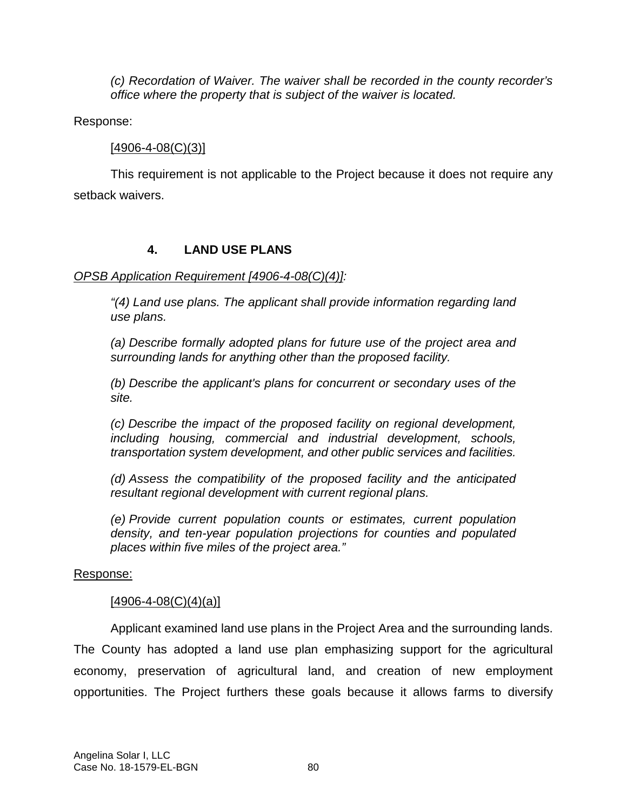*(c) Recordation of Waiver. The waiver shall be recorded in the county recorder's office where the property that is subject of the waiver is located.* 

Response:

#### $[4906 - 4 - 08(C)(3)]$

This requirement is not applicable to the Project because it does not require any setback waivers.

# **4. LAND USE PLANS**

### *OPSB Application Requirement [4906-4-08(C)(4)]:*

*"(4) Land use plans. The applicant shall provide information regarding land use plans.* 

*(a) Describe formally adopted plans for future use of the project area and surrounding lands for anything other than the proposed facility.* 

*(b) Describe the applicant's plans for concurrent or secondary uses of the site.* 

*(c) Describe the impact of the proposed facility on regional development, including housing, commercial and industrial development, schools, transportation system development, and other public services and facilities.* 

*(d) Assess the compatibility of the proposed facility and the anticipated resultant regional development with current regional plans.* 

*(e) Provide current population counts or estimates, current population density, and ten-year population projections for counties and populated places within five miles of the project area."* 

#### Response:

#### $[4906 - 4 - 08(C)(4)(a)]$

Applicant examined land use plans in the Project Area and the surrounding lands. The County has adopted a land use plan emphasizing support for the agricultural economy, preservation of agricultural land, and creation of new employment opportunities. The Project furthers these goals because it allows farms to diversify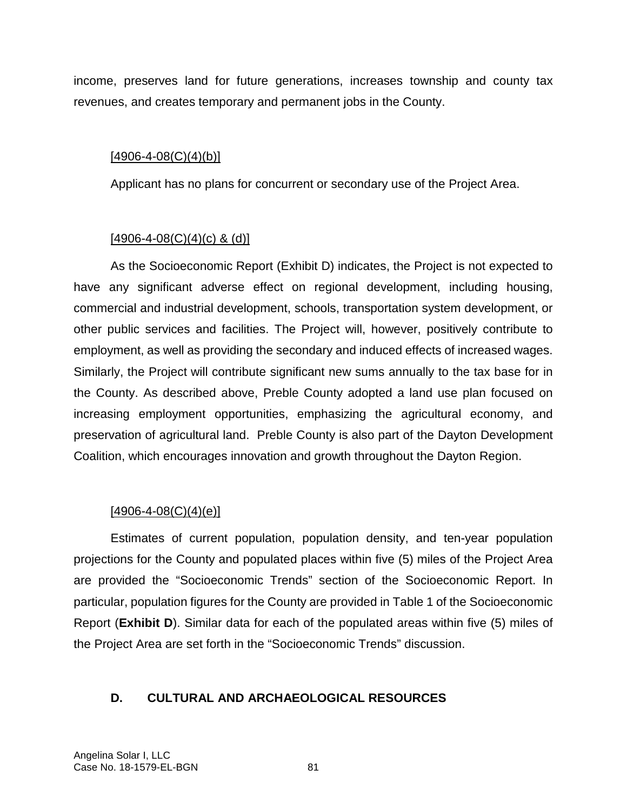income, preserves land for future generations, increases township and county tax revenues, and creates temporary and permanent jobs in the County.

#### $[4906 - 4 - 08(C)(4)(b)]$

Applicant has no plans for concurrent or secondary use of the Project Area.

#### $[4906 - 4 - 08(C)(4)(c)$  & (d)]

As the Socioeconomic Report (Exhibit D) indicates, the Project is not expected to have any significant adverse effect on regional development, including housing, commercial and industrial development, schools, transportation system development, or other public services and facilities. The Project will, however, positively contribute to employment, as well as providing the secondary and induced effects of increased wages. Similarly, the Project will contribute significant new sums annually to the tax base for in the County. As described above, Preble County adopted a land use plan focused on increasing employment opportunities, emphasizing the agricultural economy, and preservation of agricultural land. Preble County is also part of the Dayton Development Coalition, which encourages innovation and growth throughout the Dayton Region.

#### $[4906 - 4 - 08(C)(4)(e)]$

Estimates of current population, population density, and ten-year population projections for the County and populated places within five (5) miles of the Project Area are provided the "Socioeconomic Trends" section of the Socioeconomic Report. In particular, population figures for the County are provided in Table 1 of the Socioeconomic Report (**Exhibit D**). Similar data for each of the populated areas within five (5) miles of the Project Area are set forth in the "Socioeconomic Trends" discussion.

#### **D. CULTURAL AND ARCHAEOLOGICAL RESOURCES**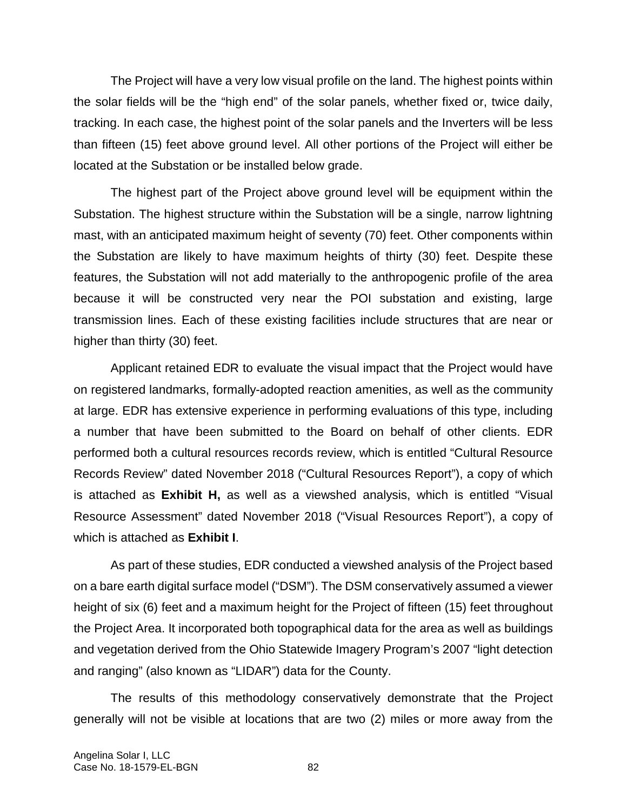The Project will have a very low visual profile on the land. The highest points within the solar fields will be the "high end" of the solar panels, whether fixed or, twice daily, tracking. In each case, the highest point of the solar panels and the Inverters will be less than fifteen (15) feet above ground level. All other portions of the Project will either be located at the Substation or be installed below grade.

The highest part of the Project above ground level will be equipment within the Substation. The highest structure within the Substation will be a single, narrow lightning mast, with an anticipated maximum height of seventy (70) feet. Other components within the Substation are likely to have maximum heights of thirty (30) feet. Despite these features, the Substation will not add materially to the anthropogenic profile of the area because it will be constructed very near the POI substation and existing, large transmission lines. Each of these existing facilities include structures that are near or higher than thirty (30) feet.

Applicant retained EDR to evaluate the visual impact that the Project would have on registered landmarks, formally-adopted reaction amenities, as well as the community at large. EDR has extensive experience in performing evaluations of this type, including a number that have been submitted to the Board on behalf of other clients. EDR performed both a cultural resources records review, which is entitled "Cultural Resource Records Review" dated November 2018 ("Cultural Resources Report"), a copy of which is attached as **Exhibit H,** as well as a viewshed analysis, which is entitled "Visual Resource Assessment" dated November 2018 ("Visual Resources Report"), a copy of which is attached as **Exhibit I**.

As part of these studies, EDR conducted a viewshed analysis of the Project based on a bare earth digital surface model ("DSM"). The DSM conservatively assumed a viewer height of six (6) feet and a maximum height for the Project of fifteen (15) feet throughout the Project Area. It incorporated both topographical data for the area as well as buildings and vegetation derived from the Ohio Statewide Imagery Program's 2007 "light detection and ranging" (also known as "LIDAR") data for the County.

The results of this methodology conservatively demonstrate that the Project generally will not be visible at locations that are two (2) miles or more away from the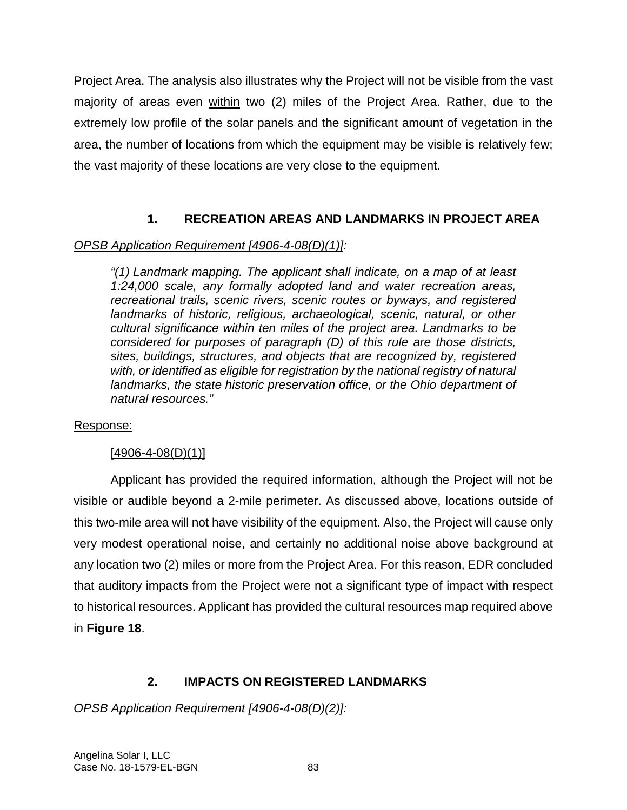Project Area. The analysis also illustrates why the Project will not be visible from the vast majority of areas even within two (2) miles of the Project Area. Rather, due to the extremely low profile of the solar panels and the significant amount of vegetation in the area, the number of locations from which the equipment may be visible is relatively few; the vast majority of these locations are very close to the equipment.

# **1. RECREATION AREAS AND LANDMARKS IN PROJECT AREA**

# *OPSB Application Requirement [4906-4-08(D)(1)]:*

*"(1) Landmark mapping. The applicant shall indicate, on a map of at least 1:24,000 scale, any formally adopted land and water recreation areas, recreational trails, scenic rivers, scenic routes or byways, and registered landmarks of historic, religious, archaeological, scenic, natural, or other cultural significance within ten miles of the project area. Landmarks to be considered for purposes of paragraph (D) of this rule are those districts, sites, buildings, structures, and objects that are recognized by, registered with, or identified as eligible for registration by the national registry of natural landmarks, the state historic preservation office, or the Ohio department of natural resources."*

# Response:

# $[4906 - 4 - 08(D)(1)]$

Applicant has provided the required information, although the Project will not be visible or audible beyond a 2-mile perimeter. As discussed above, locations outside of this two-mile area will not have visibility of the equipment. Also, the Project will cause only very modest operational noise, and certainly no additional noise above background at any location two (2) miles or more from the Project Area. For this reason, EDR concluded that auditory impacts from the Project were not a significant type of impact with respect to historical resources. Applicant has provided the cultural resources map required above in **Figure 18**.

# **2. IMPACTS ON REGISTERED LANDMARKS**

# *OPSB Application Requirement [4906-4-08(D)(2)]:*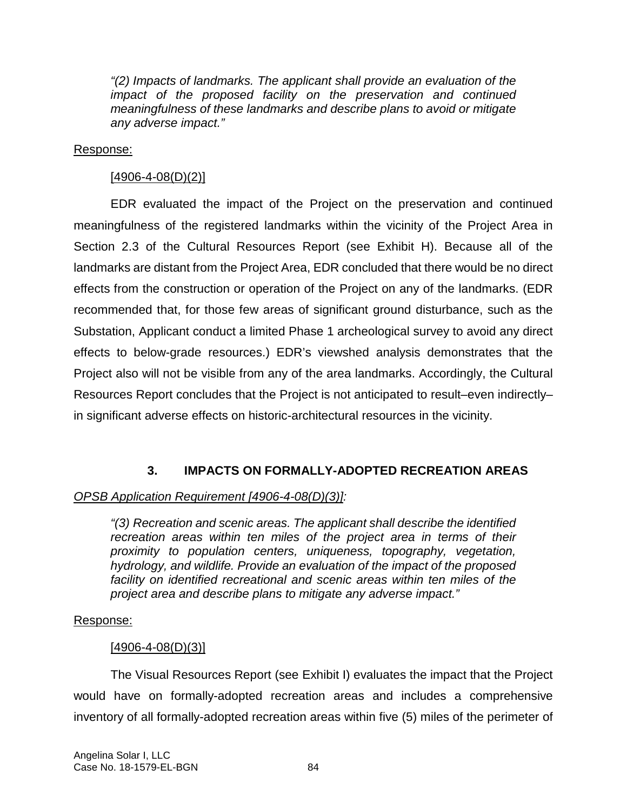*"(2) Impacts of landmarks. The applicant shall provide an evaluation of the impact of the proposed facility on the preservation and continued meaningfulness of these landmarks and describe plans to avoid or mitigate any adverse impact."* 

#### Response:

# $[4906 - 4 - 08(D)(2)]$

EDR evaluated the impact of the Project on the preservation and continued meaningfulness of the registered landmarks within the vicinity of the Project Area in Section 2.3 of the Cultural Resources Report (see Exhibit H). Because all of the landmarks are distant from the Project Area, EDR concluded that there would be no direct effects from the construction or operation of the Project on any of the landmarks. (EDR recommended that, for those few areas of significant ground disturbance, such as the Substation, Applicant conduct a limited Phase 1 archeological survey to avoid any direct effects to below-grade resources.) EDR's viewshed analysis demonstrates that the Project also will not be visible from any of the area landmarks. Accordingly, the Cultural Resources Report concludes that the Project is not anticipated to result–even indirectly– in significant adverse effects on historic-architectural resources in the vicinity.

# **3. IMPACTS ON FORMALLY-ADOPTED RECREATION AREAS**

# *OPSB Application Requirement [4906-4-08(D)(3)]:*

*"(3) Recreation and scenic areas. The applicant shall describe the identified recreation areas within ten miles of the project area in terms of their proximity to population centers, uniqueness, topography, vegetation, hydrology, and wildlife. Provide an evaluation of the impact of the proposed facility on identified recreational and scenic areas within ten miles of the project area and describe plans to mitigate any adverse impact."* 

# Response:

# $[4906 - 4 - 08(D)(3)]$

The Visual Resources Report (see Exhibit I) evaluates the impact that the Project would have on formally-adopted recreation areas and includes a comprehensive inventory of all formally-adopted recreation areas within five (5) miles of the perimeter of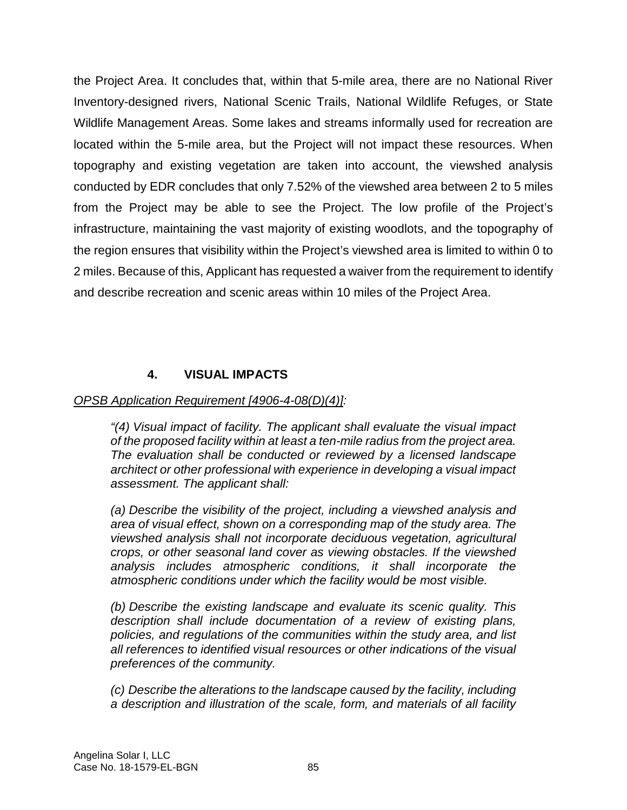the Project Area. It concludes that, within that 5-mile area, there are no National River Inventory-designed rivers, National Scenic Trails, National Wildlife Refuges, or State Wildlife Management Areas. Some lakes and streams informally used for recreation are located within the 5-mile area, but the Project will not impact these resources. When topography and existing vegetation are taken into account, the viewshed analysis conducted by EDR concludes that only 7.52% of the viewshed area between 2 to 5 miles from the Project may be able to see the Project. The low profile of the Project's infrastructure, maintaining the vast majority of existing woodlots, and the topography of the region ensures that visibility within the Project's viewshed area is limited to within 0 to 2 miles. Because of this, Applicant has requested a waiver from the requirement to identify and describe recreation and scenic areas within 10 miles of the Project Area.

# **4. VISUAL IMPACTS**

#### *OPSB Application Requirement [4906-4-08(D)(4)]:*

*"(4) Visual impact of facility. The applicant shall evaluate the visual impact of the proposed facility within at least a ten-mile radius from the project area. The evaluation shall be conducted or reviewed by a licensed landscape architect or other professional with experience in developing a visual impact assessment. The applicant shall:* 

*(a) Describe the visibility of the project, including a viewshed analysis and area of visual effect, shown on a corresponding map of the study area. The viewshed analysis shall not incorporate deciduous vegetation, agricultural crops, or other seasonal land cover as viewing obstacles. If the viewshed analysis includes atmospheric conditions, it shall incorporate the atmospheric conditions under which the facility would be most visible.* 

*(b) Describe the existing landscape and evaluate its scenic quality. This description shall include documentation of a review of existing plans, policies, and regulations of the communities within the study area, and list all references to identified visual resources or other indications of the visual preferences of the community.* 

*(c) Describe the alterations to the landscape caused by the facility, including a description and illustration of the scale, form, and materials of all facility*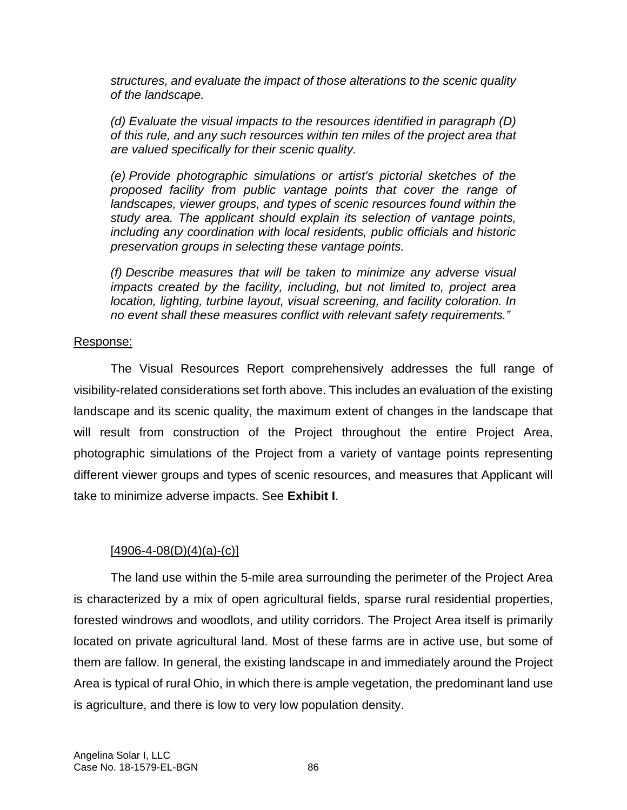*structures, and evaluate the impact of those alterations to the scenic quality of the landscape.* 

*(d) Evaluate the visual impacts to the resources identified in paragraph (D) of this rule, and any such resources within ten miles of the project area that are valued specifically for their scenic quality.* 

*(e) Provide photographic simulations or artist's pictorial sketches of the proposed facility from public vantage points that cover the range of landscapes, viewer groups, and types of scenic resources found within the study area. The applicant should explain its selection of vantage points, including any coordination with local residents, public officials and historic preservation groups in selecting these vantage points.* 

*(f) Describe measures that will be taken to minimize any adverse visual impacts created by the facility, including, but not limited to, project area location, lighting, turbine layout, visual screening, and facility coloration. In no event shall these measures conflict with relevant safety requirements."* 

#### Response:

The Visual Resources Report comprehensively addresses the full range of visibility-related considerations set forth above. This includes an evaluation of the existing landscape and its scenic quality, the maximum extent of changes in the landscape that will result from construction of the Project throughout the entire Project Area, photographic simulations of the Project from a variety of vantage points representing different viewer groups and types of scenic resources, and measures that Applicant will take to minimize adverse impacts. See **Exhibit I**.

# $[4906 - 4 - 08(D)(4)(a) - (c)]$

The land use within the 5-mile area surrounding the perimeter of the Project Area is characterized by a mix of open agricultural fields, sparse rural residential properties, forested windrows and woodlots, and utility corridors. The Project Area itself is primarily located on private agricultural land. Most of these farms are in active use, but some of them are fallow. In general, the existing landscape in and immediately around the Project Area is typical of rural Ohio, in which there is ample vegetation, the predominant land use is agriculture, and there is low to very low population density.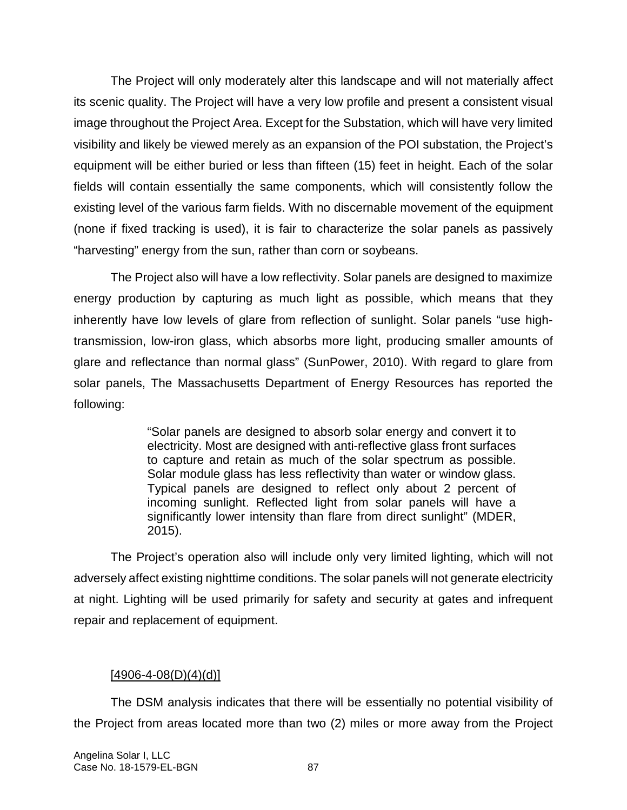The Project will only moderately alter this landscape and will not materially affect its scenic quality. The Project will have a very low profile and present a consistent visual image throughout the Project Area. Except for the Substation, which will have very limited visibility and likely be viewed merely as an expansion of the POI substation, the Project's equipment will be either buried or less than fifteen (15) feet in height. Each of the solar fields will contain essentially the same components, which will consistently follow the existing level of the various farm fields. With no discernable movement of the equipment (none if fixed tracking is used), it is fair to characterize the solar panels as passively "harvesting" energy from the sun, rather than corn or soybeans.

The Project also will have a low reflectivity. Solar panels are designed to maximize energy production by capturing as much light as possible, which means that they inherently have low levels of glare from reflection of sunlight. Solar panels "use hightransmission, low-iron glass, which absorbs more light, producing smaller amounts of glare and reflectance than normal glass" (SunPower, 2010). With regard to glare from solar panels, The Massachusetts Department of Energy Resources has reported the following:

> "Solar panels are designed to absorb solar energy and convert it to electricity. Most are designed with anti-reflective glass front surfaces to capture and retain as much of the solar spectrum as possible. Solar module glass has less reflectivity than water or window glass. Typical panels are designed to reflect only about 2 percent of incoming sunlight. Reflected light from solar panels will have a significantly lower intensity than flare from direct sunlight" (MDER, 2015).

The Project's operation also will include only very limited lighting, which will not adversely affect existing nighttime conditions. The solar panels will not generate electricity at night. Lighting will be used primarily for safety and security at gates and infrequent repair and replacement of equipment.

#### $[4906 - 4 - 08(D)(4)(d)]$

The DSM analysis indicates that there will be essentially no potential visibility of the Project from areas located more than two (2) miles or more away from the Project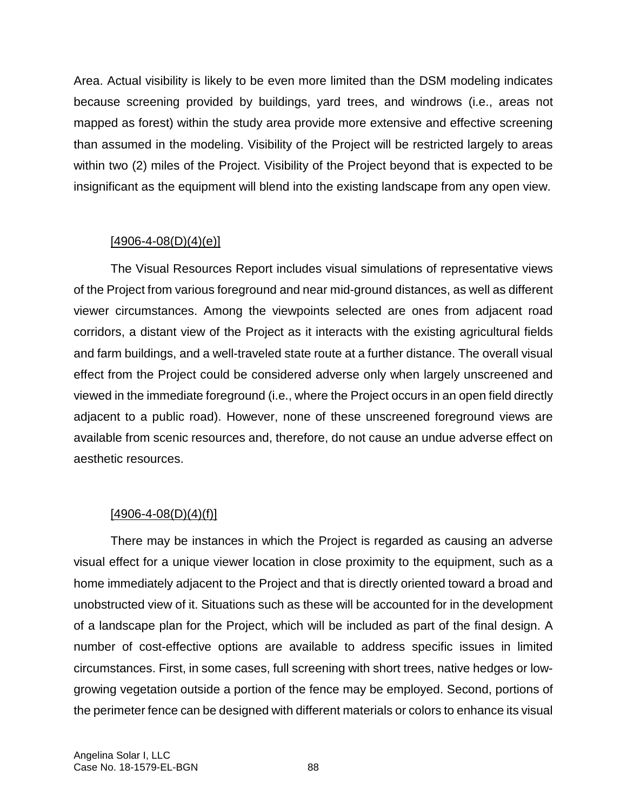Area. Actual visibility is likely to be even more limited than the DSM modeling indicates because screening provided by buildings, yard trees, and windrows (i.e., areas not mapped as forest) within the study area provide more extensive and effective screening than assumed in the modeling. Visibility of the Project will be restricted largely to areas within two (2) miles of the Project. Visibility of the Project beyond that is expected to be insignificant as the equipment will blend into the existing landscape from any open view.

### $[4906 - 4 - 08(D)(4)(e)]$

The Visual Resources Report includes visual simulations of representative views of the Project from various foreground and near mid-ground distances, as well as different viewer circumstances. Among the viewpoints selected are ones from adjacent road corridors, a distant view of the Project as it interacts with the existing agricultural fields and farm buildings, and a well-traveled state route at a further distance. The overall visual effect from the Project could be considered adverse only when largely unscreened and viewed in the immediate foreground (i.e., where the Project occurs in an open field directly adjacent to a public road). However, none of these unscreened foreground views are available from scenic resources and, therefore, do not cause an undue adverse effect on aesthetic resources.

# $[4906 - 4 - 08(D)(4)(f)]$

There may be instances in which the Project is regarded as causing an adverse visual effect for a unique viewer location in close proximity to the equipment, such as a home immediately adjacent to the Project and that is directly oriented toward a broad and unobstructed view of it. Situations such as these will be accounted for in the development of a landscape plan for the Project, which will be included as part of the final design. A number of cost-effective options are available to address specific issues in limited circumstances. First, in some cases, full screening with short trees, native hedges or lowgrowing vegetation outside a portion of the fence may be employed. Second, portions of the perimeter fence can be designed with different materials or colors to enhance its visual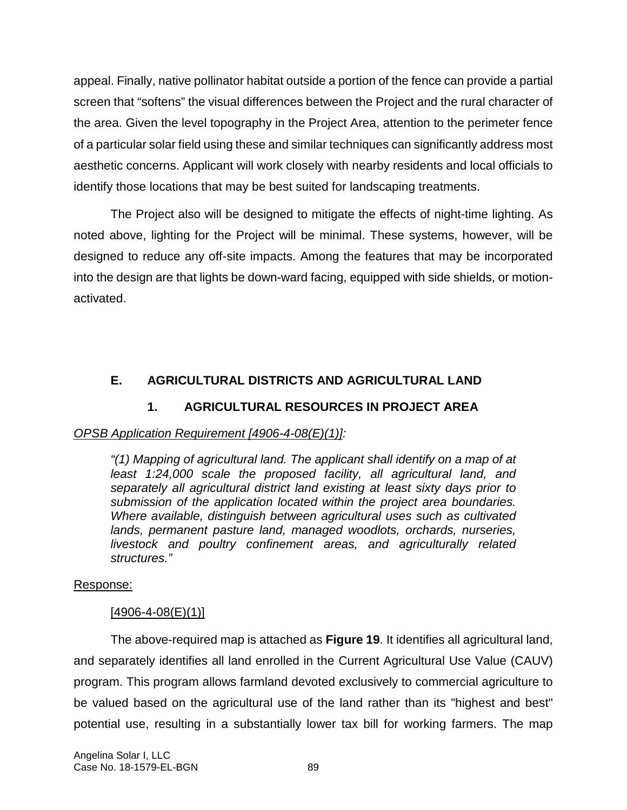appeal. Finally, native pollinator habitat outside a portion of the fence can provide a partial screen that "softens" the visual differences between the Project and the rural character of the area. Given the level topography in the Project Area, attention to the perimeter fence of a particular solar field using these and similar techniques can significantly address most aesthetic concerns. Applicant will work closely with nearby residents and local officials to identify those locations that may be best suited for landscaping treatments.

The Project also will be designed to mitigate the effects of night-time lighting. As noted above, lighting for the Project will be minimal. These systems, however, will be designed to reduce any off-site impacts. Among the features that may be incorporated into the design are that lights be down-ward facing, equipped with side shields, or motionactivated.

# **E. AGRICULTURAL DISTRICTS AND AGRICULTURAL LAND**

# **1. AGRICULTURAL RESOURCES IN PROJECT AREA**

# *OPSB Application Requirement [4906-4-08(E)(1)]:*

*"(1) Mapping of agricultural land. The applicant shall identify on a map of at least 1:24,000 scale the proposed facility, all agricultural land, and separately all agricultural district land existing at least sixty days prior to submission of the application located within the project area boundaries. Where available, distinguish between agricultural uses such as cultivated lands, permanent pasture land, managed woodlots, orchards, nurseries, livestock and poultry confinement areas, and agriculturally related structures."* 

# Response:

# $[4906 - 4 - 08(E)(1)]$

The above-required map is attached as **Figure 19**. It identifies all agricultural land, and separately identifies all land enrolled in the Current Agricultural Use Value (CAUV) program. This program allows farmland devoted exclusively to commercial agriculture to be valued based on the agricultural use of the land rather than its "highest and best" potential use, resulting in a substantially lower tax bill for working farmers. The map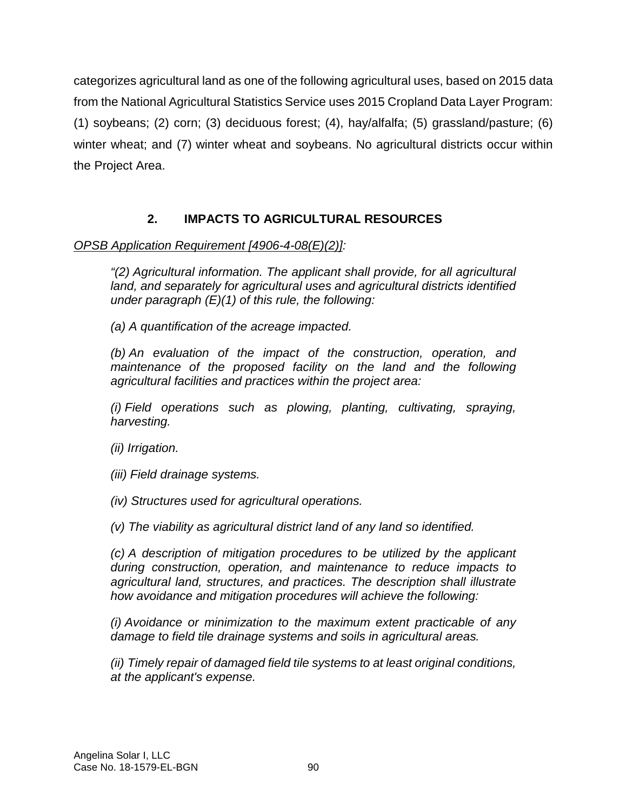categorizes agricultural land as one of the following agricultural uses, based on 2015 data from the National Agricultural Statistics Service uses 2015 Cropland Data Layer Program: (1) soybeans; (2) corn; (3) deciduous forest; (4), hay/alfalfa; (5) grassland/pasture; (6) winter wheat; and (7) winter wheat and soybeans. No agricultural districts occur within the Project Area.

# **2. IMPACTS TO AGRICULTURAL RESOURCES**

# *OPSB Application Requirement [4906-4-08(E)(2)]:*

*"(2) Agricultural information. The applicant shall provide, for all agricultural land, and separately for agricultural uses and agricultural districts identified under paragraph (E)(1) of this rule, the following:* 

*(a) A quantification of the acreage impacted.* 

*(b) An evaluation of the impact of the construction, operation, and*  maintenance of the proposed facility on the land and the following *agricultural facilities and practices within the project area:* 

*(i) Field operations such as plowing, planting, cultivating, spraying, harvesting.* 

*(ii) Irrigation.* 

*(iii) Field drainage systems.* 

*(iv) Structures used for agricultural operations.* 

*(v) The viability as agricultural district land of any land so identified.* 

*(c) A description of mitigation procedures to be utilized by the applicant during construction, operation, and maintenance to reduce impacts to agricultural land, structures, and practices. The description shall illustrate how avoidance and mitigation procedures will achieve the following:* 

*(i) Avoidance or minimization to the maximum extent practicable of any damage to field tile drainage systems and soils in agricultural areas.* 

*(ii) Timely repair of damaged field tile systems to at least original conditions, at the applicant's expense.*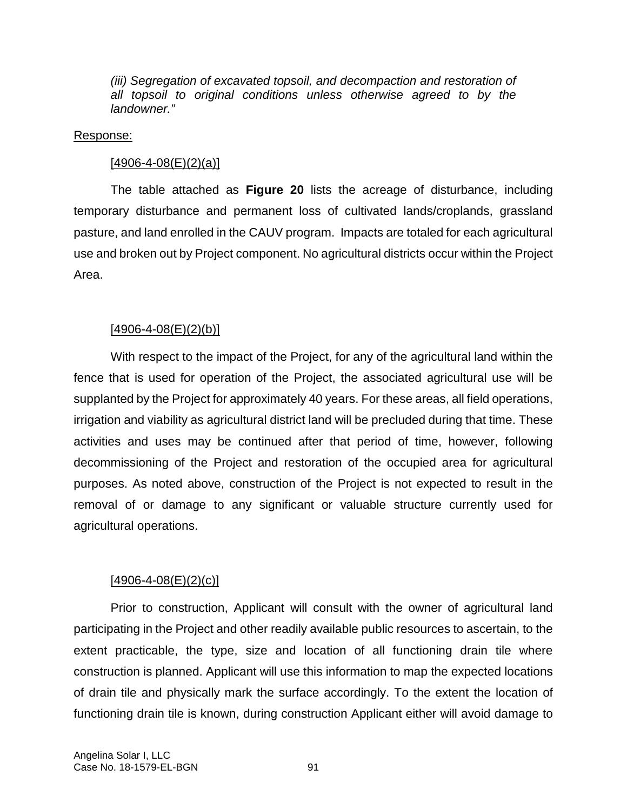*(iii)* Segregation of excavated topsoil, and decompaction and restoration of *all topsoil to original conditions unless otherwise agreed to by the landowner."* 

#### Response:

#### $[4906 - 4 - 08(E)(2)(a)]$

The table attached as **Figure 20** lists the acreage of disturbance, including temporary disturbance and permanent loss of cultivated lands/croplands, grassland pasture, and land enrolled in the CAUV program. Impacts are totaled for each agricultural use and broken out by Project component. No agricultural districts occur within the Project Area.

# $[4906 - 4 - 08(E)(2)(b)]$

With respect to the impact of the Project, for any of the agricultural land within the fence that is used for operation of the Project, the associated agricultural use will be supplanted by the Project for approximately 40 years. For these areas, all field operations, irrigation and viability as agricultural district land will be precluded during that time. These activities and uses may be continued after that period of time, however, following decommissioning of the Project and restoration of the occupied area for agricultural purposes. As noted above, construction of the Project is not expected to result in the removal of or damage to any significant or valuable structure currently used for agricultural operations.

# $[4906 - 4 - 08(E)(2)(c)]$

Prior to construction, Applicant will consult with the owner of agricultural land participating in the Project and other readily available public resources to ascertain, to the extent practicable, the type, size and location of all functioning drain tile where construction is planned. Applicant will use this information to map the expected locations of drain tile and physically mark the surface accordingly. To the extent the location of functioning drain tile is known, during construction Applicant either will avoid damage to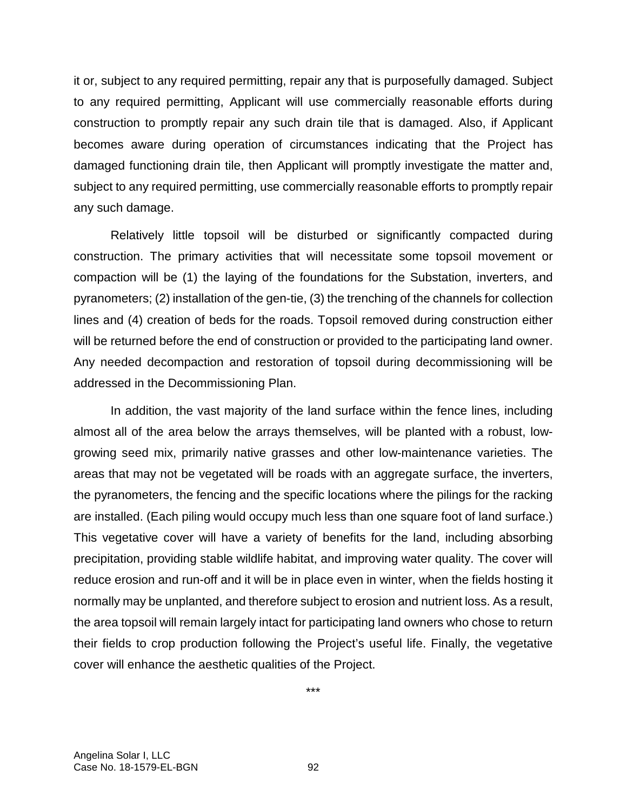it or, subject to any required permitting, repair any that is purposefully damaged. Subject to any required permitting, Applicant will use commercially reasonable efforts during construction to promptly repair any such drain tile that is damaged. Also, if Applicant becomes aware during operation of circumstances indicating that the Project has damaged functioning drain tile, then Applicant will promptly investigate the matter and, subject to any required permitting, use commercially reasonable efforts to promptly repair any such damage.

Relatively little topsoil will be disturbed or significantly compacted during construction. The primary activities that will necessitate some topsoil movement or compaction will be (1) the laying of the foundations for the Substation, inverters, and pyranometers; (2) installation of the gen-tie, (3) the trenching of the channels for collection lines and (4) creation of beds for the roads. Topsoil removed during construction either will be returned before the end of construction or provided to the participating land owner. Any needed decompaction and restoration of topsoil during decommissioning will be addressed in the Decommissioning Plan.

In addition, the vast majority of the land surface within the fence lines, including almost all of the area below the arrays themselves, will be planted with a robust, lowgrowing seed mix, primarily native grasses and other low-maintenance varieties. The areas that may not be vegetated will be roads with an aggregate surface, the inverters, the pyranometers, the fencing and the specific locations where the pilings for the racking are installed. (Each piling would occupy much less than one square foot of land surface.) This vegetative cover will have a variety of benefits for the land, including absorbing precipitation, providing stable wildlife habitat, and improving water quality. The cover will reduce erosion and run-off and it will be in place even in winter, when the fields hosting it normally may be unplanted, and therefore subject to erosion and nutrient loss. As a result, the area topsoil will remain largely intact for participating land owners who chose to return their fields to crop production following the Project's useful life. Finally, the vegetative cover will enhance the aesthetic qualities of the Project.

\*\*\*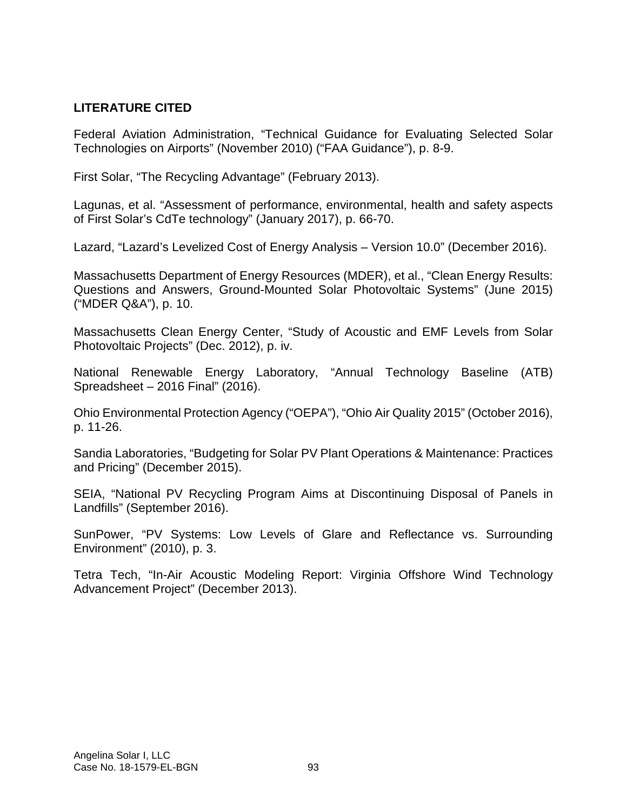## **LITERATURE CITED**

Federal Aviation Administration, "Technical Guidance for Evaluating Selected Solar Technologies on Airports" (November 2010) ("FAA Guidance"), p. 8-9.

First Solar, "The Recycling Advantage" (February 2013).

Lagunas, et al. "Assessment of performance, environmental, health and safety aspects of First Solar's CdTe technology" (January 2017), p. 66-70.

Lazard, "Lazard's Levelized Cost of Energy Analysis – Version 10.0" (December 2016).

Massachusetts Department of Energy Resources (MDER), et al., "Clean Energy Results: Questions and Answers, Ground-Mounted Solar Photovoltaic Systems" (June 2015) ("MDER Q&A"), p. 10.

Massachusetts Clean Energy Center, "Study of Acoustic and EMF Levels from Solar Photovoltaic Projects" (Dec. 2012), p. iv.

National Renewable Energy Laboratory, "Annual Technology Baseline (ATB) Spreadsheet – 2016 Final" (2016).

Ohio Environmental Protection Agency ("OEPA"), "Ohio Air Quality 2015" (October 2016), p. 11-26.

Sandia Laboratories, "Budgeting for Solar PV Plant Operations & Maintenance: Practices and Pricing" (December 2015).

SEIA, "National PV Recycling Program Aims at Discontinuing Disposal of Panels in Landfills" (September 2016).

SunPower, "PV Systems: Low Levels of Glare and Reflectance vs. Surrounding Environment" (2010), p. 3.

Tetra Tech, "In-Air Acoustic Modeling Report: Virginia Offshore Wind Technology Advancement Project" (December 2013).